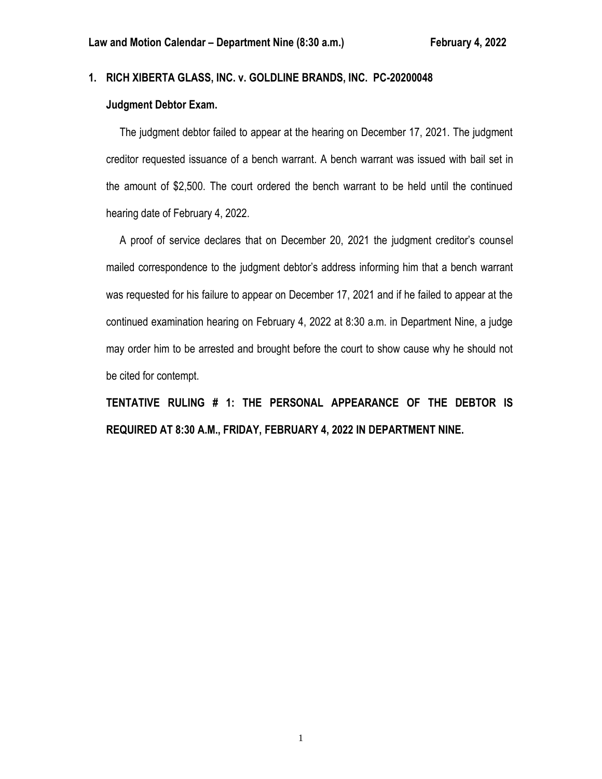### **1. RICH XIBERTA GLASS, INC. v. GOLDLINE BRANDS, INC. PC-20200048**

# **Judgment Debtor Exam.**

 The judgment debtor failed to appear at the hearing on December 17, 2021. The judgment creditor requested issuance of a bench warrant. A bench warrant was issued with bail set in the amount of \$2,500. The court ordered the bench warrant to be held until the continued hearing date of February 4, 2022.

 A proof of service declares that on December 20, 2021 the judgment creditor's counsel mailed correspondence to the judgment debtor's address informing him that a bench warrant was requested for his failure to appear on December 17, 2021 and if he failed to appear at the continued examination hearing on February 4, 2022 at 8:30 a.m. in Department Nine, a judge may order him to be arrested and brought before the court to show cause why he should not be cited for contempt.

**TENTATIVE RULING # 1: THE PERSONAL APPEARANCE OF THE DEBTOR IS REQUIRED AT 8:30 A.M., FRIDAY, FEBRUARY 4, 2022 IN DEPARTMENT NINE.**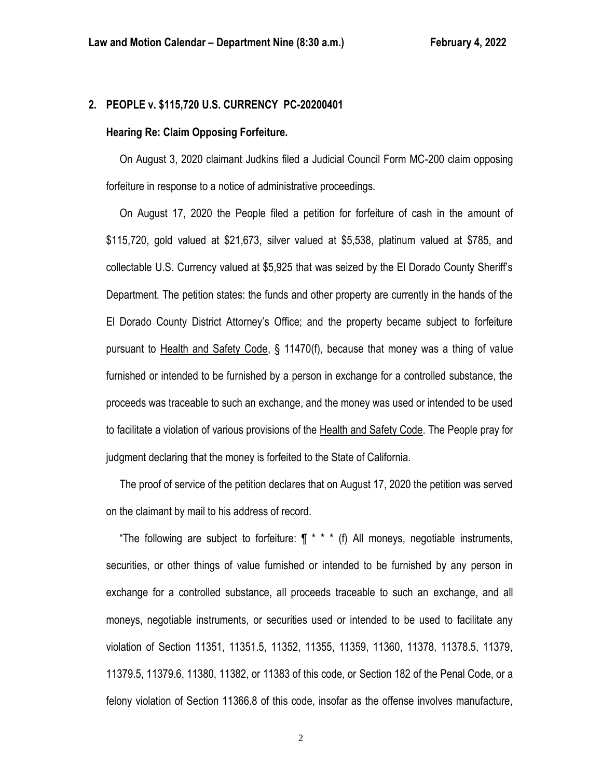#### **2. PEOPLE v. \$115,720 U.S. CURRENCY PC-20200401**

#### **Hearing Re: Claim Opposing Forfeiture.**

 On August 3, 2020 claimant Judkins filed a Judicial Council Form MC-200 claim opposing forfeiture in response to a notice of administrative proceedings.

 On August 17, 2020 the People filed a petition for forfeiture of cash in the amount of \$115,720, gold valued at \$21,673, silver valued at \$5,538, platinum valued at \$785, and collectable U.S. Currency valued at \$5,925 that was seized by the El Dorado County Sheriff's Department. The petition states: the funds and other property are currently in the hands of the El Dorado County District Attorney's Office; and the property became subject to forfeiture pursuant to Health and Safety Code, § 11470(f), because that money was a thing of value furnished or intended to be furnished by a person in exchange for a controlled substance, the proceeds was traceable to such an exchange, and the money was used or intended to be used to facilitate a violation of various provisions of the Health and Safety Code. The People pray for judgment declaring that the money is forfeited to the State of California.

 The proof of service of the petition declares that on August 17, 2020 the petition was served on the claimant by mail to his address of record.

"The following are subject to forfeiture:  $\P$  \* \* \* (f) All moneys, negotiable instruments, securities, or other things of value furnished or intended to be furnished by any person in exchange for a controlled substance, all proceeds traceable to such an exchange, and all moneys, negotiable instruments, or securities used or intended to be used to facilitate any violation of Section 11351, 11351.5, 11352, 11355, 11359, 11360, 11378, 11378.5, 11379, 11379.5, 11379.6, 11380, 11382, or 11383 of this code, or Section 182 of the Penal Code, or a felony violation of Section 11366.8 of this code, insofar as the offense involves manufacture,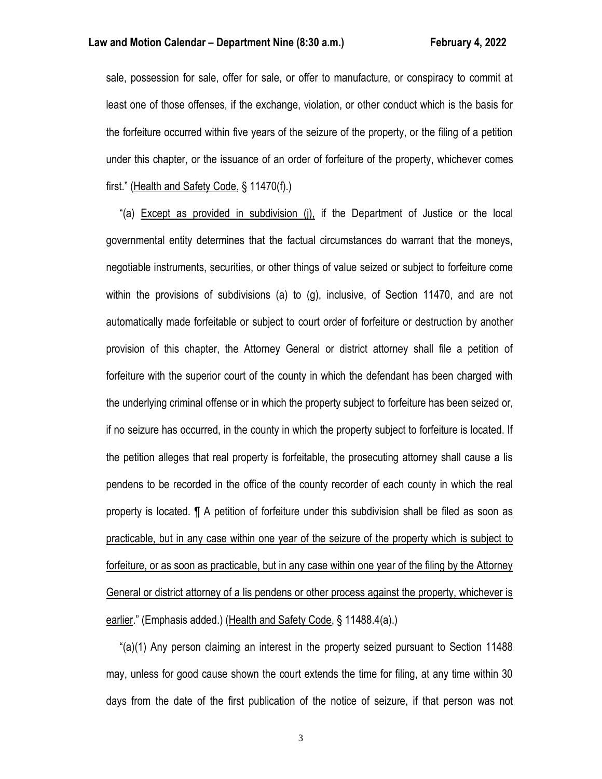sale, possession for sale, offer for sale, or offer to manufacture, or conspiracy to commit at least one of those offenses, if the exchange, violation, or other conduct which is the basis for the forfeiture occurred within five years of the seizure of the property, or the filing of a petition under this chapter, or the issuance of an order of forfeiture of the property, whichever comes first." (Health and Safety Code, § 11470(f).)

 "(a) Except as provided in subdivision (j), if the Department of Justice or the local governmental entity determines that the factual circumstances do warrant that the moneys, negotiable instruments, securities, or other things of value seized or subject to forfeiture come within the provisions of subdivisions (a) to (g), inclusive, of Section 11470, and are not automatically made forfeitable or subject to court order of forfeiture or destruction by another provision of this chapter, the Attorney General or district attorney shall file a petition of forfeiture with the superior court of the county in which the defendant has been charged with the underlying criminal offense or in which the property subject to forfeiture has been seized or, if no seizure has occurred, in the county in which the property subject to forfeiture is located. If the petition alleges that real property is forfeitable, the prosecuting attorney shall cause a lis pendens to be recorded in the office of the county recorder of each county in which the real property is located. ¶ A petition of forfeiture under this subdivision shall be filed as soon as practicable, but in any case within one year of the seizure of the property which is subject to forfeiture, or as soon as practicable, but in any case within one year of the filing by the Attorney General or district attorney of a lis pendens or other process against the property, whichever is earlier." (Emphasis added.) (Health and Safety Code, § 11488.4(a).)

 "(a)(1) Any person claiming an interest in the property seized pursuant to Section 11488 may, unless for good cause shown the court extends the time for filing, at any time within 30 days from the date of the first publication of the notice of seizure, if that person was not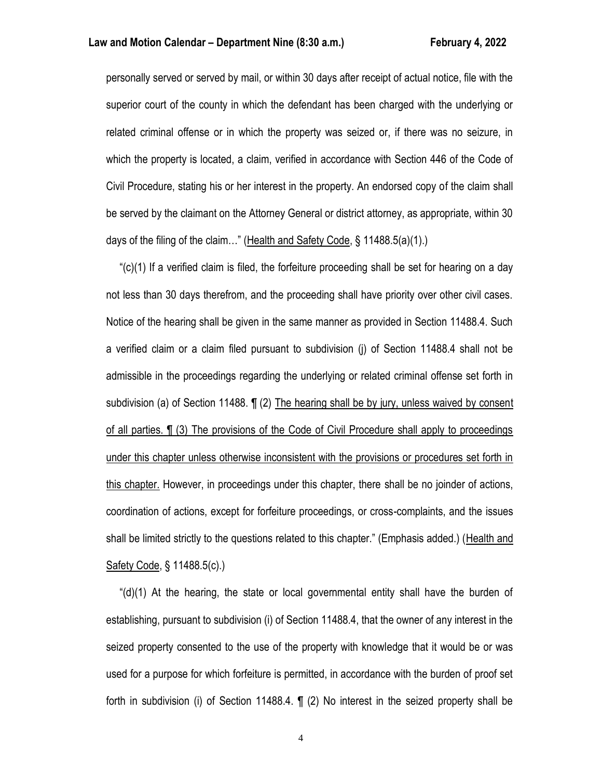personally served or served by mail, or within 30 days after receipt of actual notice, file with the superior court of the county in which the defendant has been charged with the underlying or related criminal offense or in which the property was seized or, if there was no seizure, in which the property is located, a claim, verified in accordance with Section 446 of the Code of Civil Procedure, stating his or her interest in the property. An endorsed copy of the claim shall be served by the claimant on the Attorney General or district attorney, as appropriate, within 30 days of the filing of the claim…" (Health and Safety Code, § 11488.5(a)(1).)

 "(c)(1) If a verified claim is filed, the forfeiture proceeding shall be set for hearing on a day not less than 30 days therefrom, and the proceeding shall have priority over other civil cases. Notice of the hearing shall be given in the same manner as provided in Section 11488.4. Such a verified claim or a claim filed pursuant to subdivision (j) of Section 11488.4 shall not be admissible in the proceedings regarding the underlying or related criminal offense set forth in subdivision (a) of Section 11488. ¶ (2) The hearing shall be by jury, unless waived by consent of all parties. ¶ (3) The provisions of the Code of Civil Procedure shall apply to proceedings under this chapter unless otherwise inconsistent with the provisions or procedures set forth in this chapter. However, in proceedings under this chapter, there shall be no joinder of actions, coordination of actions, except for forfeiture proceedings, or cross-complaints, and the issues shall be limited strictly to the questions related to this chapter." (Emphasis added.) (Health and Safety Code, § 11488.5(c).)

" $(d)(1)$  At the hearing, the state or local governmental entity shall have the burden of establishing, pursuant to subdivision (i) of Section 11488.4, that the owner of any interest in the seized property consented to the use of the property with knowledge that it would be or was used for a purpose for which forfeiture is permitted, in accordance with the burden of proof set forth in subdivision (i) of Section 11488.4. ¶ (2) No interest in the seized property shall be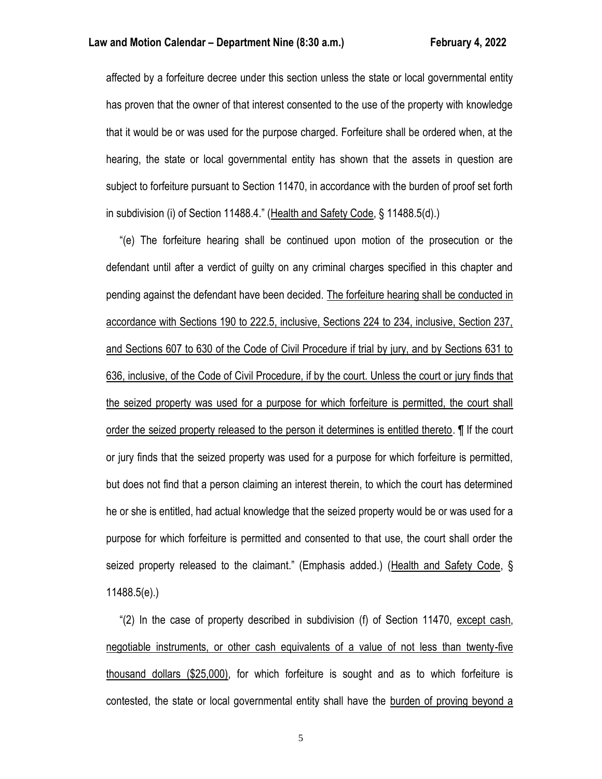affected by a forfeiture decree under this section unless the state or local governmental entity has proven that the owner of that interest consented to the use of the property with knowledge that it would be or was used for the purpose charged. Forfeiture shall be ordered when, at the hearing, the state or local governmental entity has shown that the assets in question are subject to forfeiture pursuant to Section 11470, in accordance with the burden of proof set forth in subdivision (i) of Section 11488.4." (Health and Safety Code, § 11488.5(d).)

 "(e) The forfeiture hearing shall be continued upon motion of the prosecution or the defendant until after a verdict of guilty on any criminal charges specified in this chapter and pending against the defendant have been decided. The forfeiture hearing shall be conducted in accordance with Sections 190 to 222.5, inclusive, Sections 224 to 234, inclusive, Section 237, and Sections 607 to 630 of the Code of Civil Procedure if trial by jury, and by Sections 631 to 636, inclusive, of the Code of Civil Procedure, if by the court. Unless the court or jury finds that the seized property was used for a purpose for which forfeiture is permitted, the court shall order the seized property released to the person it determines is entitled thereto. ¶ If the court or jury finds that the seized property was used for a purpose for which forfeiture is permitted, but does not find that a person claiming an interest therein, to which the court has determined he or she is entitled, had actual knowledge that the seized property would be or was used for a purpose for which forfeiture is permitted and consented to that use, the court shall order the seized property released to the claimant." (Emphasis added.) (Health and Safety Code, § 11488.5(e).)

 "(2) In the case of property described in subdivision (f) of Section 11470, except cash, negotiable instruments, or other cash equivalents of a value of not less than twenty-five thousand dollars (\$25,000), for which forfeiture is sought and as to which forfeiture is contested, the state or local governmental entity shall have the burden of proving beyond a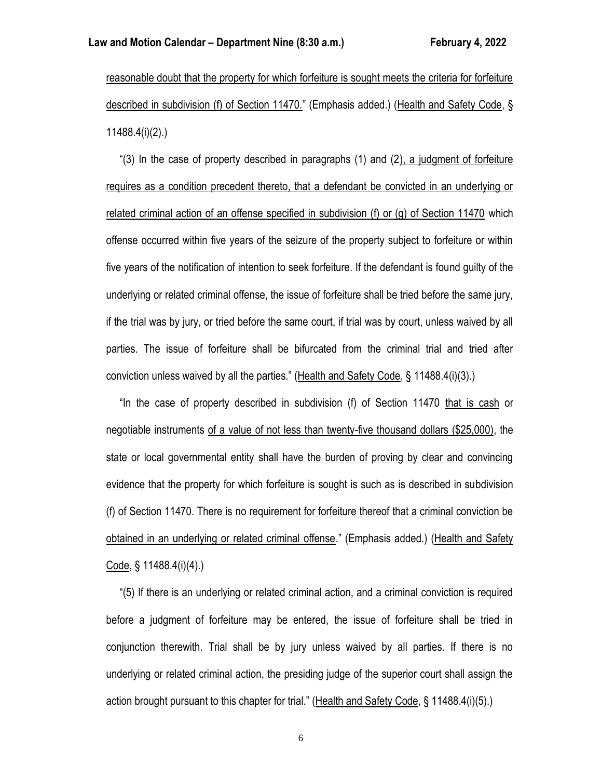reasonable doubt that the property for which forfeiture is sought meets the criteria for forfeiture described in subdivision (f) of Section 11470." (Emphasis added.) (Health and Safety Code, § 11488.4(i)(2).)

 "(3) In the case of property described in paragraphs (1) and (2), a judgment of forfeiture requires as a condition precedent thereto, that a defendant be convicted in an underlying or related criminal action of an offense specified in subdivision (f) or (g) of Section 11470 which offense occurred within five years of the seizure of the property subject to forfeiture or within five years of the notification of intention to seek forfeiture. If the defendant is found guilty of the underlying or related criminal offense, the issue of forfeiture shall be tried before the same jury, if the trial was by jury, or tried before the same court, if trial was by court, unless waived by all parties. The issue of forfeiture shall be bifurcated from the criminal trial and tried after conviction unless waived by all the parties." (Health and Safety Code, § 11488.4(i)(3).)

 "In the case of property described in subdivision (f) of Section 11470 that is cash or negotiable instruments of a value of not less than twenty-five thousand dollars (\$25,000), the state or local governmental entity shall have the burden of proving by clear and convincing evidence that the property for which forfeiture is sought is such as is described in subdivision (f) of Section 11470. There is no requirement for forfeiture thereof that a criminal conviction be obtained in an underlying or related criminal offense." (Emphasis added.) (Health and Safety Code, § 11488.4(i)(4).)

 "(5) If there is an underlying or related criminal action, and a criminal conviction is required before a judgment of forfeiture may be entered, the issue of forfeiture shall be tried in conjunction therewith. Trial shall be by jury unless waived by all parties. If there is no underlying or related criminal action, the presiding judge of the superior court shall assign the action brought pursuant to this chapter for trial." (Health and Safety Code, § 11488.4(i)(5).)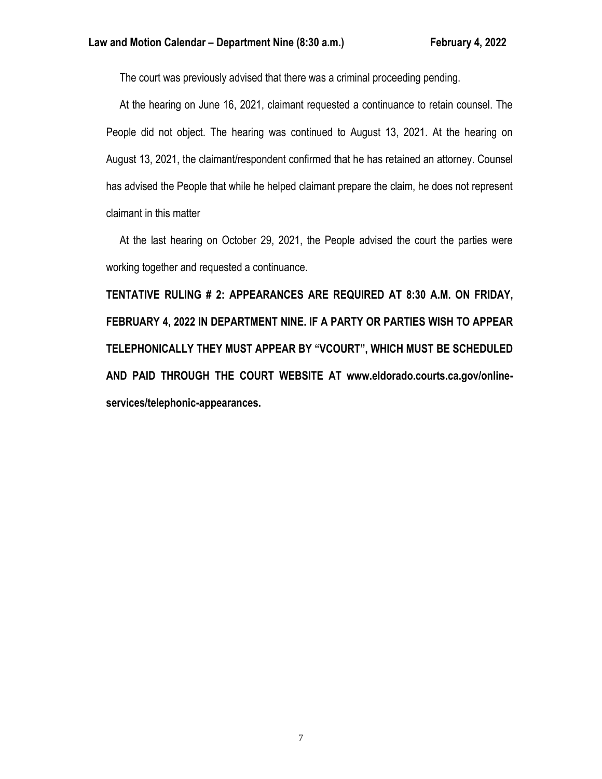The court was previously advised that there was a criminal proceeding pending.

 At the hearing on June 16, 2021, claimant requested a continuance to retain counsel. The People did not object. The hearing was continued to August 13, 2021. At the hearing on August 13, 2021, the claimant/respondent confirmed that he has retained an attorney. Counsel has advised the People that while he helped claimant prepare the claim, he does not represent claimant in this matter

 At the last hearing on October 29, 2021, the People advised the court the parties were working together and requested a continuance.

**TENTATIVE RULING # 2: APPEARANCES ARE REQUIRED AT 8:30 A.M. ON FRIDAY, FEBRUARY 4, 2022 IN DEPARTMENT NINE. IF A PARTY OR PARTIES WISH TO APPEAR TELEPHONICALLY THEY MUST APPEAR BY "VCOURT", WHICH MUST BE SCHEDULED AND PAID THROUGH THE COURT WEBSITE AT www.eldorado.courts.ca.gov/onlineservices/telephonic-appearances.**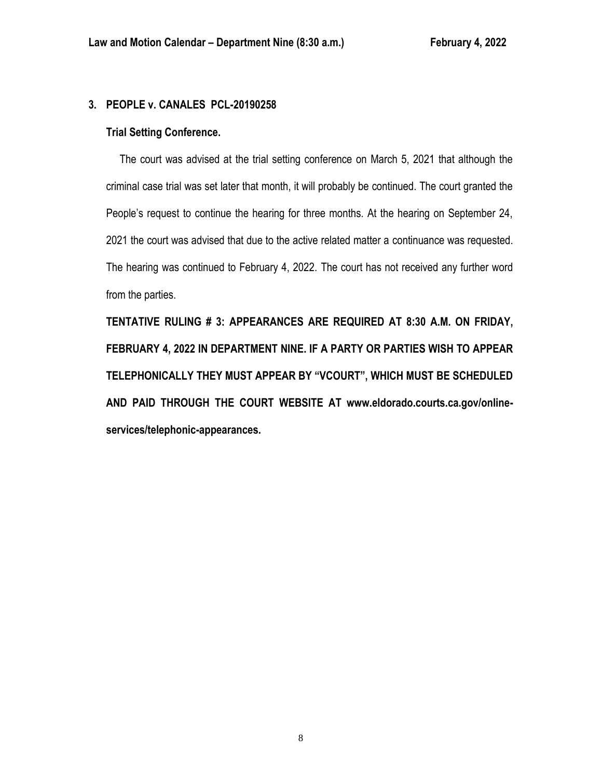# **3. PEOPLE v. CANALES PCL-20190258**

# **Trial Setting Conference.**

 The court was advised at the trial setting conference on March 5, 2021 that although the criminal case trial was set later that month, it will probably be continued. The court granted the People's request to continue the hearing for three months. At the hearing on September 24, 2021 the court was advised that due to the active related matter a continuance was requested. The hearing was continued to February 4, 2022. The court has not received any further word from the parties.

**TENTATIVE RULING # 3: APPEARANCES ARE REQUIRED AT 8:30 A.M. ON FRIDAY, FEBRUARY 4, 2022 IN DEPARTMENT NINE. IF A PARTY OR PARTIES WISH TO APPEAR TELEPHONICALLY THEY MUST APPEAR BY "VCOURT", WHICH MUST BE SCHEDULED AND PAID THROUGH THE COURT WEBSITE AT www.eldorado.courts.ca.gov/onlineservices/telephonic-appearances.**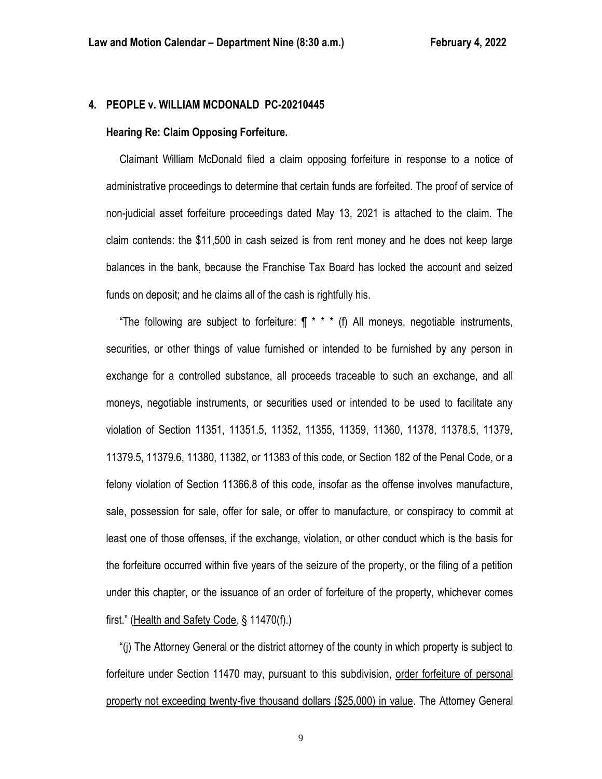### **4. PEOPLE v. WILLIAM MCDONALD PC-20210445**

#### **Hearing Re: Claim Opposing Forfeiture.**

 Claimant William McDonald filed a claim opposing forfeiture in response to a notice of administrative proceedings to determine that certain funds are forfeited. The proof of service of non-judicial asset forfeiture proceedings dated May 13, 2021 is attached to the claim. The claim contends: the \$11,500 in cash seized is from rent money and he does not keep large balances in the bank, because the Franchise Tax Board has locked the account and seized funds on deposit; and he claims all of the cash is rightfully his.

"The following are subject to forfeiture:  $\int \pi^*$  \* (f) All moneys, negotiable instruments, securities, or other things of value furnished or intended to be furnished by any person in exchange for a controlled substance, all proceeds traceable to such an exchange, and all moneys, negotiable instruments, or securities used or intended to be used to facilitate any violation of Section 11351, 11351.5, 11352, 11355, 11359, 11360, 11378, 11378.5, 11379, 11379.5, 11379.6, 11380, 11382, or 11383 of this code, or Section 182 of the Penal Code, or a felony violation of Section 11366.8 of this code, insofar as the offense involves manufacture, sale, possession for sale, offer for sale, or offer to manufacture, or conspiracy to commit at least one of those offenses, if the exchange, violation, or other conduct which is the basis for the forfeiture occurred within five years of the seizure of the property, or the filing of a petition under this chapter, or the issuance of an order of forfeiture of the property, whichever comes first." (Health and Safety Code, § 11470(f).)

 "(j) The Attorney General or the district attorney of the county in which property is subject to forfeiture under Section 11470 may, pursuant to this subdivision, order forfeiture of personal property not exceeding twenty-five thousand dollars (\$25,000) in value. The Attorney General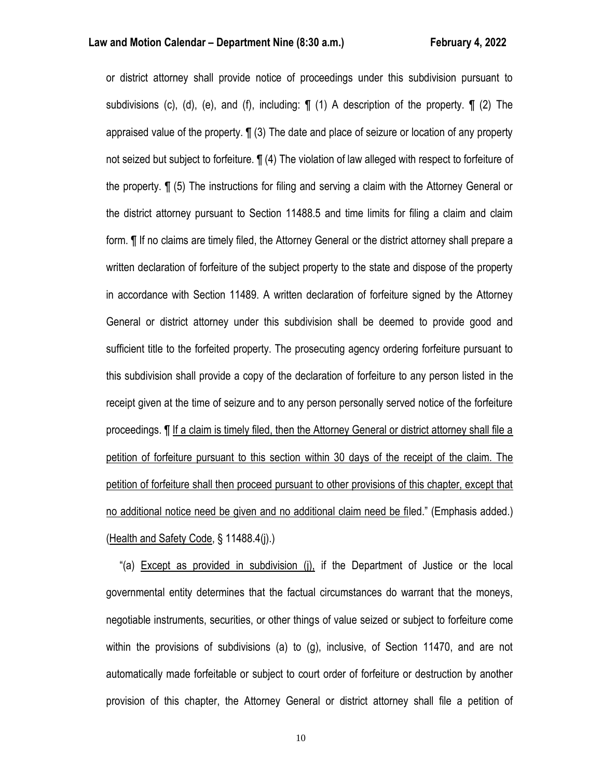or district attorney shall provide notice of proceedings under this subdivision pursuant to subdivisions (c), (d), (e), and (f), including:  $\P$  (1) A description of the property.  $\P$  (2) The appraised value of the property. ¶ (3) The date and place of seizure or location of any property not seized but subject to forfeiture. ¶ (4) The violation of law alleged with respect to forfeiture of the property. ¶ (5) The instructions for filing and serving a claim with the Attorney General or the district attorney pursuant to Section 11488.5 and time limits for filing a claim and claim form. ¶ If no claims are timely filed, the Attorney General or the district attorney shall prepare a written declaration of forfeiture of the subject property to the state and dispose of the property in accordance with Section 11489. A written declaration of forfeiture signed by the Attorney General or district attorney under this subdivision shall be deemed to provide good and sufficient title to the forfeited property. The prosecuting agency ordering forfeiture pursuant to this subdivision shall provide a copy of the declaration of forfeiture to any person listed in the receipt given at the time of seizure and to any person personally served notice of the forfeiture proceedings. ¶ If a claim is timely filed, then the Attorney General or district attorney shall file a petition of forfeiture pursuant to this section within 30 days of the receipt of the claim. The petition of forfeiture shall then proceed pursuant to other provisions of this chapter, except that no additional notice need be given and no additional claim need be filed." (Emphasis added.) (Health and Safety Code, § 11488.4(j).)

 "(a) Except as provided in subdivision (j), if the Department of Justice or the local governmental entity determines that the factual circumstances do warrant that the moneys, negotiable instruments, securities, or other things of value seized or subject to forfeiture come within the provisions of subdivisions (a) to (g), inclusive, of Section 11470, and are not automatically made forfeitable or subject to court order of forfeiture or destruction by another provision of this chapter, the Attorney General or district attorney shall file a petition of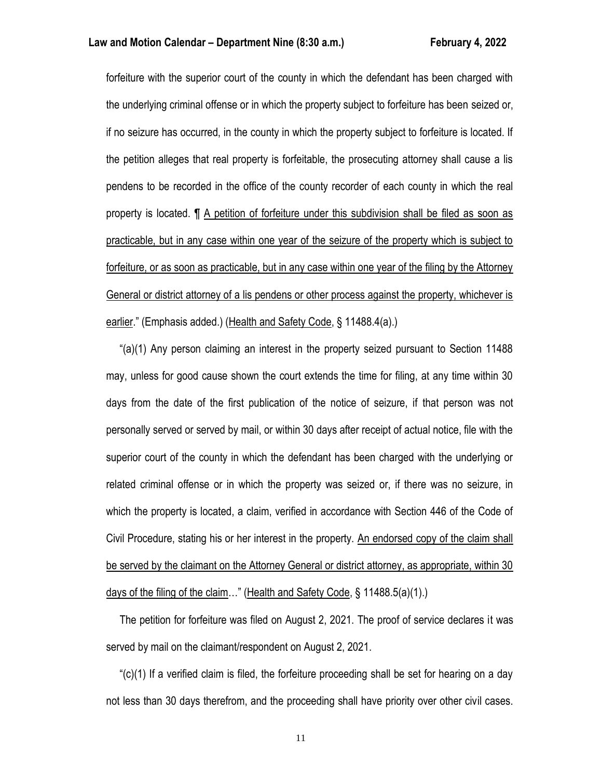forfeiture with the superior court of the county in which the defendant has been charged with the underlying criminal offense or in which the property subject to forfeiture has been seized or, if no seizure has occurred, in the county in which the property subject to forfeiture is located. If the petition alleges that real property is forfeitable, the prosecuting attorney shall cause a lis pendens to be recorded in the office of the county recorder of each county in which the real property is located. ¶ A petition of forfeiture under this subdivision shall be filed as soon as practicable, but in any case within one year of the seizure of the property which is subject to forfeiture, or as soon as practicable, but in any case within one year of the filing by the Attorney General or district attorney of a lis pendens or other process against the property, whichever is earlier." (Emphasis added.) (Health and Safety Code, § 11488.4(a).)

 "(a)(1) Any person claiming an interest in the property seized pursuant to Section 11488 may, unless for good cause shown the court extends the time for filing, at any time within 30 days from the date of the first publication of the notice of seizure, if that person was not personally served or served by mail, or within 30 days after receipt of actual notice, file with the superior court of the county in which the defendant has been charged with the underlying or related criminal offense or in which the property was seized or, if there was no seizure, in which the property is located, a claim, verified in accordance with Section 446 of the Code of Civil Procedure, stating his or her interest in the property. An endorsed copy of the claim shall be served by the claimant on the Attorney General or district attorney, as appropriate, within 30 days of the filing of the claim…" (Health and Safety Code, § 11488.5(a)(1).)

 The petition for forfeiture was filed on August 2, 2021. The proof of service declares it was served by mail on the claimant/respondent on August 2, 2021.

" $(c)(1)$  If a verified claim is filed, the forfeiture proceeding shall be set for hearing on a day not less than 30 days therefrom, and the proceeding shall have priority over other civil cases.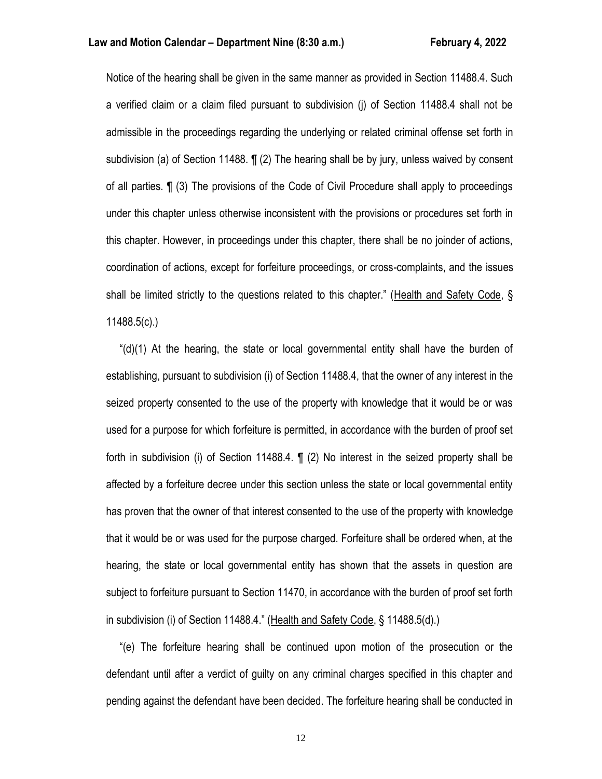Notice of the hearing shall be given in the same manner as provided in Section 11488.4. Such a verified claim or a claim filed pursuant to subdivision (j) of Section 11488.4 shall not be admissible in the proceedings regarding the underlying or related criminal offense set forth in subdivision (a) of Section 11488. ¶ (2) The hearing shall be by jury, unless waived by consent of all parties. ¶ (3) The provisions of the Code of Civil Procedure shall apply to proceedings under this chapter unless otherwise inconsistent with the provisions or procedures set forth in this chapter. However, in proceedings under this chapter, there shall be no joinder of actions, coordination of actions, except for forfeiture proceedings, or cross-complaints, and the issues shall be limited strictly to the questions related to this chapter." (Health and Safety Code, § 11488.5(c).)

 "(d)(1) At the hearing, the state or local governmental entity shall have the burden of establishing, pursuant to subdivision (i) of Section 11488.4, that the owner of any interest in the seized property consented to the use of the property with knowledge that it would be or was used for a purpose for which forfeiture is permitted, in accordance with the burden of proof set forth in subdivision (i) of Section 11488.4. ¶ (2) No interest in the seized property shall be affected by a forfeiture decree under this section unless the state or local governmental entity has proven that the owner of that interest consented to the use of the property with knowledge that it would be or was used for the purpose charged. Forfeiture shall be ordered when, at the hearing, the state or local governmental entity has shown that the assets in question are subject to forfeiture pursuant to Section 11470, in accordance with the burden of proof set forth in subdivision (i) of Section 11488.4." (Health and Safety Code, § 11488.5(d).)

 "(e) The forfeiture hearing shall be continued upon motion of the prosecution or the defendant until after a verdict of guilty on any criminal charges specified in this chapter and pending against the defendant have been decided. The forfeiture hearing shall be conducted in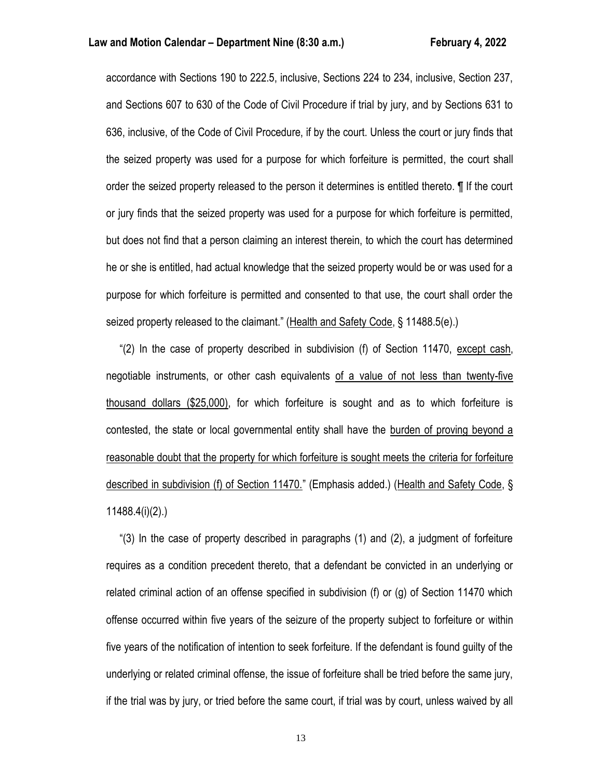accordance with Sections 190 to 222.5, inclusive, Sections 224 to 234, inclusive, Section 237, and Sections 607 to 630 of the Code of Civil Procedure if trial by jury, and by Sections 631 to 636, inclusive, of the Code of Civil Procedure, if by the court. Unless the court or jury finds that the seized property was used for a purpose for which forfeiture is permitted, the court shall order the seized property released to the person it determines is entitled thereto. ¶ If the court or jury finds that the seized property was used for a purpose for which forfeiture is permitted, but does not find that a person claiming an interest therein, to which the court has determined he or she is entitled, had actual knowledge that the seized property would be or was used for a purpose for which forfeiture is permitted and consented to that use, the court shall order the seized property released to the claimant." (Health and Safety Code, § 11488.5(e).)

 "(2) In the case of property described in subdivision (f) of Section 11470, except cash, negotiable instruments, or other cash equivalents of a value of not less than twenty-five thousand dollars (\$25,000), for which forfeiture is sought and as to which forfeiture is contested, the state or local governmental entity shall have the burden of proving beyond a reasonable doubt that the property for which forfeiture is sought meets the criteria for forfeiture described in subdivision (f) of Section 11470." (Emphasis added.) (Health and Safety Code, § 11488.4(i)(2).)

 "(3) In the case of property described in paragraphs (1) and (2), a judgment of forfeiture requires as a condition precedent thereto, that a defendant be convicted in an underlying or related criminal action of an offense specified in subdivision (f) or (g) of Section 11470 which offense occurred within five years of the seizure of the property subject to forfeiture or within five years of the notification of intention to seek forfeiture. If the defendant is found guilty of the underlying or related criminal offense, the issue of forfeiture shall be tried before the same jury, if the trial was by jury, or tried before the same court, if trial was by court, unless waived by all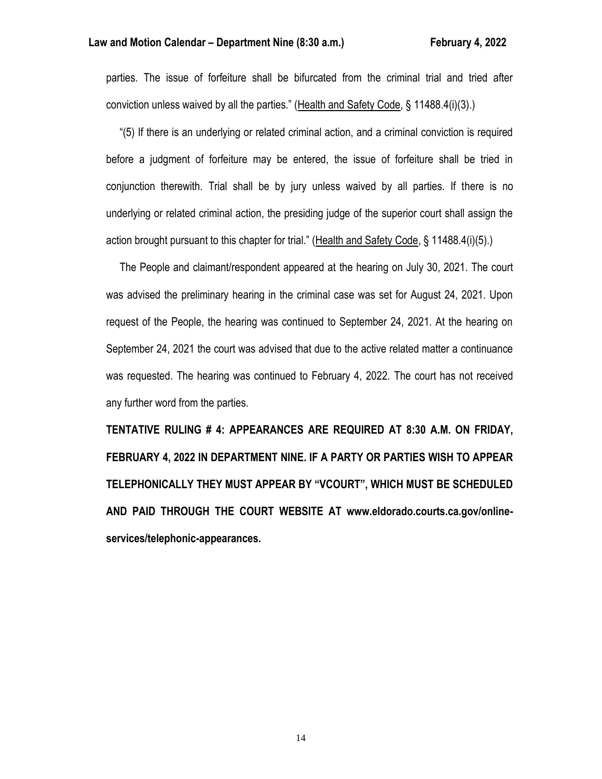parties. The issue of forfeiture shall be bifurcated from the criminal trial and tried after conviction unless waived by all the parties." (Health and Safety Code, § 11488.4(i)(3).)

 "(5) If there is an underlying or related criminal action, and a criminal conviction is required before a judgment of forfeiture may be entered, the issue of forfeiture shall be tried in conjunction therewith. Trial shall be by jury unless waived by all parties. If there is no underlying or related criminal action, the presiding judge of the superior court shall assign the action brought pursuant to this chapter for trial." (Health and Safety Code, § 11488.4(i)(5).)

 The People and claimant/respondent appeared at the hearing on July 30, 2021. The court was advised the preliminary hearing in the criminal case was set for August 24, 2021. Upon request of the People, the hearing was continued to September 24, 2021. At the hearing on September 24, 2021 the court was advised that due to the active related matter a continuance was requested. The hearing was continued to February 4, 2022. The court has not received any further word from the parties.

**TENTATIVE RULING # 4: APPEARANCES ARE REQUIRED AT 8:30 A.M. ON FRIDAY, FEBRUARY 4, 2022 IN DEPARTMENT NINE. IF A PARTY OR PARTIES WISH TO APPEAR TELEPHONICALLY THEY MUST APPEAR BY "VCOURT", WHICH MUST BE SCHEDULED AND PAID THROUGH THE COURT WEBSITE AT www.eldorado.courts.ca.gov/onlineservices/telephonic-appearances.**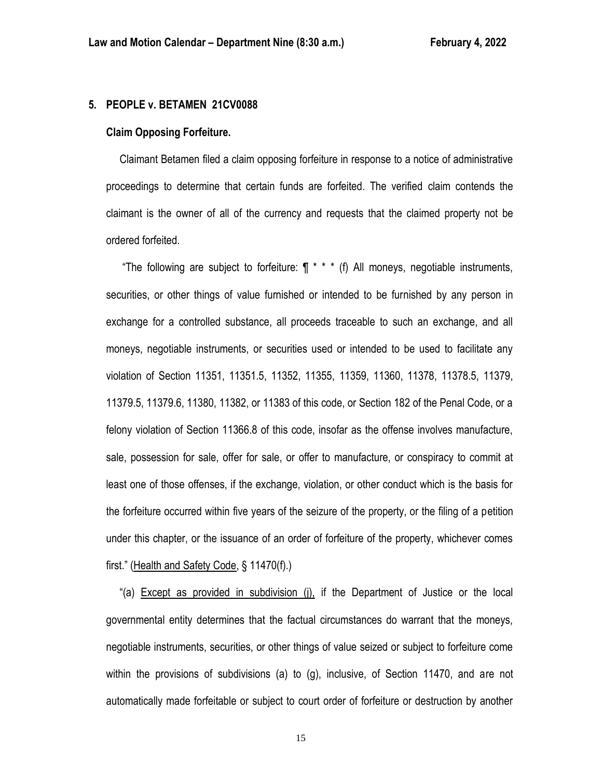#### **5. PEOPLE v. BETAMEN 21CV0088**

#### **Claim Opposing Forfeiture.**

 Claimant Betamen filed a claim opposing forfeiture in response to a notice of administrative proceedings to determine that certain funds are forfeited. The verified claim contends the claimant is the owner of all of the currency and requests that the claimed property not be ordered forfeited.

"The following are subject to forfeiture:  $\P$  \* \* \* (f) All moneys, negotiable instruments, securities, or other things of value furnished or intended to be furnished by any person in exchange for a controlled substance, all proceeds traceable to such an exchange, and all moneys, negotiable instruments, or securities used or intended to be used to facilitate any violation of Section 11351, 11351.5, 11352, 11355, 11359, 11360, 11378, 11378.5, 11379, 11379.5, 11379.6, 11380, 11382, or 11383 of this code, or Section 182 of the Penal Code, or a felony violation of Section 11366.8 of this code, insofar as the offense involves manufacture, sale, possession for sale, offer for sale, or offer to manufacture, or conspiracy to commit at least one of those offenses, if the exchange, violation, or other conduct which is the basis for the forfeiture occurred within five years of the seizure of the property, or the filing of a petition under this chapter, or the issuance of an order of forfeiture of the property, whichever comes first." (Health and Safety Code, § 11470(f).)

 "(a) Except as provided in subdivision (j), if the Department of Justice or the local governmental entity determines that the factual circumstances do warrant that the moneys, negotiable instruments, securities, or other things of value seized or subject to forfeiture come within the provisions of subdivisions (a) to (g), inclusive, of Section 11470, and are not automatically made forfeitable or subject to court order of forfeiture or destruction by another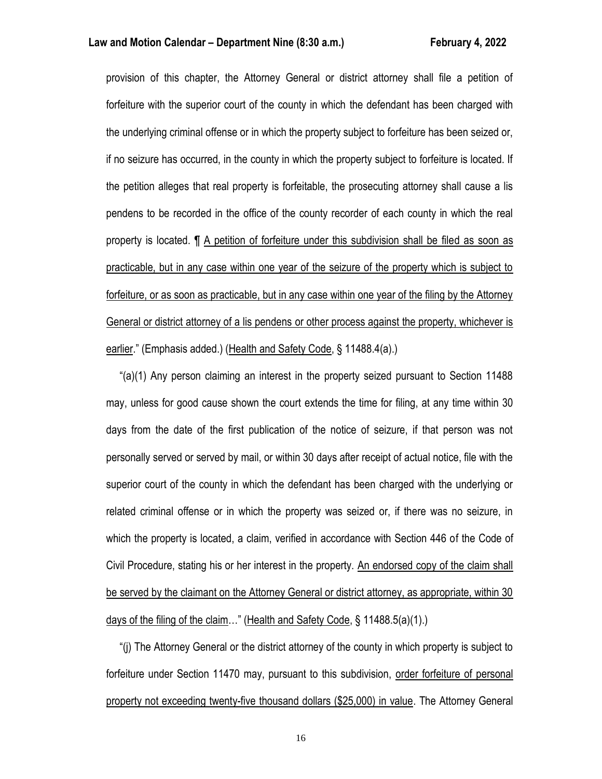#### **Law and Motion Calendar – Department Nine (8:30 a.m.) February 4, 2022**

provision of this chapter, the Attorney General or district attorney shall file a petition of forfeiture with the superior court of the county in which the defendant has been charged with the underlying criminal offense or in which the property subject to forfeiture has been seized or, if no seizure has occurred, in the county in which the property subject to forfeiture is located. If the petition alleges that real property is forfeitable, the prosecuting attorney shall cause a lis pendens to be recorded in the office of the county recorder of each county in which the real property is located. ¶ A petition of forfeiture under this subdivision shall be filed as soon as practicable, but in any case within one year of the seizure of the property which is subject to forfeiture, or as soon as practicable, but in any case within one year of the filing by the Attorney General or district attorney of a lis pendens or other process against the property, whichever is earlier." (Emphasis added.) (Health and Safety Code, § 11488.4(a).)

 "(a)(1) Any person claiming an interest in the property seized pursuant to Section 11488 may, unless for good cause shown the court extends the time for filing, at any time within 30 days from the date of the first publication of the notice of seizure, if that person was not personally served or served by mail, or within 30 days after receipt of actual notice, file with the superior court of the county in which the defendant has been charged with the underlying or related criminal offense or in which the property was seized or, if there was no seizure, in which the property is located, a claim, verified in accordance with Section 446 of the Code of Civil Procedure, stating his or her interest in the property. An endorsed copy of the claim shall be served by the claimant on the Attorney General or district attorney, as appropriate, within 30 days of the filing of the claim…" (Health and Safety Code, § 11488.5(a)(1).)

 "(j) The Attorney General or the district attorney of the county in which property is subject to forfeiture under Section 11470 may, pursuant to this subdivision, order forfeiture of personal property not exceeding twenty-five thousand dollars (\$25,000) in value. The Attorney General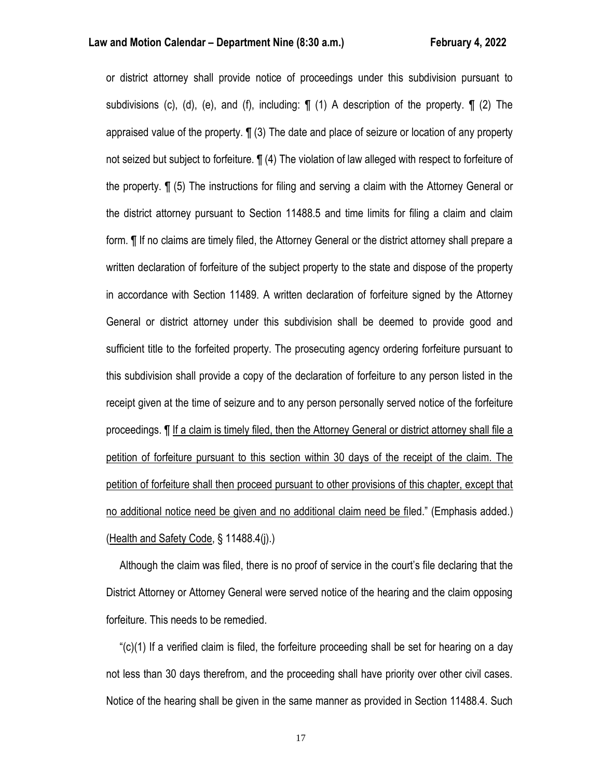or district attorney shall provide notice of proceedings under this subdivision pursuant to subdivisions (c), (d), (e), and (f), including:  $\P$  (1) A description of the property.  $\P$  (2) The appraised value of the property. ¶ (3) The date and place of seizure or location of any property not seized but subject to forfeiture. ¶ (4) The violation of law alleged with respect to forfeiture of the property. ¶ (5) The instructions for filing and serving a claim with the Attorney General or the district attorney pursuant to Section 11488.5 and time limits for filing a claim and claim form. ¶ If no claims are timely filed, the Attorney General or the district attorney shall prepare a written declaration of forfeiture of the subject property to the state and dispose of the property in accordance with Section 11489. A written declaration of forfeiture signed by the Attorney General or district attorney under this subdivision shall be deemed to provide good and sufficient title to the forfeited property. The prosecuting agency ordering forfeiture pursuant to this subdivision shall provide a copy of the declaration of forfeiture to any person listed in the receipt given at the time of seizure and to any person personally served notice of the forfeiture proceedings. ¶ If a claim is timely filed, then the Attorney General or district attorney shall file a petition of forfeiture pursuant to this section within 30 days of the receipt of the claim. The petition of forfeiture shall then proceed pursuant to other provisions of this chapter, except that no additional notice need be given and no additional claim need be filed." (Emphasis added.) (Health and Safety Code, § 11488.4(j).)

 Although the claim was filed, there is no proof of service in the court's file declaring that the District Attorney or Attorney General were served notice of the hearing and the claim opposing forfeiture. This needs to be remedied.

 "(c)(1) If a verified claim is filed, the forfeiture proceeding shall be set for hearing on a day not less than 30 days therefrom, and the proceeding shall have priority over other civil cases. Notice of the hearing shall be given in the same manner as provided in Section 11488.4. Such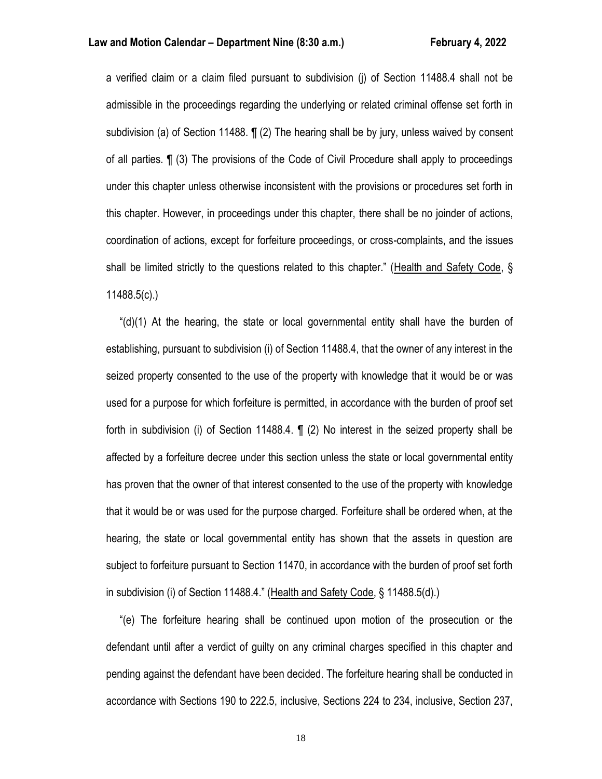a verified claim or a claim filed pursuant to subdivision (j) of Section 11488.4 shall not be admissible in the proceedings regarding the underlying or related criminal offense set forth in subdivision (a) of Section 11488. ¶ (2) The hearing shall be by jury, unless waived by consent of all parties. ¶ (3) The provisions of the Code of Civil Procedure shall apply to proceedings under this chapter unless otherwise inconsistent with the provisions or procedures set forth in this chapter. However, in proceedings under this chapter, there shall be no joinder of actions, coordination of actions, except for forfeiture proceedings, or cross-complaints, and the issues shall be limited strictly to the questions related to this chapter." (Health and Safety Code, § 11488.5(c).)

" $(d)(1)$  At the hearing, the state or local governmental entity shall have the burden of establishing, pursuant to subdivision (i) of Section 11488.4, that the owner of any interest in the seized property consented to the use of the property with knowledge that it would be or was used for a purpose for which forfeiture is permitted, in accordance with the burden of proof set forth in subdivision (i) of Section 11488.4. ¶ (2) No interest in the seized property shall be affected by a forfeiture decree under this section unless the state or local governmental entity has proven that the owner of that interest consented to the use of the property with knowledge that it would be or was used for the purpose charged. Forfeiture shall be ordered when, at the hearing, the state or local governmental entity has shown that the assets in question are subject to forfeiture pursuant to Section 11470, in accordance with the burden of proof set forth in subdivision (i) of Section 11488.4." (Health and Safety Code, § 11488.5(d).)

 "(e) The forfeiture hearing shall be continued upon motion of the prosecution or the defendant until after a verdict of guilty on any criminal charges specified in this chapter and pending against the defendant have been decided. The forfeiture hearing shall be conducted in accordance with Sections 190 to 222.5, inclusive, Sections 224 to 234, inclusive, Section 237,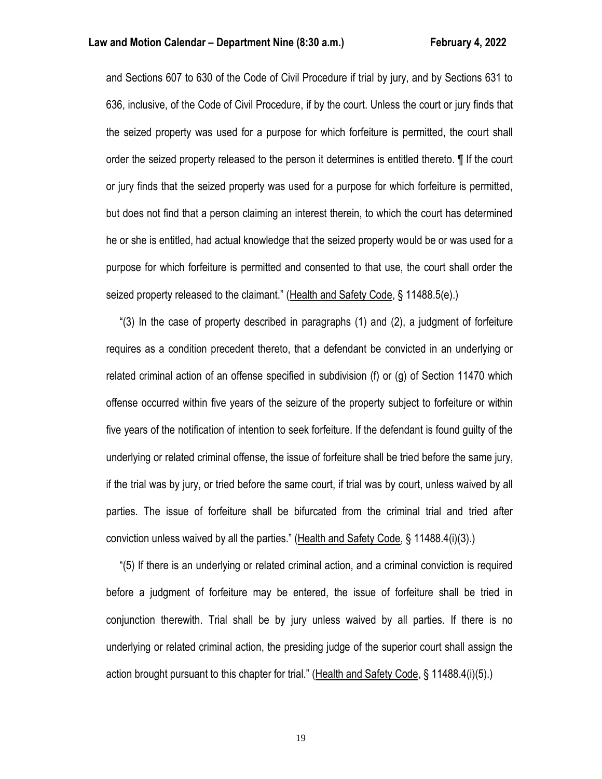and Sections 607 to 630 of the Code of Civil Procedure if trial by jury, and by Sections 631 to 636, inclusive, of the Code of Civil Procedure, if by the court. Unless the court or jury finds that the seized property was used for a purpose for which forfeiture is permitted, the court shall order the seized property released to the person it determines is entitled thereto. ¶ If the court or jury finds that the seized property was used for a purpose for which forfeiture is permitted, but does not find that a person claiming an interest therein, to which the court has determined he or she is entitled, had actual knowledge that the seized property would be or was used for a purpose for which forfeiture is permitted and consented to that use, the court shall order the seized property released to the claimant." (Health and Safety Code, § 11488.5(e).)

 "(3) In the case of property described in paragraphs (1) and (2), a judgment of forfeiture requires as a condition precedent thereto, that a defendant be convicted in an underlying or related criminal action of an offense specified in subdivision (f) or (g) of Section 11470 which offense occurred within five years of the seizure of the property subject to forfeiture or within five years of the notification of intention to seek forfeiture. If the defendant is found guilty of the underlying or related criminal offense, the issue of forfeiture shall be tried before the same jury, if the trial was by jury, or tried before the same court, if trial was by court, unless waived by all parties. The issue of forfeiture shall be bifurcated from the criminal trial and tried after conviction unless waived by all the parties." (Health and Safety Code, § 11488.4(i)(3).)

 "(5) If there is an underlying or related criminal action, and a criminal conviction is required before a judgment of forfeiture may be entered, the issue of forfeiture shall be tried in conjunction therewith. Trial shall be by jury unless waived by all parties. If there is no underlying or related criminal action, the presiding judge of the superior court shall assign the action brought pursuant to this chapter for trial." (Health and Safety Code, § 11488.4(i)(5).)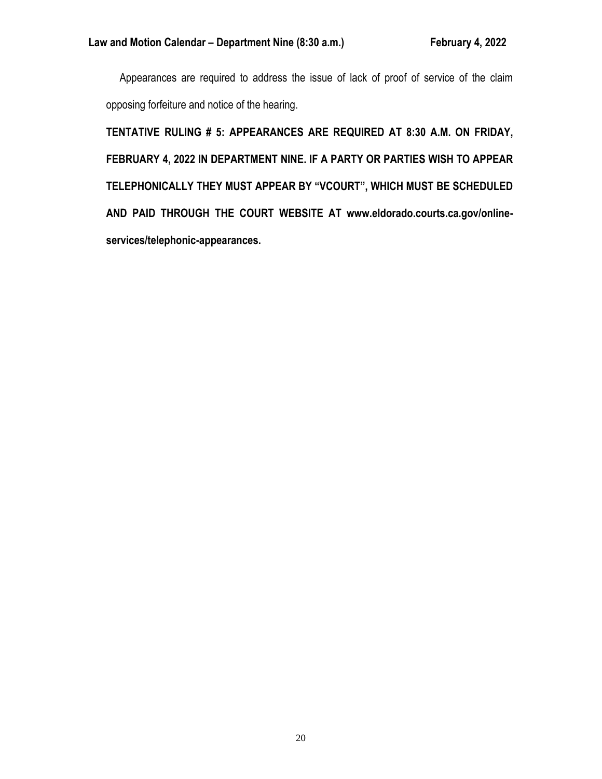Appearances are required to address the issue of lack of proof of service of the claim opposing forfeiture and notice of the hearing.

**TENTATIVE RULING # 5: APPEARANCES ARE REQUIRED AT 8:30 A.M. ON FRIDAY, FEBRUARY 4, 2022 IN DEPARTMENT NINE. IF A PARTY OR PARTIES WISH TO APPEAR TELEPHONICALLY THEY MUST APPEAR BY "VCOURT", WHICH MUST BE SCHEDULED AND PAID THROUGH THE COURT WEBSITE AT www.eldorado.courts.ca.gov/onlineservices/telephonic-appearances.**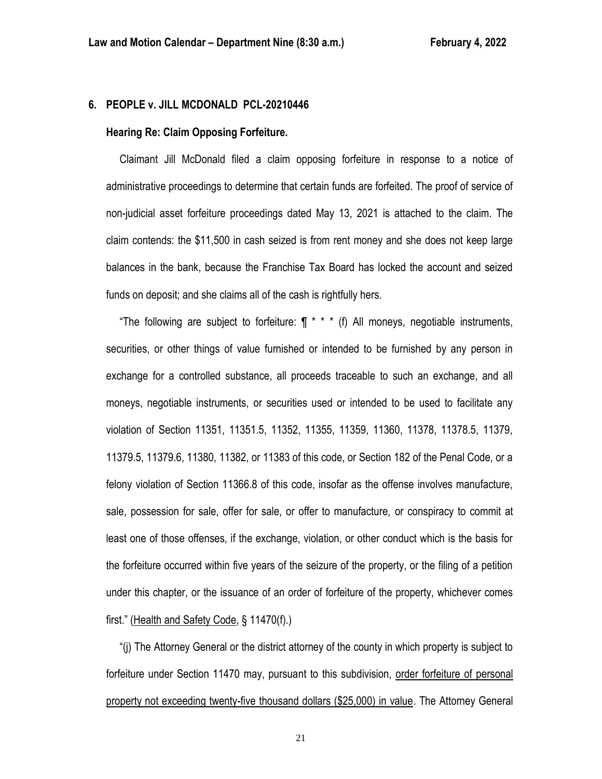### **6. PEOPLE v. JILL MCDONALD PCL-20210446**

#### **Hearing Re: Claim Opposing Forfeiture.**

 Claimant Jill McDonald filed a claim opposing forfeiture in response to a notice of administrative proceedings to determine that certain funds are forfeited. The proof of service of non-judicial asset forfeiture proceedings dated May 13, 2021 is attached to the claim. The claim contends: the \$11,500 in cash seized is from rent money and she does not keep large balances in the bank, because the Franchise Tax Board has locked the account and seized funds on deposit; and she claims all of the cash is rightfully hers.

"The following are subject to forfeiture:  $\P$  \* \* \* (f) All moneys, negotiable instruments, securities, or other things of value furnished or intended to be furnished by any person in exchange for a controlled substance, all proceeds traceable to such an exchange, and all moneys, negotiable instruments, or securities used or intended to be used to facilitate any violation of Section 11351, 11351.5, 11352, 11355, 11359, 11360, 11378, 11378.5, 11379, 11379.5, 11379.6, 11380, 11382, or 11383 of this code, or Section 182 of the Penal Code, or a felony violation of Section 11366.8 of this code, insofar as the offense involves manufacture, sale, possession for sale, offer for sale, or offer to manufacture, or conspiracy to commit at least one of those offenses, if the exchange, violation, or other conduct which is the basis for the forfeiture occurred within five years of the seizure of the property, or the filing of a petition under this chapter, or the issuance of an order of forfeiture of the property, whichever comes first." (Health and Safety Code, § 11470(f).)

 "(j) The Attorney General or the district attorney of the county in which property is subject to forfeiture under Section 11470 may, pursuant to this subdivision, order forfeiture of personal property not exceeding twenty-five thousand dollars (\$25,000) in value. The Attorney General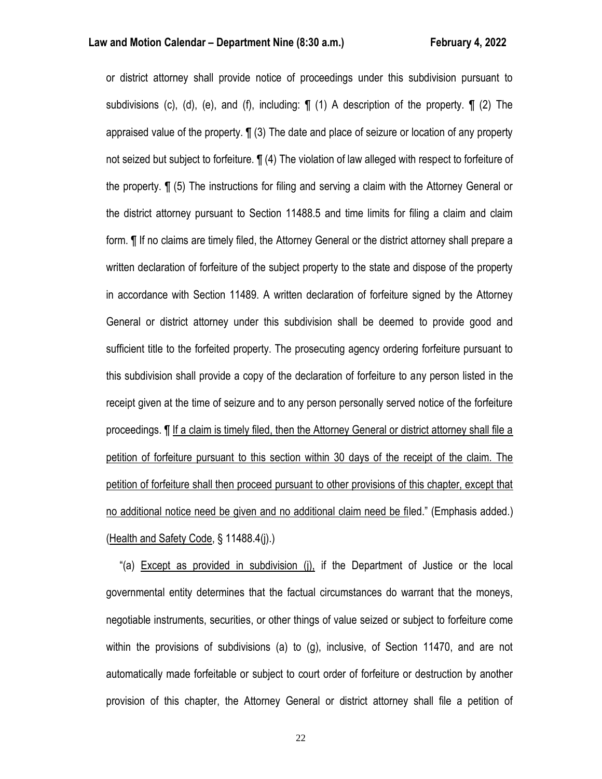or district attorney shall provide notice of proceedings under this subdivision pursuant to subdivisions (c), (d), (e), and (f), including:  $\P$  (1) A description of the property.  $\P$  (2) The appraised value of the property. ¶ (3) The date and place of seizure or location of any property not seized but subject to forfeiture. ¶ (4) The violation of law alleged with respect to forfeiture of the property. ¶ (5) The instructions for filing and serving a claim with the Attorney General or the district attorney pursuant to Section 11488.5 and time limits for filing a claim and claim form. ¶ If no claims are timely filed, the Attorney General or the district attorney shall prepare a written declaration of forfeiture of the subject property to the state and dispose of the property in accordance with Section 11489. A written declaration of forfeiture signed by the Attorney General or district attorney under this subdivision shall be deemed to provide good and sufficient title to the forfeited property. The prosecuting agency ordering forfeiture pursuant to this subdivision shall provide a copy of the declaration of forfeiture to any person listed in the receipt given at the time of seizure and to any person personally served notice of the forfeiture proceedings. ¶ If a claim is timely filed, then the Attorney General or district attorney shall file a petition of forfeiture pursuant to this section within 30 days of the receipt of the claim. The petition of forfeiture shall then proceed pursuant to other provisions of this chapter, except that no additional notice need be given and no additional claim need be filed." (Emphasis added.) (Health and Safety Code, § 11488.4(j).)

 "(a) Except as provided in subdivision (j), if the Department of Justice or the local governmental entity determines that the factual circumstances do warrant that the moneys, negotiable instruments, securities, or other things of value seized or subject to forfeiture come within the provisions of subdivisions (a) to (g), inclusive, of Section 11470, and are not automatically made forfeitable or subject to court order of forfeiture or destruction by another provision of this chapter, the Attorney General or district attorney shall file a petition of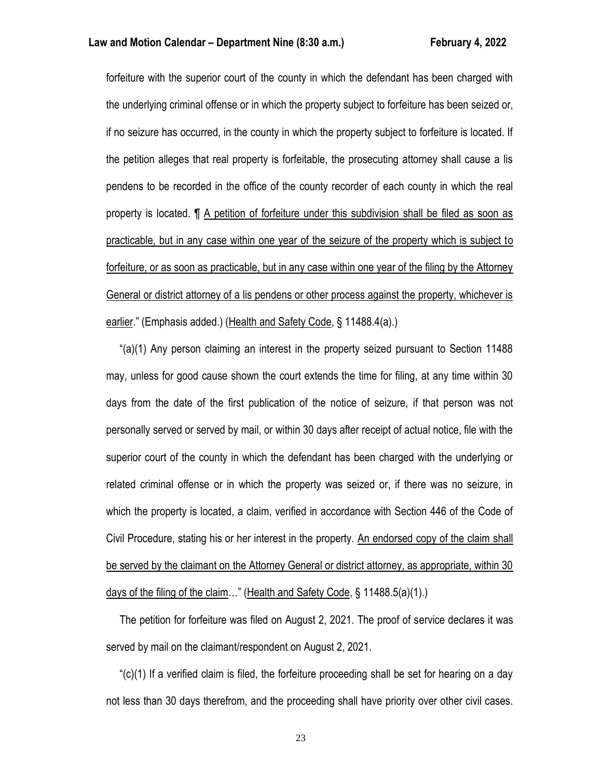forfeiture with the superior court of the county in which the defendant has been charged with the underlying criminal offense or in which the property subject to forfeiture has been seized or, if no seizure has occurred, in the county in which the property subject to forfeiture is located. If the petition alleges that real property is forfeitable, the prosecuting attorney shall cause a lis pendens to be recorded in the office of the county recorder of each county in which the real property is located. ¶ A petition of forfeiture under this subdivision shall be filed as soon as practicable, but in any case within one year of the seizure of the property which is subject to forfeiture, or as soon as practicable, but in any case within one year of the filing by the Attorney General or district attorney of a lis pendens or other process against the property, whichever is earlier." (Emphasis added.) (Health and Safety Code, § 11488.4(a).)

 "(a)(1) Any person claiming an interest in the property seized pursuant to Section 11488 may, unless for good cause shown the court extends the time for filing, at any time within 30 days from the date of the first publication of the notice of seizure, if that person was not personally served or served by mail, or within 30 days after receipt of actual notice, file with the superior court of the county in which the defendant has been charged with the underlying or related criminal offense or in which the property was seized or, if there was no seizure, in which the property is located, a claim, verified in accordance with Section 446 of the Code of Civil Procedure, stating his or her interest in the property. An endorsed copy of the claim shall be served by the claimant on the Attorney General or district attorney, as appropriate, within 30 days of the filing of the claim…" (Health and Safety Code, § 11488.5(a)(1).)

 The petition for forfeiture was filed on August 2, 2021. The proof of service declares it was served by mail on the claimant/respondent on August 2, 2021.

" $(c)(1)$  If a verified claim is filed, the forfeiture proceeding shall be set for hearing on a day not less than 30 days therefrom, and the proceeding shall have priority over other civil cases.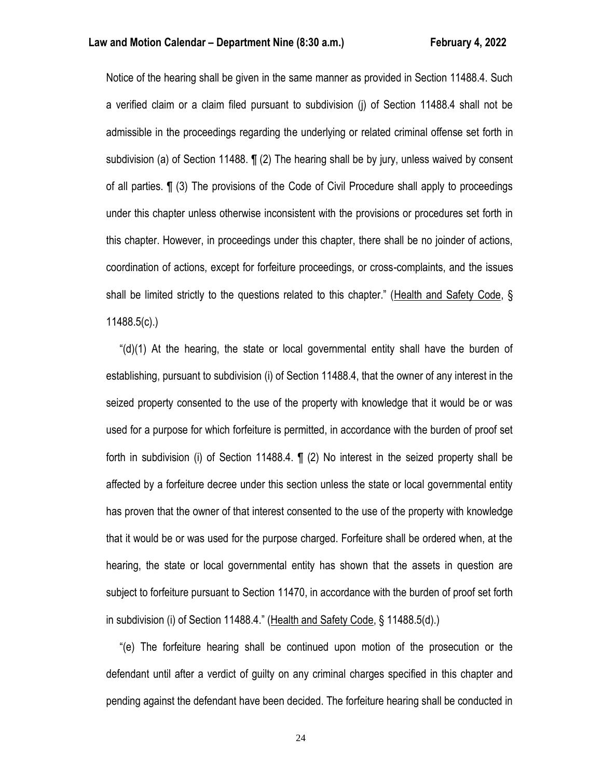Notice of the hearing shall be given in the same manner as provided in Section 11488.4. Such a verified claim or a claim filed pursuant to subdivision (j) of Section 11488.4 shall not be admissible in the proceedings regarding the underlying or related criminal offense set forth in subdivision (a) of Section 11488. ¶ (2) The hearing shall be by jury, unless waived by consent of all parties. ¶ (3) The provisions of the Code of Civil Procedure shall apply to proceedings under this chapter unless otherwise inconsistent with the provisions or procedures set forth in this chapter. However, in proceedings under this chapter, there shall be no joinder of actions, coordination of actions, except for forfeiture proceedings, or cross-complaints, and the issues shall be limited strictly to the questions related to this chapter." (Health and Safety Code, § 11488.5(c).)

 "(d)(1) At the hearing, the state or local governmental entity shall have the burden of establishing, pursuant to subdivision (i) of Section 11488.4, that the owner of any interest in the seized property consented to the use of the property with knowledge that it would be or was used for a purpose for which forfeiture is permitted, in accordance with the burden of proof set forth in subdivision (i) of Section 11488.4. ¶ (2) No interest in the seized property shall be affected by a forfeiture decree under this section unless the state or local governmental entity has proven that the owner of that interest consented to the use of the property with knowledge that it would be or was used for the purpose charged. Forfeiture shall be ordered when, at the hearing, the state or local governmental entity has shown that the assets in question are subject to forfeiture pursuant to Section 11470, in accordance with the burden of proof set forth in subdivision (i) of Section 11488.4." (Health and Safety Code, § 11488.5(d).)

 "(e) The forfeiture hearing shall be continued upon motion of the prosecution or the defendant until after a verdict of guilty on any criminal charges specified in this chapter and pending against the defendant have been decided. The forfeiture hearing shall be conducted in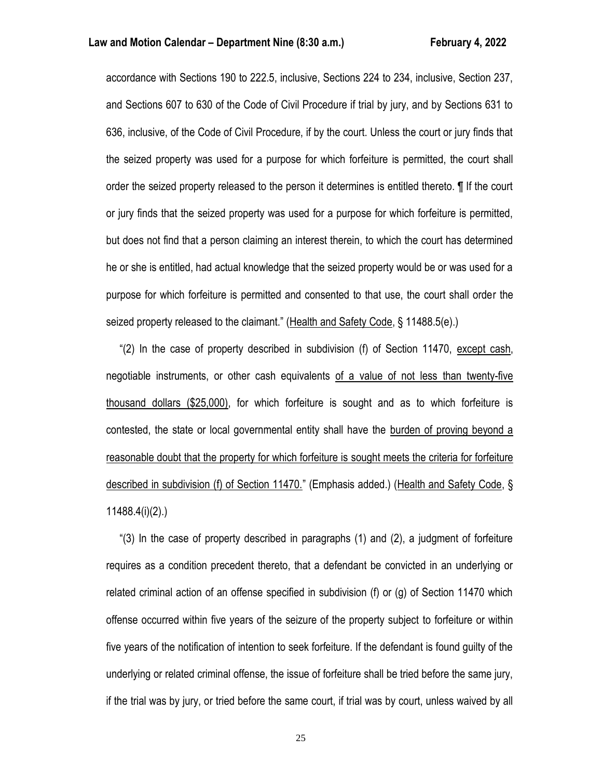accordance with Sections 190 to 222.5, inclusive, Sections 224 to 234, inclusive, Section 237, and Sections 607 to 630 of the Code of Civil Procedure if trial by jury, and by Sections 631 to 636, inclusive, of the Code of Civil Procedure, if by the court. Unless the court or jury finds that the seized property was used for a purpose for which forfeiture is permitted, the court shall order the seized property released to the person it determines is entitled thereto. ¶ If the court or jury finds that the seized property was used for a purpose for which forfeiture is permitted, but does not find that a person claiming an interest therein, to which the court has determined he or she is entitled, had actual knowledge that the seized property would be or was used for a purpose for which forfeiture is permitted and consented to that use, the court shall order the seized property released to the claimant." (Health and Safety Code, § 11488.5(e).)

 "(2) In the case of property described in subdivision (f) of Section 11470, except cash, negotiable instruments, or other cash equivalents of a value of not less than twenty-five thousand dollars (\$25,000), for which forfeiture is sought and as to which forfeiture is contested, the state or local governmental entity shall have the burden of proving beyond a reasonable doubt that the property for which forfeiture is sought meets the criteria for forfeiture described in subdivision (f) of Section 11470." (Emphasis added.) (Health and Safety Code, § 11488.4(i)(2).)

 "(3) In the case of property described in paragraphs (1) and (2), a judgment of forfeiture requires as a condition precedent thereto, that a defendant be convicted in an underlying or related criminal action of an offense specified in subdivision (f) or (g) of Section 11470 which offense occurred within five years of the seizure of the property subject to forfeiture or within five years of the notification of intention to seek forfeiture. If the defendant is found guilty of the underlying or related criminal offense, the issue of forfeiture shall be tried before the same jury, if the trial was by jury, or tried before the same court, if trial was by court, unless waived by all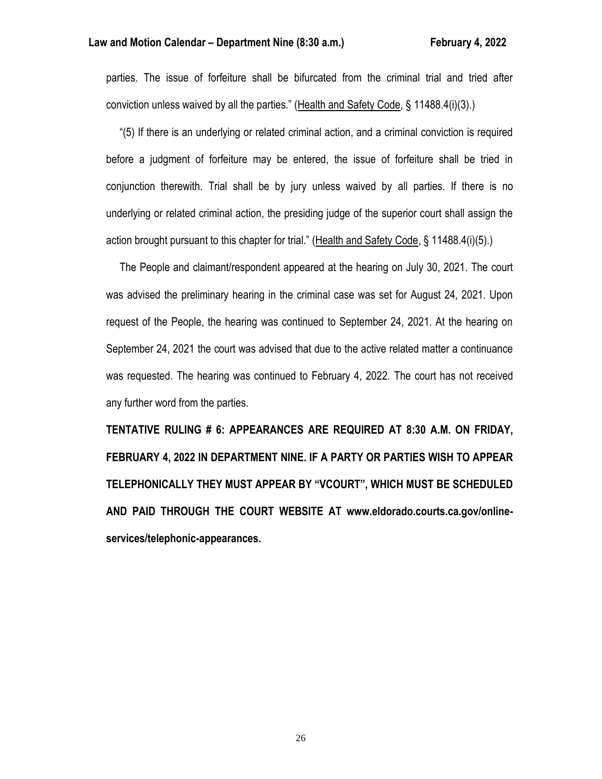parties. The issue of forfeiture shall be bifurcated from the criminal trial and tried after conviction unless waived by all the parties." (Health and Safety Code, § 11488.4(i)(3).)

 "(5) If there is an underlying or related criminal action, and a criminal conviction is required before a judgment of forfeiture may be entered, the issue of forfeiture shall be tried in conjunction therewith. Trial shall be by jury unless waived by all parties. If there is no underlying or related criminal action, the presiding judge of the superior court shall assign the action brought pursuant to this chapter for trial." (Health and Safety Code, § 11488.4(i)(5).)

 The People and claimant/respondent appeared at the hearing on July 30, 2021. The court was advised the preliminary hearing in the criminal case was set for August 24, 2021. Upon request of the People, the hearing was continued to September 24, 2021. At the hearing on September 24, 2021 the court was advised that due to the active related matter a continuance was requested. The hearing was continued to February 4, 2022. The court has not received any further word from the parties.

**TENTATIVE RULING # 6: APPEARANCES ARE REQUIRED AT 8:30 A.M. ON FRIDAY, FEBRUARY 4, 2022 IN DEPARTMENT NINE. IF A PARTY OR PARTIES WISH TO APPEAR TELEPHONICALLY THEY MUST APPEAR BY "VCOURT", WHICH MUST BE SCHEDULED AND PAID THROUGH THE COURT WEBSITE AT www.eldorado.courts.ca.gov/onlineservices/telephonic-appearances.**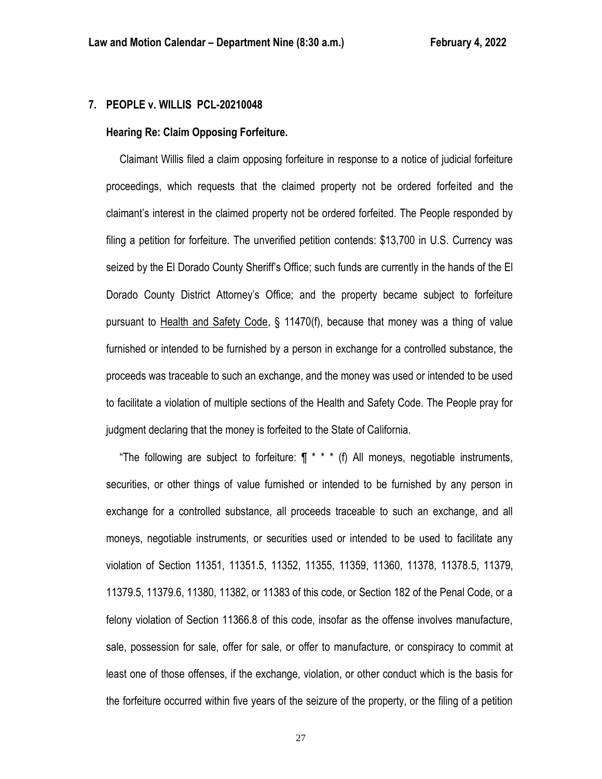### **7. PEOPLE v. WILLIS PCL-20210048**

#### **Hearing Re: Claim Opposing Forfeiture.**

 Claimant Willis filed a claim opposing forfeiture in response to a notice of judicial forfeiture proceedings, which requests that the claimed property not be ordered forfeited and the claimant's interest in the claimed property not be ordered forfeited. The People responded by filing a petition for forfeiture. The unverified petition contends: \$13,700 in U.S. Currency was seized by the El Dorado County Sheriff's Office; such funds are currently in the hands of the El Dorado County District Attorney's Office; and the property became subject to forfeiture pursuant to Health and Safety Code, § 11470(f), because that money was a thing of value furnished or intended to be furnished by a person in exchange for a controlled substance, the proceeds was traceable to such an exchange, and the money was used or intended to be used to facilitate a violation of multiple sections of the Health and Safety Code. The People pray for judgment declaring that the money is forfeited to the State of California.

 "The following are subject to forfeiture: ¶ \* \* \* (f) All moneys, negotiable instruments, securities, or other things of value furnished or intended to be furnished by any person in exchange for a controlled substance, all proceeds traceable to such an exchange, and all moneys, negotiable instruments, or securities used or intended to be used to facilitate any violation of Section 11351, 11351.5, 11352, 11355, 11359, 11360, 11378, 11378.5, 11379, 11379.5, 11379.6, 11380, 11382, or 11383 of this code, or Section 182 of the Penal Code, or a felony violation of Section 11366.8 of this code, insofar as the offense involves manufacture, sale, possession for sale, offer for sale, or offer to manufacture, or conspiracy to commit at least one of those offenses, if the exchange, violation, or other conduct which is the basis for the forfeiture occurred within five years of the seizure of the property, or the filing of a petition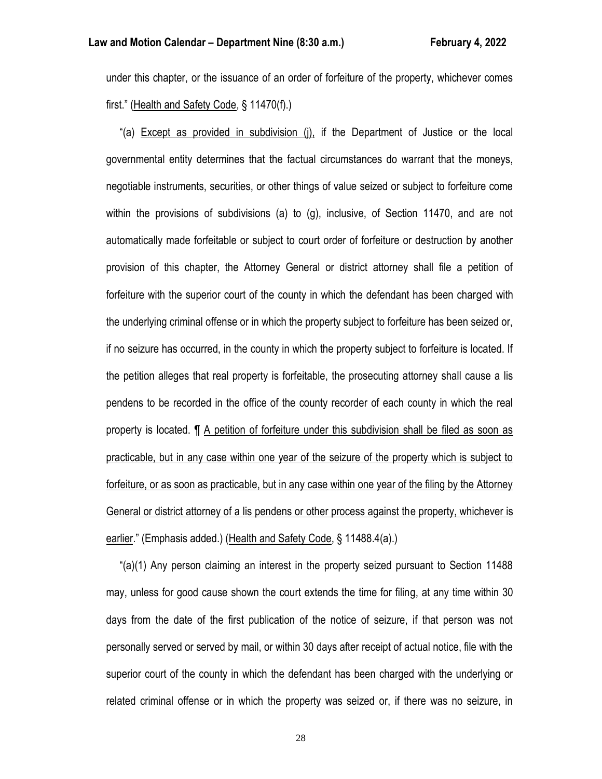under this chapter, or the issuance of an order of forfeiture of the property, whichever comes first." (Health and Safety Code, § 11470(f).)

 "(a) Except as provided in subdivision (j), if the Department of Justice or the local governmental entity determines that the factual circumstances do warrant that the moneys, negotiable instruments, securities, or other things of value seized or subject to forfeiture come within the provisions of subdivisions (a) to (g), inclusive, of Section 11470, and are not automatically made forfeitable or subject to court order of forfeiture or destruction by another provision of this chapter, the Attorney General or district attorney shall file a petition of forfeiture with the superior court of the county in which the defendant has been charged with the underlying criminal offense or in which the property subject to forfeiture has been seized or, if no seizure has occurred, in the county in which the property subject to forfeiture is located. If the petition alleges that real property is forfeitable, the prosecuting attorney shall cause a lis pendens to be recorded in the office of the county recorder of each county in which the real property is located. ¶ A petition of forfeiture under this subdivision shall be filed as soon as practicable, but in any case within one year of the seizure of the property which is subject to forfeiture, or as soon as practicable, but in any case within one year of the filing by the Attorney General or district attorney of a lis pendens or other process against the property, whichever is earlier." (Emphasis added.) (Health and Safety Code, § 11488.4(a).)

 "(a)(1) Any person claiming an interest in the property seized pursuant to Section 11488 may, unless for good cause shown the court extends the time for filing, at any time within 30 days from the date of the first publication of the notice of seizure, if that person was not personally served or served by mail, or within 30 days after receipt of actual notice, file with the superior court of the county in which the defendant has been charged with the underlying or related criminal offense or in which the property was seized or, if there was no seizure, in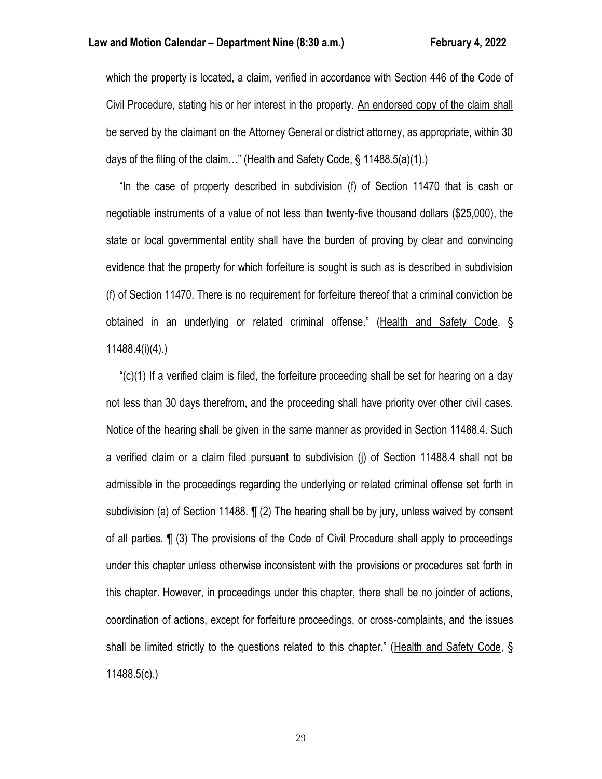which the property is located, a claim, verified in accordance with Section 446 of the Code of Civil Procedure, stating his or her interest in the property. An endorsed copy of the claim shall be served by the claimant on the Attorney General or district attorney, as appropriate, within 30 days of the filing of the claim…" (Health and Safety Code, § 11488.5(a)(1).)

 "In the case of property described in subdivision (f) of Section 11470 that is cash or negotiable instruments of a value of not less than twenty-five thousand dollars (\$25,000), the state or local governmental entity shall have the burden of proving by clear and convincing evidence that the property for which forfeiture is sought is such as is described in subdivision (f) of Section 11470. There is no requirement for forfeiture thereof that a criminal conviction be obtained in an underlying or related criminal offense." (Health and Safety Code, § 11488.4(i)(4).)

" $(c)(1)$  If a verified claim is filed, the forfeiture proceeding shall be set for hearing on a day not less than 30 days therefrom, and the proceeding shall have priority over other civil cases. Notice of the hearing shall be given in the same manner as provided in Section 11488.4. Such a verified claim or a claim filed pursuant to subdivision (j) of Section 11488.4 shall not be admissible in the proceedings regarding the underlying or related criminal offense set forth in subdivision (a) of Section 11488. ¶ (2) The hearing shall be by jury, unless waived by consent of all parties. ¶ (3) The provisions of the Code of Civil Procedure shall apply to proceedings under this chapter unless otherwise inconsistent with the provisions or procedures set forth in this chapter. However, in proceedings under this chapter, there shall be no joinder of actions, coordination of actions, except for forfeiture proceedings, or cross-complaints, and the issues shall be limited strictly to the questions related to this chapter." (Health and Safety Code, § 11488.5(c).)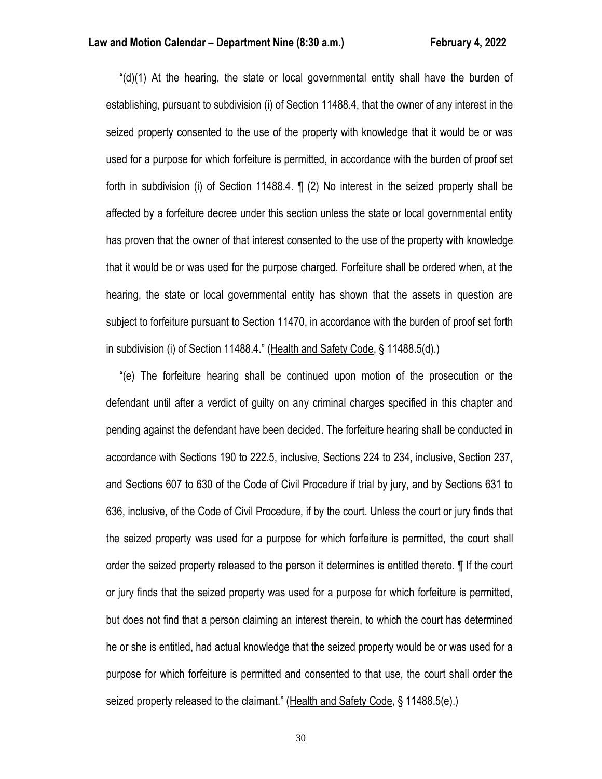" $(d)(1)$  At the hearing, the state or local governmental entity shall have the burden of establishing, pursuant to subdivision (i) of Section 11488.4, that the owner of any interest in the seized property consented to the use of the property with knowledge that it would be or was used for a purpose for which forfeiture is permitted, in accordance with the burden of proof set forth in subdivision (i) of Section 11488.4. ¶ (2) No interest in the seized property shall be affected by a forfeiture decree under this section unless the state or local governmental entity has proven that the owner of that interest consented to the use of the property with knowledge that it would be or was used for the purpose charged. Forfeiture shall be ordered when, at the hearing, the state or local governmental entity has shown that the assets in question are subject to forfeiture pursuant to Section 11470, in accordance with the burden of proof set forth in subdivision (i) of Section 11488.4." (Health and Safety Code, § 11488.5(d).)

 "(e) The forfeiture hearing shall be continued upon motion of the prosecution or the defendant until after a verdict of guilty on any criminal charges specified in this chapter and pending against the defendant have been decided. The forfeiture hearing shall be conducted in accordance with Sections 190 to 222.5, inclusive, Sections 224 to 234, inclusive, Section 237, and Sections 607 to 630 of the Code of Civil Procedure if trial by jury, and by Sections 631 to 636, inclusive, of the Code of Civil Procedure, if by the court. Unless the court or jury finds that the seized property was used for a purpose for which forfeiture is permitted, the court shall order the seized property released to the person it determines is entitled thereto. ¶ If the court or jury finds that the seized property was used for a purpose for which forfeiture is permitted, but does not find that a person claiming an interest therein, to which the court has determined he or she is entitled, had actual knowledge that the seized property would be or was used for a purpose for which forfeiture is permitted and consented to that use, the court shall order the seized property released to the claimant." (Health and Safety Code, § 11488.5(e).)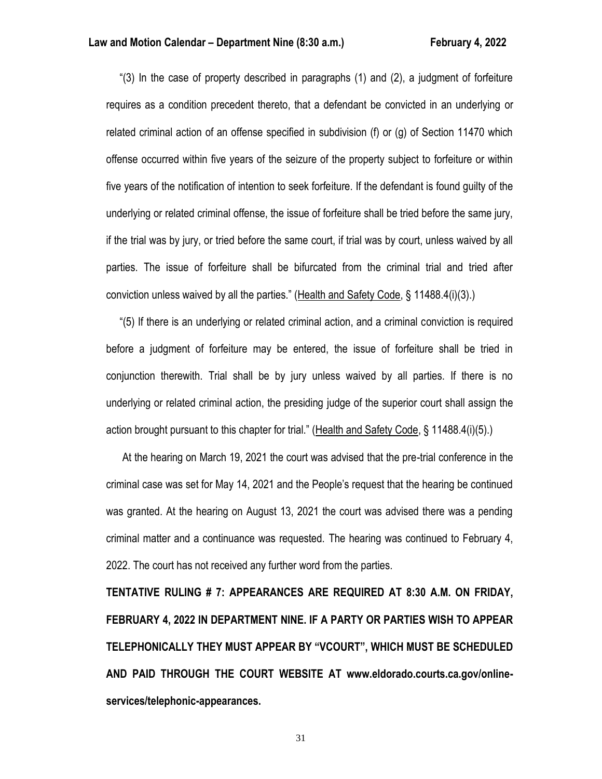"(3) In the case of property described in paragraphs (1) and (2), a judgment of forfeiture requires as a condition precedent thereto, that a defendant be convicted in an underlying or related criminal action of an offense specified in subdivision (f) or (g) of Section 11470 which offense occurred within five years of the seizure of the property subject to forfeiture or within five years of the notification of intention to seek forfeiture. If the defendant is found guilty of the underlying or related criminal offense, the issue of forfeiture shall be tried before the same jury, if the trial was by jury, or tried before the same court, if trial was by court, unless waived by all parties. The issue of forfeiture shall be bifurcated from the criminal trial and tried after conviction unless waived by all the parties." (Health and Safety Code, § 11488.4(i)(3).)

 "(5) If there is an underlying or related criminal action, and a criminal conviction is required before a judgment of forfeiture may be entered, the issue of forfeiture shall be tried in conjunction therewith. Trial shall be by jury unless waived by all parties. If there is no underlying or related criminal action, the presiding judge of the superior court shall assign the action brought pursuant to this chapter for trial." (Health and Safety Code, § 11488.4(i)(5).)

 At the hearing on March 19, 2021 the court was advised that the pre-trial conference in the criminal case was set for May 14, 2021 and the People's request that the hearing be continued was granted. At the hearing on August 13, 2021 the court was advised there was a pending criminal matter and a continuance was requested. The hearing was continued to February 4, 2022. The court has not received any further word from the parties.

**TENTATIVE RULING # 7: APPEARANCES ARE REQUIRED AT 8:30 A.M. ON FRIDAY, FEBRUARY 4, 2022 IN DEPARTMENT NINE. IF A PARTY OR PARTIES WISH TO APPEAR TELEPHONICALLY THEY MUST APPEAR BY "VCOURT", WHICH MUST BE SCHEDULED AND PAID THROUGH THE COURT WEBSITE AT www.eldorado.courts.ca.gov/onlineservices/telephonic-appearances.**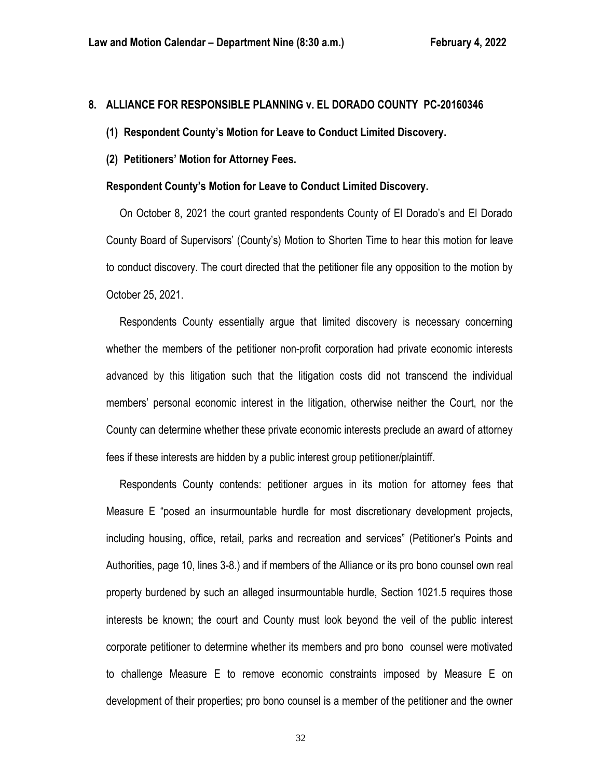### **8. ALLIANCE FOR RESPONSIBLE PLANNING v. EL DORADO COUNTY PC-20160346**

- **(1) Respondent County's Motion for Leave to Conduct Limited Discovery.**
- **(2) Petitioners' Motion for Attorney Fees.**

### **Respondent County's Motion for Leave to Conduct Limited Discovery.**

 On October 8, 2021 the court granted respondents County of El Dorado's and El Dorado County Board of Supervisors' (County's) Motion to Shorten Time to hear this motion for leave to conduct discovery. The court directed that the petitioner file any opposition to the motion by October 25, 2021.

 Respondents County essentially argue that limited discovery is necessary concerning whether the members of the petitioner non-profit corporation had private economic interests advanced by this litigation such that the litigation costs did not transcend the individual members' personal economic interest in the litigation, otherwise neither the Court, nor the County can determine whether these private economic interests preclude an award of attorney fees if these interests are hidden by a public interest group petitioner/plaintiff.

 Respondents County contends: petitioner argues in its motion for attorney fees that Measure E "posed an insurmountable hurdle for most discretionary development projects, including housing, office, retail, parks and recreation and services" (Petitioner's Points and Authorities, page 10, lines 3-8.) and if members of the Alliance or its pro bono counsel own real property burdened by such an alleged insurmountable hurdle, Section 1021.5 requires those interests be known; the court and County must look beyond the veil of the public interest corporate petitioner to determine whether its members and pro bono counsel were motivated to challenge Measure E to remove economic constraints imposed by Measure E on development of their properties; pro bono counsel is a member of the petitioner and the owner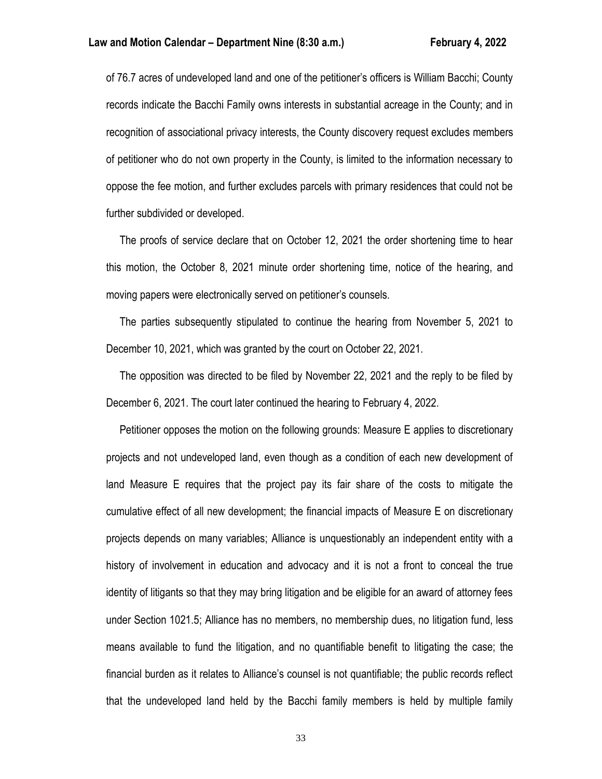of 76.7 acres of undeveloped land and one of the petitioner's officers is William Bacchi; County records indicate the Bacchi Family owns interests in substantial acreage in the County; and in recognition of associational privacy interests, the County discovery request excludes members of petitioner who do not own property in the County, is limited to the information necessary to oppose the fee motion, and further excludes parcels with primary residences that could not be further subdivided or developed.

 The proofs of service declare that on October 12, 2021 the order shortening time to hear this motion, the October 8, 2021 minute order shortening time, notice of the hearing, and moving papers were electronically served on petitioner's counsels.

 The parties subsequently stipulated to continue the hearing from November 5, 2021 to December 10, 2021, which was granted by the court on October 22, 2021.

 The opposition was directed to be filed by November 22, 2021 and the reply to be filed by December 6, 2021. The court later continued the hearing to February 4, 2022.

 Petitioner opposes the motion on the following grounds: Measure E applies to discretionary projects and not undeveloped land, even though as a condition of each new development of land Measure E requires that the project pay its fair share of the costs to mitigate the cumulative effect of all new development; the financial impacts of Measure E on discretionary projects depends on many variables; Alliance is unquestionably an independent entity with a history of involvement in education and advocacy and it is not a front to conceal the true identity of litigants so that they may bring litigation and be eligible for an award of attorney fees under Section 1021.5; Alliance has no members, no membership dues, no litigation fund, less means available to fund the litigation, and no quantifiable benefit to litigating the case; the financial burden as it relates to Alliance's counsel is not quantifiable; the public records reflect that the undeveloped land held by the Bacchi family members is held by multiple family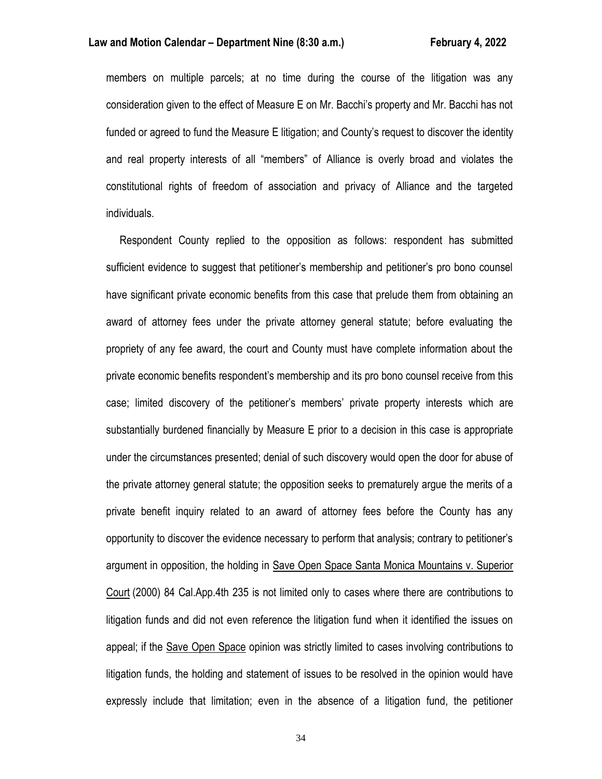members on multiple parcels; at no time during the course of the litigation was any consideration given to the effect of Measure E on Mr. Bacchi's property and Mr. Bacchi has not funded or agreed to fund the Measure E litigation; and County's request to discover the identity and real property interests of all "members" of Alliance is overly broad and violates the constitutional rights of freedom of association and privacy of Alliance and the targeted individuals.

 Respondent County replied to the opposition as follows: respondent has submitted sufficient evidence to suggest that petitioner's membership and petitioner's pro bono counsel have significant private economic benefits from this case that prelude them from obtaining an award of attorney fees under the private attorney general statute; before evaluating the propriety of any fee award, the court and County must have complete information about the private economic benefits respondent's membership and its pro bono counsel receive from this case; limited discovery of the petitioner's members' private property interests which are substantially burdened financially by Measure E prior to a decision in this case is appropriate under the circumstances presented; denial of such discovery would open the door for abuse of the private attorney general statute; the opposition seeks to prematurely argue the merits of a private benefit inquiry related to an award of attorney fees before the County has any opportunity to discover the evidence necessary to perform that analysis; contrary to petitioner's argument in opposition, the holding in Save Open Space Santa Monica Mountains v. Superior Court (2000) 84 Cal.App.4th 235 is not limited only to cases where there are contributions to litigation funds and did not even reference the litigation fund when it identified the issues on appeal; if the Save Open Space opinion was strictly limited to cases involving contributions to litigation funds, the holding and statement of issues to be resolved in the opinion would have expressly include that limitation; even in the absence of a litigation fund, the petitioner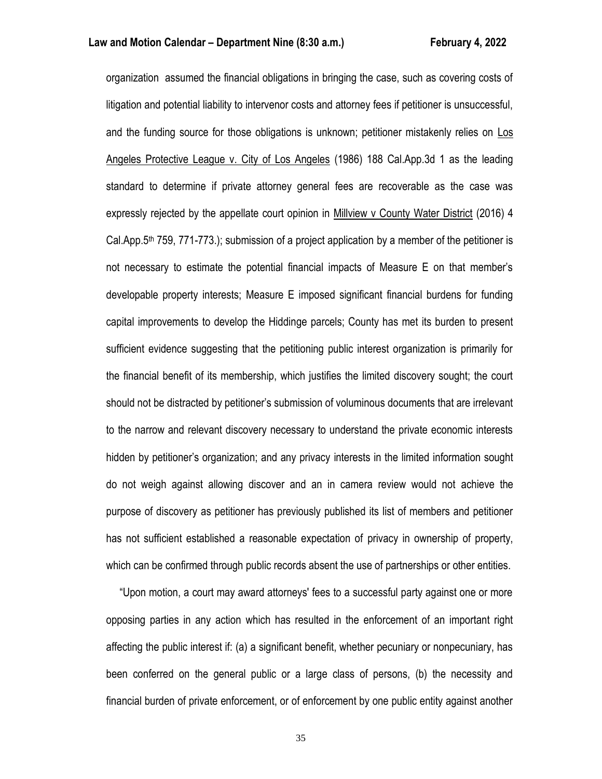organization assumed the financial obligations in bringing the case, such as covering costs of litigation and potential liability to intervenor costs and attorney fees if petitioner is unsuccessful, and the funding source for those obligations is unknown; petitioner mistakenly relies on Los Angeles Protective League v. City of Los Angeles (1986) 188 Cal.App.3d 1 as the leading standard to determine if private attorney general fees are recoverable as the case was expressly rejected by the appellate court opinion in Millview v County Water District (2016) 4 Cal.App.5<sup>th</sup> 759, 771-773.); submission of a project application by a member of the petitioner is not necessary to estimate the potential financial impacts of Measure E on that member's developable property interests; Measure E imposed significant financial burdens for funding capital improvements to develop the Hiddinge parcels; County has met its burden to present sufficient evidence suggesting that the petitioning public interest organization is primarily for the financial benefit of its membership, which justifies the limited discovery sought; the court should not be distracted by petitioner's submission of voluminous documents that are irrelevant to the narrow and relevant discovery necessary to understand the private economic interests hidden by petitioner's organization; and any privacy interests in the limited information sought do not weigh against allowing discover and an in camera review would not achieve the purpose of discovery as petitioner has previously published its list of members and petitioner has not sufficient established a reasonable expectation of privacy in ownership of property, which can be confirmed through public records absent the use of partnerships or other entities.

 "Upon motion, a court may award attorneys' fees to a successful party against one or more opposing parties in any action which has resulted in the enforcement of an important right affecting the public interest if: (a) a significant benefit, whether pecuniary or nonpecuniary, has been conferred on the general public or a large class of persons, (b) the necessity and financial burden of private enforcement, or of enforcement by one public entity against another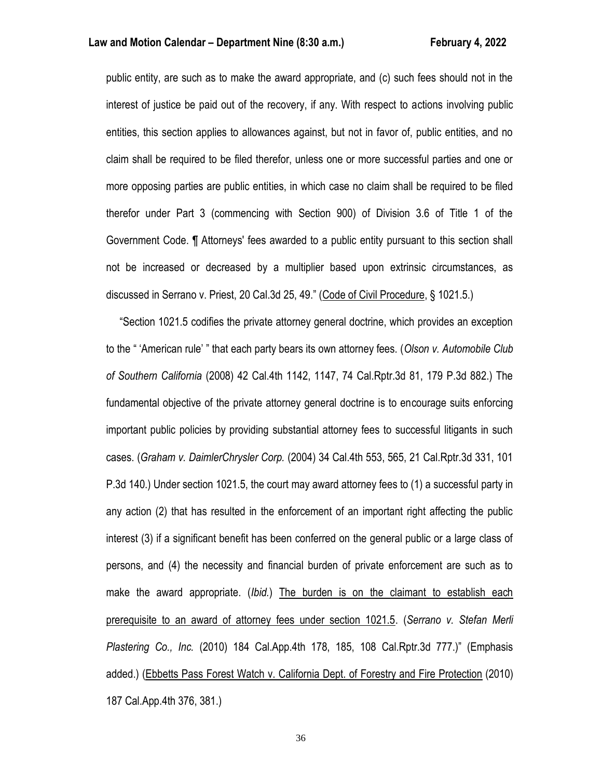public entity, are such as to make the award appropriate, and (c) such fees should not in the interest of justice be paid out of the recovery, if any. With respect to actions involving public entities, this section applies to allowances against, but not in favor of, public entities, and no claim shall be required to be filed therefor, unless one or more successful parties and one or more opposing parties are public entities, in which case no claim shall be required to be filed therefor under Part 3 (commencing with Section 900) of Division 3.6 of Title 1 of the Government Code. ¶ Attorneys' fees awarded to a public entity pursuant to this section shall not be increased or decreased by a multiplier based upon extrinsic circumstances, as discussed in Serrano v. Priest, 20 Cal.3d 25, 49." (Code of Civil Procedure, § 1021.5.)

 "Section 1021.5 codifies the private attorney general doctrine, which provides an exception to the " 'American rule' " that each party bears its own attorney fees. (*Olson v. Automobile Club of Southern California* (2008) 42 Cal.4th 1142, 1147, 74 Cal.Rptr.3d 81, 179 P.3d 882.) The fundamental objective of the private attorney general doctrine is to encourage suits enforcing important public policies by providing substantial attorney fees to successful litigants in such cases. (*Graham v. DaimlerChrysler Corp.* (2004) 34 Cal.4th 553, 565, 21 Cal.Rptr.3d 331, 101 P.3d 140.) Under section 1021.5, the court may award attorney fees to (1) a successful party in any action (2) that has resulted in the enforcement of an important right affecting the public interest (3) if a significant benefit has been conferred on the general public or a large class of persons, and (4) the necessity and financial burden of private enforcement are such as to make the award appropriate. (*Ibid.*) The burden is on the claimant to establish each prerequisite to an award of attorney fees under section 1021.5. (*Serrano v. Stefan Merli Plastering Co., Inc.* (2010) 184 Cal.App.4th 178, 185, 108 Cal.Rptr.3d 777.)" (Emphasis added.) (Ebbetts Pass Forest Watch v. California Dept. of Forestry and Fire Protection (2010) 187 Cal.App.4th 376, 381.)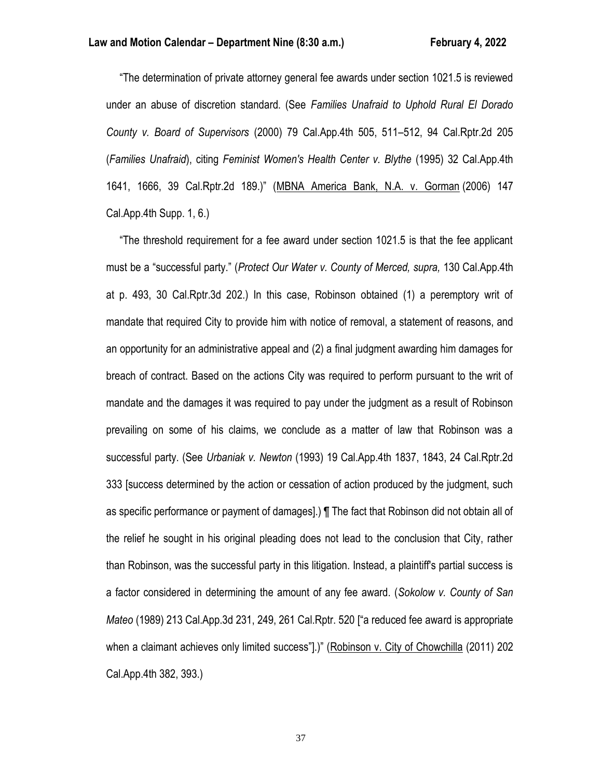"The determination of private attorney general fee awards under section 1021.5 is reviewed under an abuse of discretion standard. (See *Families Unafraid to Uphold Rural El Dorado County v. Board of Supervisors* (2000) 79 Cal.App.4th 505, 511–512, 94 Cal.Rptr.2d 205 (*Families Unafraid*), citing *Feminist Women's Health Center v. Blythe* (1995) 32 Cal.App.4th 1641, 1666, 39 Cal.Rptr.2d 189.)" (MBNA America Bank, N.A. v. Gorman (2006) 147 Cal.App.4th Supp. 1, 6.)

 "The threshold requirement for a fee award under section 1021.5 is that the fee applicant must be a "successful party." (*Protect Our Water v. County of Merced, supra,* 130 Cal.App.4th at p. 493, 30 Cal.Rptr.3d 202.) In this case, Robinson obtained (1) a peremptory writ of mandate that required City to provide him with notice of removal, a statement of reasons, and an opportunity for an administrative appeal and (2) a final judgment awarding him damages for breach of contract. Based on the actions City was required to perform pursuant to the writ of mandate and the damages it was required to pay under the judgment as a result of Robinson prevailing on some of his claims, we conclude as a matter of law that Robinson was a successful party. (See *Urbaniak v. Newton* (1993) 19 Cal.App.4th 1837, 1843, 24 Cal.Rptr.2d 333 [success determined by the action or cessation of action produced by the judgment, such as specific performance or payment of damages].) ¶ The fact that Robinson did not obtain all of the relief he sought in his original pleading does not lead to the conclusion that City, rather than Robinson, was the successful party in this litigation. Instead, a plaintiff's partial success is a factor considered in determining the amount of any fee award. (*Sokolow v. County of San Mateo* (1989) 213 Cal.App.3d 231, 249, 261 Cal.Rptr. 520 ["a reduced fee award is appropriate when a claimant achieves only limited success"].)" (Robinson v. City of Chowchilla (2011) 202 Cal.App.4th 382, 393.)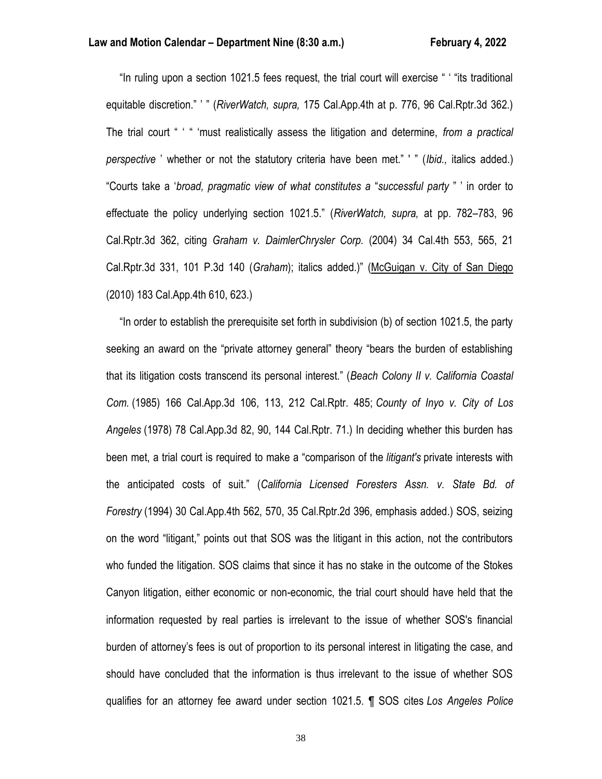"In ruling upon a section 1021.5 fees request, the trial court will exercise " ' "its traditional equitable discretion." ' " (*RiverWatch, supra,* 175 Cal.App.4th at p. 776, 96 Cal.Rptr.3d 362.) The trial court " ' " 'must realistically assess the litigation and determine, *from a practical perspective* ' whether or not the statutory criteria have been met." ' " (*Ibid.,* italics added.) "Courts take a '*broad, pragmatic view of what constitutes a* "*successful party* " ' in order to effectuate the policy underlying section 1021.5." (*RiverWatch, supra,* at pp. 782–783, 96 Cal.Rptr.3d 362, citing *Graham v. DaimlerChrysler Corp.* (2004) 34 Cal.4th 553, 565, 21 Cal.Rptr.3d 331, 101 P.3d 140 (*Graham*); italics added.)" (McGuigan v. City of San Diego (2010) 183 Cal.App.4th 610, 623.)

 "In order to establish the prerequisite set forth in subdivision (b) of section 1021.5, the party seeking an award on the "private attorney general" theory "bears the burden of establishing that its litigation costs transcend its personal interest." (*Beach Colony II v. California Coastal Com.* (1985) 166 Cal.App.3d 106, 113, 212 Cal.Rptr. 485; *County of Inyo v. City of Los Angeles* (1978) 78 Cal.App.3d 82, 90, 144 Cal.Rptr. 71.) In deciding whether this burden has been met, a trial court is required to make a "comparison of the *litigant's* private interests with the anticipated costs of suit." (*California Licensed Foresters Assn. v. State Bd. of Forestry* (1994) 30 Cal.App.4th 562, 570, 35 Cal.Rptr.2d 396, emphasis added.) SOS, seizing on the word "litigant," points out that SOS was the litigant in this action, not the contributors who funded the litigation. SOS claims that since it has no stake in the outcome of the Stokes Canyon litigation, either economic or non-economic, the trial court should have held that the information requested by real parties is irrelevant to the issue of whether SOS's financial burden of attorney's fees is out of proportion to its personal interest in litigating the case, and should have concluded that the information is thus irrelevant to the issue of whether SOS qualifies for an attorney fee award under section 1021.5. ¶ SOS cites *Los Angeles Police*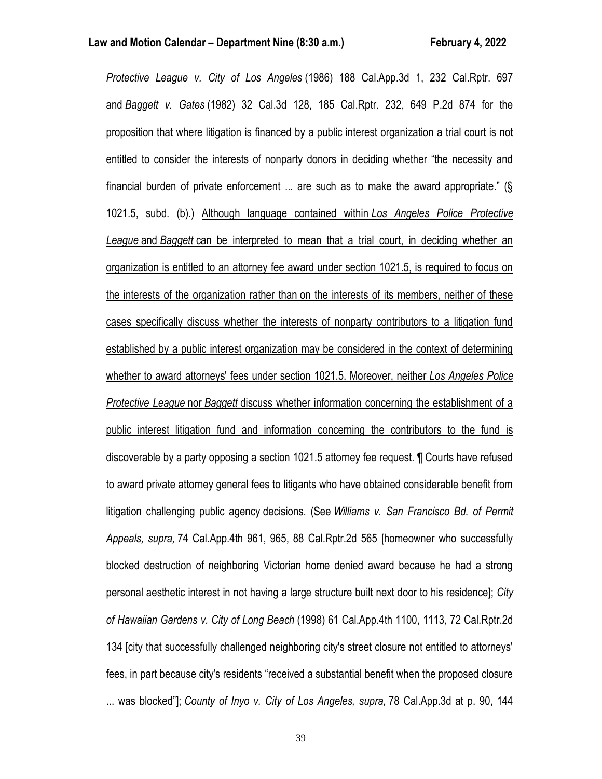*Protective League v. City of Los Angeles* (1986) 188 Cal.App.3d 1, 232 Cal.Rptr. 697 and *Baggett v. Gates* (1982) 32 Cal.3d 128, 185 Cal.Rptr. 232, 649 P.2d 874 for the proposition that where litigation is financed by a public interest organization a trial court is not entitled to consider the interests of nonparty donors in deciding whether "the necessity and financial burden of private enforcement ... are such as to make the award appropriate." (§ 1021.5, subd. (b).) Although language contained within *Los Angeles Police Protective League* and *Baggett* can be interpreted to mean that a trial court, in deciding whether an organization is entitled to an attorney fee award under section 1021.5, is required to focus on the interests of the organization rather than on the interests of its members, neither of these cases specifically discuss whether the interests of nonparty contributors to a litigation fund established by a public interest organization may be considered in the context of determining whether to award attorneys' fees under section 1021.5. Moreover, neither *Los Angeles Police Protective League* nor *Baggett* discuss whether information concerning the establishment of a public interest litigation fund and information concerning the contributors to the fund is discoverable by a party opposing a section 1021.5 attorney fee request. ¶ Courts have refused to award private attorney general fees to litigants who have obtained considerable benefit from litigation challenging public agency decisions. (See *Williams v. San Francisco Bd. of Permit Appeals, supra,* 74 Cal.App.4th 961, 965, 88 Cal.Rptr.2d 565 [homeowner who successfully blocked destruction of neighboring Victorian home denied award because he had a strong personal aesthetic interest in not having a large structure built next door to his residence]; *City of Hawaiian Gardens v. City of Long Beach* (1998) 61 Cal.App.4th 1100, 1113, 72 Cal.Rptr.2d 134 [city that successfully challenged neighboring city's street closure not entitled to attorneys' fees, in part because city's residents "received a substantial benefit when the proposed closure ... was blocked"]; *County of Inyo v. City of Los Angeles, supra,* 78 Cal.App.3d at p. 90, 144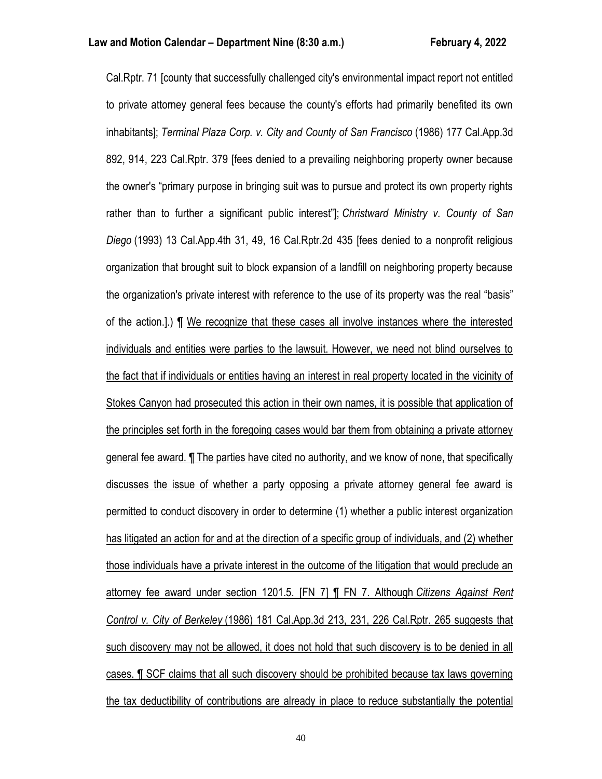Cal.Rptr. 71 [county that successfully challenged city's environmental impact report not entitled to private attorney general fees because the county's efforts had primarily benefited its own inhabitants]; *Terminal Plaza Corp. v. City and County of San Francisco* (1986) 177 Cal.App.3d 892, 914, 223 Cal.Rptr. 379 [fees denied to a prevailing neighboring property owner because the owner's "primary purpose in bringing suit was to pursue and protect its own property rights rather than to further a significant public interest"]; *Christward Ministry v. County of San Diego* (1993) 13 Cal.App.4th 31, 49, 16 Cal.Rptr.2d 435 [fees denied to a nonprofit religious organization that brought suit to block expansion of a landfill on neighboring property because the organization's private interest with reference to the use of its property was the real "basis" of the action.].) ¶ We recognize that these cases all involve instances where the interested individuals and entities were parties to the lawsuit. However, we need not blind ourselves to the fact that if individuals or entities having an interest in real property located in the vicinity of Stokes Canyon had prosecuted this action in their own names, it is possible that application of the principles set forth in the foregoing cases would bar them from obtaining a private attorney general fee award. ¶ The parties have cited no authority, and we know of none, that specifically discusses the issue of whether a party opposing a private attorney general fee award is permitted to conduct discovery in order to determine (1) whether a public interest organization has litigated an action for and at the direction of a specific group of individuals, and (2) whether those individuals have a private interest in the outcome of the litigation that would preclude an attorney fee award under section 1201.5. [FN 7] ¶ FN 7. Although *Citizens Against Rent Control v. City of Berkeley* (1986) 181 Cal.App.3d 213, 231, 226 Cal.Rptr. 265 suggests that such discovery may not be allowed, it does not hold that such discovery is to be denied in all cases. ¶ SCF claims that all such discovery should be prohibited because tax laws governing the tax deductibility of contributions are already in place to reduce substantially the potential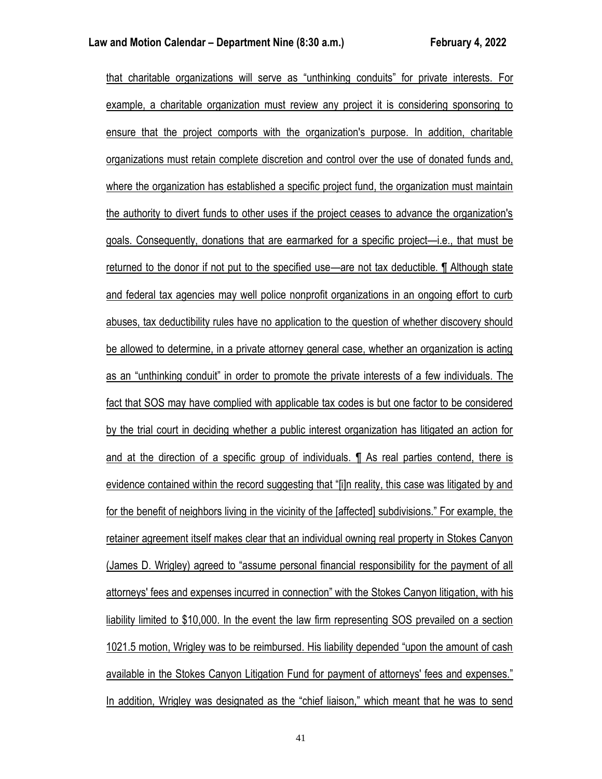that charitable organizations will serve as "unthinking conduits" for private interests. For example, a charitable organization must review any project it is considering sponsoring to ensure that the project comports with the organization's purpose. In addition, charitable organizations must retain complete discretion and control over the use of donated funds and, where the organization has established a specific project fund, the organization must maintain the authority to divert funds to other uses if the project ceases to advance the organization's goals. Consequently, donations that are earmarked for a specific project—i.e., that must be returned to the donor if not put to the specified use—are not tax deductible. ¶ Although state and federal tax agencies may well police nonprofit organizations in an ongoing effort to curb abuses, tax deductibility rules have no application to the question of whether discovery should be allowed to determine, in a private attorney general case, whether an organization is acting as an "unthinking conduit" in order to promote the private interests of a few individuals. The fact that SOS may have complied with applicable tax codes is but one factor to be considered by the trial court in deciding whether a public interest organization has litigated an action for and at the direction of a specific group of individuals. ¶ As real parties contend, there is evidence contained within the record suggesting that "[i]n reality, this case was litigated by and for the benefit of neighbors living in the vicinity of the [affected] subdivisions." For example, the retainer agreement itself makes clear that an individual owning real property in Stokes Canyon (James D. Wrigley) agreed to "assume personal financial responsibility for the payment of all attorneys' fees and expenses incurred in connection" with the Stokes Canyon litigation, with his liability limited to \$10,000. In the event the law firm representing SOS prevailed on a section 1021.5 motion, Wrigley was to be reimbursed. His liability depended "upon the amount of cash available in the Stokes Canyon Litigation Fund for payment of attorneys' fees and expenses." In addition, Wrigley was designated as the "chief liaison," which meant that he was to send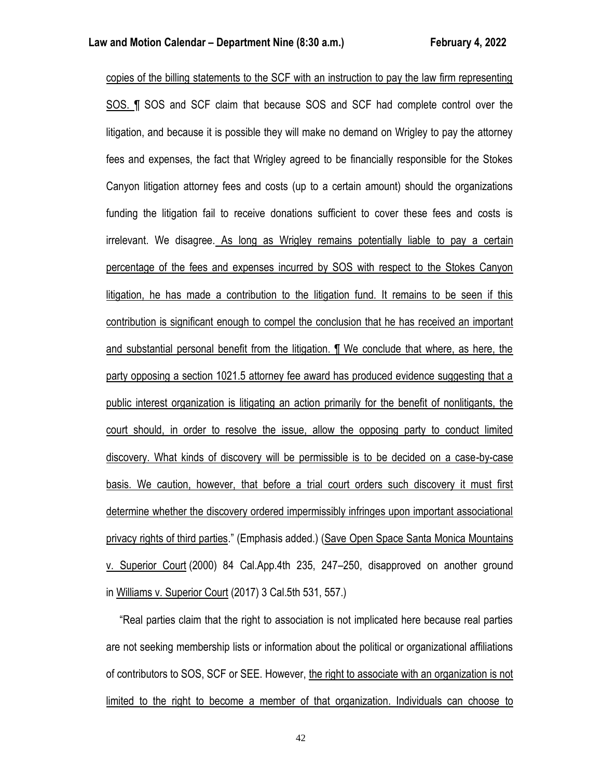copies of the billing statements to the SCF with an instruction to pay the law firm representing SOS. ¶ SOS and SCF claim that because SOS and SCF had complete control over the litigation, and because it is possible they will make no demand on Wrigley to pay the attorney fees and expenses, the fact that Wrigley agreed to be financially responsible for the Stokes Canyon litigation attorney fees and costs (up to a certain amount) should the organizations funding the litigation fail to receive donations sufficient to cover these fees and costs is irrelevant. We disagree. As long as Wrigley remains potentially liable to pay a certain percentage of the fees and expenses incurred by SOS with respect to the Stokes Canyon litigation, he has made a contribution to the litigation fund. It remains to be seen if this contribution is significant enough to compel the conclusion that he has received an important and substantial personal benefit from the litigation. ¶ We conclude that where, as here, the party opposing a section 1021.5 attorney fee award has produced evidence suggesting that a public interest organization is litigating an action primarily for the benefit of nonlitigants, the court should, in order to resolve the issue, allow the opposing party to conduct limited discovery. What kinds of discovery will be permissible is to be decided on a case-by-case basis. We caution, however, that before a trial court orders such discovery it must first determine whether the discovery ordered impermissibly infringes upon important associational privacy rights of third parties." (Emphasis added.) (Save Open Space Santa Monica Mountains v. Superior Court (2000) 84 Cal.App.4th 235, 247–250, disapproved on another ground in Williams v. Superior Court (2017) 3 Cal.5th 531, 557.)

 "Real parties claim that the right to association is not implicated here because real parties are not seeking membership lists or information about the political or organizational affiliations of contributors to SOS, SCF or SEE. However, the right to associate with an organization is not limited to the right to become a member of that organization. Individuals can choose to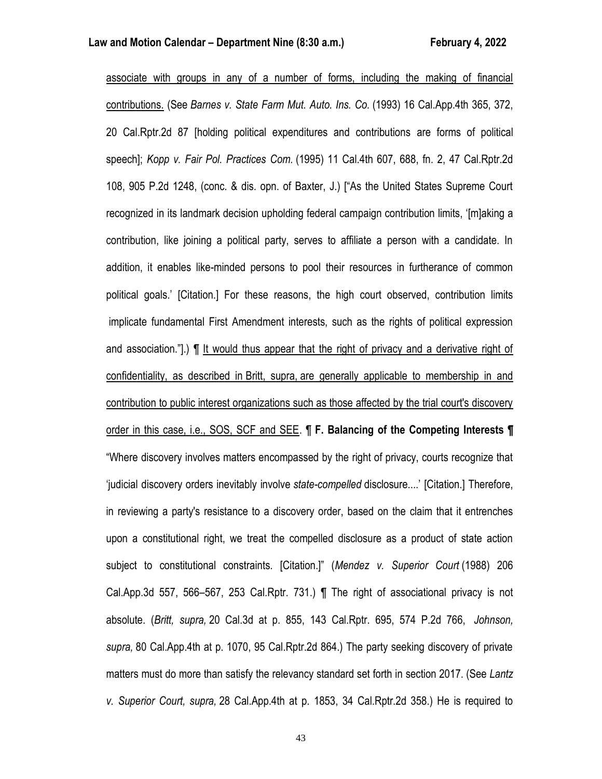associate with groups in any of a number of forms, including the making of financial contributions. (See *Barnes v. State Farm Mut. Auto. Ins. Co.* (1993) 16 Cal.App.4th 365, 372, 20 Cal.Rptr.2d 87 [holding political expenditures and contributions are forms of political speech]; *Kopp v. Fair Pol. Practices Com.* (1995) 11 Cal.4th 607, 688, fn. 2, 47 Cal.Rptr.2d 108, 905 P.2d 1248, (conc. & dis. opn. of Baxter, J.) ["As the United States Supreme Court recognized in its landmark decision upholding federal campaign contribution limits, '[m]aking a contribution, like joining a political party, serves to affiliate a person with a candidate. In addition, it enables like-minded persons to pool their resources in furtherance of common political goals.' [Citation.] For these reasons, the high court observed, contribution limits implicate fundamental First Amendment interests, such as the rights of political expression and association."].) ¶ It would thus appear that the right of privacy and a derivative right of confidentiality, as described in Britt, supra, are generally applicable to membership in and contribution to public interest organizations such as those affected by the trial court's discovery order in this case, i.e., SOS, SCF and SEE. ¶ **F. Balancing of the Competing Interests ¶** "Where discovery involves matters encompassed by the right of privacy, courts recognize that 'judicial discovery orders inevitably involve *state-compelled* disclosure....' [Citation.] Therefore, in reviewing a party's resistance to a discovery order, based on the claim that it entrenches upon a constitutional right, we treat the compelled disclosure as a product of state action subject to constitutional constraints. [Citation.]" (*Mendez v. Superior Court* (1988) 206 Cal.App.3d 557, 566–567, 253 Cal.Rptr. 731.) ¶ The right of associational privacy is not absolute. (*Britt, supra,* 20 Cal.3d at p. 855, 143 Cal.Rptr. 695, 574 P.2d 766, *Johnson, supra,* 80 Cal.App.4th at p. 1070, 95 Cal.Rptr.2d 864.) The party seeking discovery of private matters must do more than satisfy the relevancy standard set forth in section 2017. (See *Lantz v. Superior Court, supra,* 28 Cal.App.4th at p. 1853, 34 Cal.Rptr.2d 358.) He is required to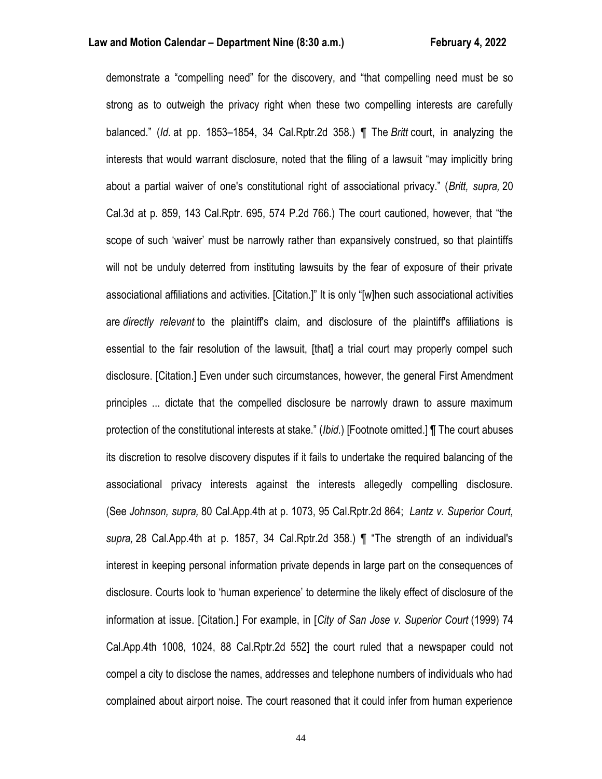demonstrate a "compelling need" for the discovery, and "that compelling need must be so strong as to outweigh the privacy right when these two compelling interests are carefully balanced." (*Id.* at pp. 1853–1854, 34 Cal.Rptr.2d 358.) ¶ The *Britt* court, in analyzing the interests that would warrant disclosure, noted that the filing of a lawsuit "may implicitly bring about a partial waiver of one's constitutional right of associational privacy." (*Britt, supra,* 20 Cal.3d at p. 859, 143 Cal.Rptr. 695, 574 P.2d 766.) The court cautioned, however, that "the scope of such 'waiver' must be narrowly rather than expansively construed, so that plaintiffs will not be unduly deterred from instituting lawsuits by the fear of exposure of their private associational affiliations and activities. [Citation.]" It is only "[w]hen such associational activities are *directly relevant* to the plaintiff's claim, and disclosure of the plaintiff's affiliations is essential to the fair resolution of the lawsuit, [that] a trial court may properly compel such disclosure. [Citation.] Even under such circumstances, however, the general First Amendment principles ... dictate that the compelled disclosure be narrowly drawn to assure maximum protection of the constitutional interests at stake." (*Ibid.*) [Footnote omitted.] ¶ The court abuses its discretion to resolve discovery disputes if it fails to undertake the required balancing of the associational privacy interests against the interests allegedly compelling disclosure. (See *Johnson, supra,* 80 Cal.App.4th at p. 1073, 95 Cal.Rptr.2d 864; *Lantz v. Superior Court, supra,* 28 Cal.App.4th at p. 1857, 34 Cal.Rptr.2d 358.) ¶ "The strength of an individual's interest in keeping personal information private depends in large part on the consequences of disclosure. Courts look to 'human experience' to determine the likely effect of disclosure of the information at issue. [Citation.] For example, in [*City of San Jose v. Superior Court* (1999) 74 Cal.App.4th 1008, 1024, 88 Cal.Rptr.2d 552] the court ruled that a newspaper could not compel a city to disclose the names, addresses and telephone numbers of individuals who had complained about airport noise. The court reasoned that it could infer from human experience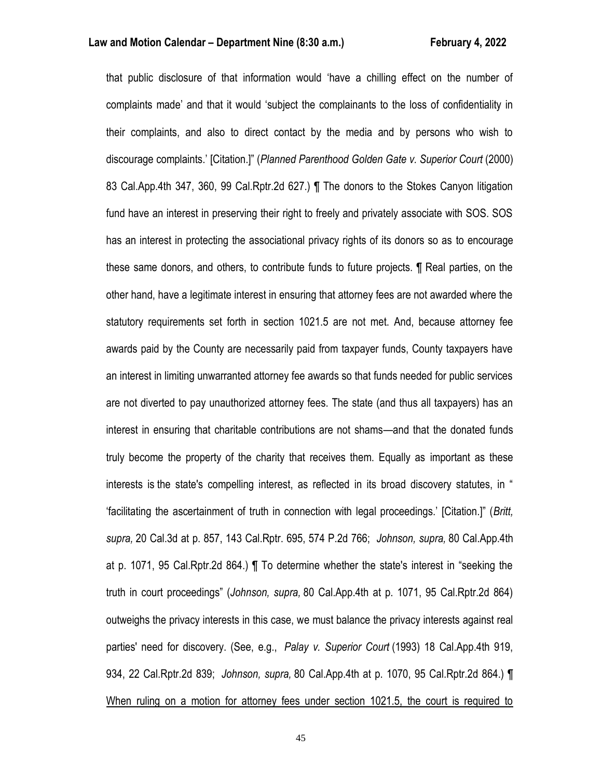that public disclosure of that information would 'have a chilling effect on the number of complaints made' and that it would 'subject the complainants to the loss of confidentiality in their complaints, and also to direct contact by the media and by persons who wish to discourage complaints.' [Citation.]" (*Planned Parenthood Golden Gate v. Superior Court* (2000) 83 Cal.App.4th 347, 360, 99 Cal.Rptr.2d 627.) ¶ The donors to the Stokes Canyon litigation fund have an interest in preserving their right to freely and privately associate with SOS. SOS has an interest in protecting the associational privacy rights of its donors so as to encourage these same donors, and others, to contribute funds to future projects. ¶ Real parties, on the other hand, have a legitimate interest in ensuring that attorney fees are not awarded where the statutory requirements set forth in section 1021.5 are not met. And, because attorney fee awards paid by the County are necessarily paid from taxpayer funds, County taxpayers have an interest in limiting unwarranted attorney fee awards so that funds needed for public services are not diverted to pay unauthorized attorney fees. The state (and thus all taxpayers) has an interest in ensuring that charitable contributions are not shams—and that the donated funds truly become the property of the charity that receives them. Equally as important as these interests is the state's compelling interest, as reflected in its broad discovery statutes, in " 'facilitating the ascertainment of truth in connection with legal proceedings.' [Citation.]" (*Britt, supra,* 20 Cal.3d at p. 857, 143 Cal.Rptr. 695, 574 P.2d 766; *Johnson, supra,* 80 Cal.App.4th at p. 1071, 95 Cal.Rptr.2d 864.) ¶ To determine whether the state's interest in "seeking the truth in court proceedings" (*Johnson, supra,* 80 Cal.App.4th at p. 1071, 95 Cal.Rptr.2d 864) outweighs the privacy interests in this case, we must balance the privacy interests against real parties' need for discovery. (See, e.g., *Palay v. Superior Court* (1993) 18 Cal.App.4th 919, 934, 22 Cal.Rptr.2d 839; *Johnson, supra,* 80 Cal.App.4th at p. 1070, 95 Cal.Rptr.2d 864.) ¶ When ruling on a motion for attorney fees under section 1021.5, the court is required to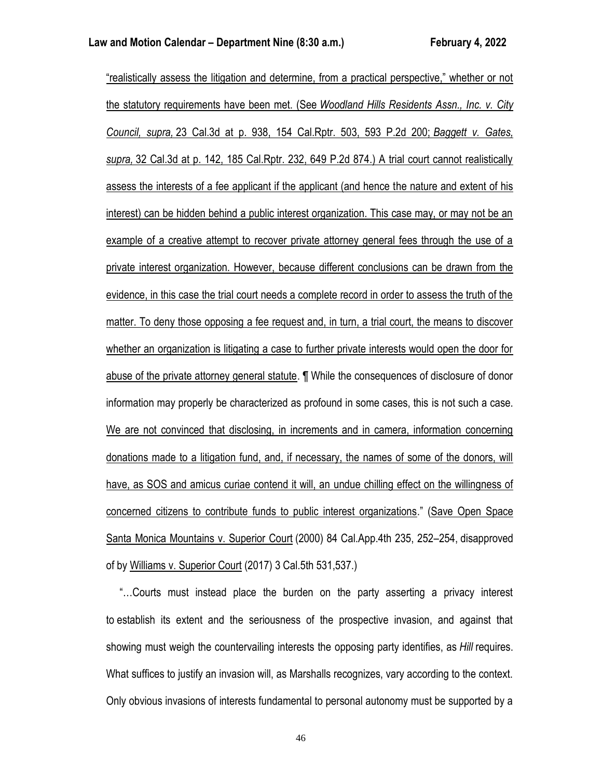"realistically assess the litigation and determine, from a practical perspective," whether or not the statutory requirements have been met. (See *Woodland Hills Residents Assn., Inc. v. City Council, supra,* 23 Cal.3d at p. 938, 154 Cal.Rptr. 503, 593 P.2d 200; *Baggett v. Gates, supra,* 32 Cal.3d at p. 142, 185 Cal.Rptr. 232, 649 P.2d 874.) A trial court cannot realistically assess the interests of a fee applicant if the applicant (and hence the nature and extent of his interest) can be hidden behind a public interest organization. This case may, or may not be an example of a creative attempt to recover private attorney general fees through the use of a private interest organization. However, because different conclusions can be drawn from the evidence, in this case the trial court needs a complete record in order to assess the truth of the matter. To deny those opposing a fee request and, in turn, a trial court, the means to discover whether an organization is litigating a case to further private interests would open the door for abuse of the private attorney general statute. ¶ While the consequences of disclosure of donor information may properly be characterized as profound in some cases, this is not such a case. We are not convinced that disclosing, in increments and in camera, information concerning donations made to a litigation fund, and, if necessary, the names of some of the donors, will have, as SOS and amicus curiae contend it will, an undue chilling effect on the willingness of concerned citizens to contribute funds to public interest organizations." (Save Open Space Santa Monica Mountains v. Superior Court (2000) 84 Cal.App.4th 235, 252–254, disapproved of by Williams v. Superior Court (2017) 3 Cal.5th 531,537.)

 "…Courts must instead place the burden on the party asserting a privacy interest to establish its extent and the seriousness of the prospective invasion, and against that showing must weigh the countervailing interests the opposing party identifies, as *Hill* requires. What suffices to justify an invasion will, as Marshalls recognizes, vary according to the context. Only obvious invasions of interests fundamental to personal autonomy must be supported by a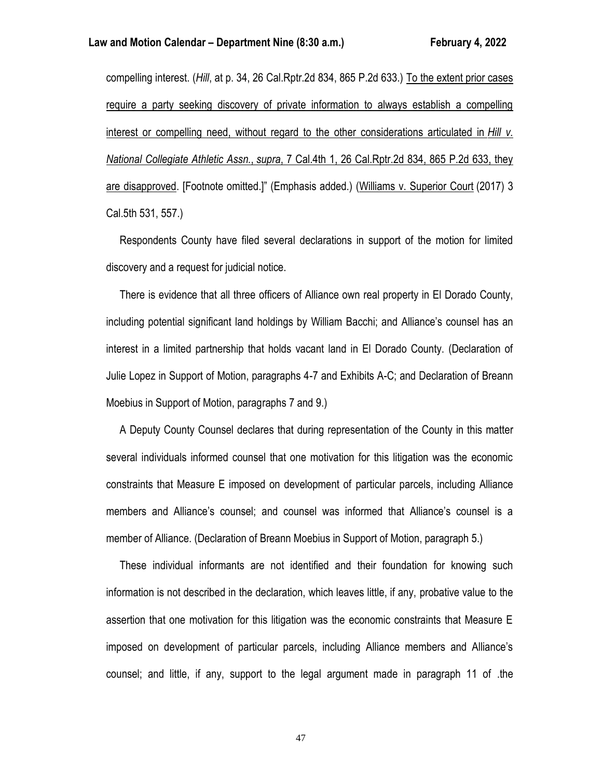compelling interest. (*Hill*, at p. 34, 26 Cal.Rptr.2d 834, 865 P.2d 633.) To the extent prior cases require a party seeking discovery of private information to always establish a compelling interest or compelling need, without regard to the other considerations articulated in *Hill v. National Collegiate Athletic Assn.*, *supra*, 7 Cal.4th 1, 26 Cal.Rptr.2d 834, 865 P.2d 633, they are disapproved. [Footnote omitted.]" (Emphasis added.) (Williams v. Superior Court (2017) 3 Cal.5th 531, 557.)

 Respondents County have filed several declarations in support of the motion for limited discovery and a request for judicial notice.

 There is evidence that all three officers of Alliance own real property in El Dorado County, including potential significant land holdings by William Bacchi; and Alliance's counsel has an interest in a limited partnership that holds vacant land in El Dorado County. (Declaration of Julie Lopez in Support of Motion, paragraphs 4-7 and Exhibits A-C; and Declaration of Breann Moebius in Support of Motion, paragraphs 7 and 9.)

 A Deputy County Counsel declares that during representation of the County in this matter several individuals informed counsel that one motivation for this litigation was the economic constraints that Measure E imposed on development of particular parcels, including Alliance members and Alliance's counsel; and counsel was informed that Alliance's counsel is a member of Alliance. (Declaration of Breann Moebius in Support of Motion, paragraph 5.)

 These individual informants are not identified and their foundation for knowing such information is not described in the declaration, which leaves little, if any, probative value to the assertion that one motivation for this litigation was the economic constraints that Measure E imposed on development of particular parcels, including Alliance members and Alliance's counsel; and little, if any, support to the legal argument made in paragraph 11 of .the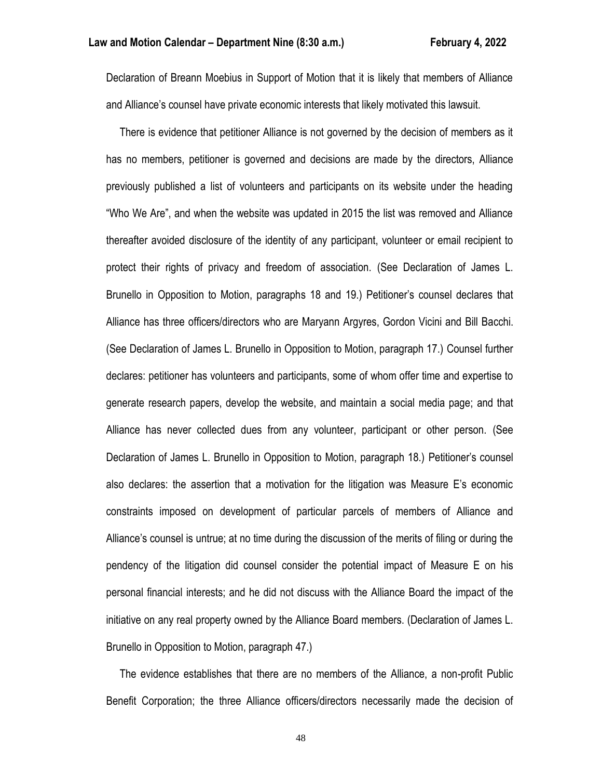Declaration of Breann Moebius in Support of Motion that it is likely that members of Alliance and Alliance's counsel have private economic interests that likely motivated this lawsuit.

 There is evidence that petitioner Alliance is not governed by the decision of members as it has no members, petitioner is governed and decisions are made by the directors, Alliance previously published a list of volunteers and participants on its website under the heading "Who We Are", and when the website was updated in 2015 the list was removed and Alliance thereafter avoided disclosure of the identity of any participant, volunteer or email recipient to protect their rights of privacy and freedom of association. (See Declaration of James L. Brunello in Opposition to Motion, paragraphs 18 and 19.) Petitioner's counsel declares that Alliance has three officers/directors who are Maryann Argyres, Gordon Vicini and Bill Bacchi. (See Declaration of James L. Brunello in Opposition to Motion, paragraph 17.) Counsel further declares: petitioner has volunteers and participants, some of whom offer time and expertise to generate research papers, develop the website, and maintain a social media page; and that Alliance has never collected dues from any volunteer, participant or other person. (See Declaration of James L. Brunello in Opposition to Motion, paragraph 18.) Petitioner's counsel also declares: the assertion that a motivation for the litigation was Measure E's economic constraints imposed on development of particular parcels of members of Alliance and Alliance's counsel is untrue; at no time during the discussion of the merits of filing or during the pendency of the litigation did counsel consider the potential impact of Measure E on his personal financial interests; and he did not discuss with the Alliance Board the impact of the initiative on any real property owned by the Alliance Board members. (Declaration of James L. Brunello in Opposition to Motion, paragraph 47.)

 The evidence establishes that there are no members of the Alliance, a non-profit Public Benefit Corporation; the three Alliance officers/directors necessarily made the decision of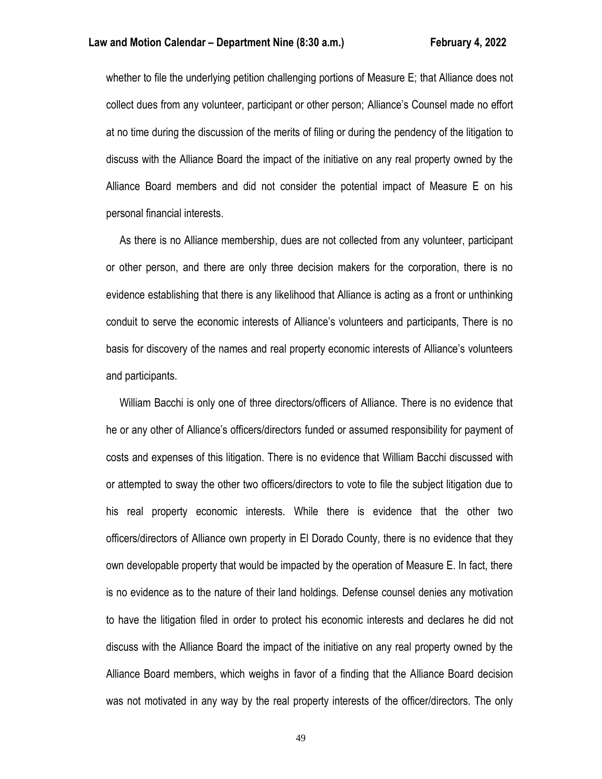whether to file the underlying petition challenging portions of Measure E; that Alliance does not collect dues from any volunteer, participant or other person; Alliance's Counsel made no effort at no time during the discussion of the merits of filing or during the pendency of the litigation to discuss with the Alliance Board the impact of the initiative on any real property owned by the Alliance Board members and did not consider the potential impact of Measure E on his personal financial interests.

 As there is no Alliance membership, dues are not collected from any volunteer, participant or other person, and there are only three decision makers for the corporation, there is no evidence establishing that there is any likelihood that Alliance is acting as a front or unthinking conduit to serve the economic interests of Alliance's volunteers and participants, There is no basis for discovery of the names and real property economic interests of Alliance's volunteers and participants.

 William Bacchi is only one of three directors/officers of Alliance. There is no evidence that he or any other of Alliance's officers/directors funded or assumed responsibility for payment of costs and expenses of this litigation. There is no evidence that William Bacchi discussed with or attempted to sway the other two officers/directors to vote to file the subject litigation due to his real property economic interests. While there is evidence that the other two officers/directors of Alliance own property in El Dorado County, there is no evidence that they own developable property that would be impacted by the operation of Measure E. In fact, there is no evidence as to the nature of their land holdings. Defense counsel denies any motivation to have the litigation filed in order to protect his economic interests and declares he did not discuss with the Alliance Board the impact of the initiative on any real property owned by the Alliance Board members, which weighs in favor of a finding that the Alliance Board decision was not motivated in any way by the real property interests of the officer/directors. The only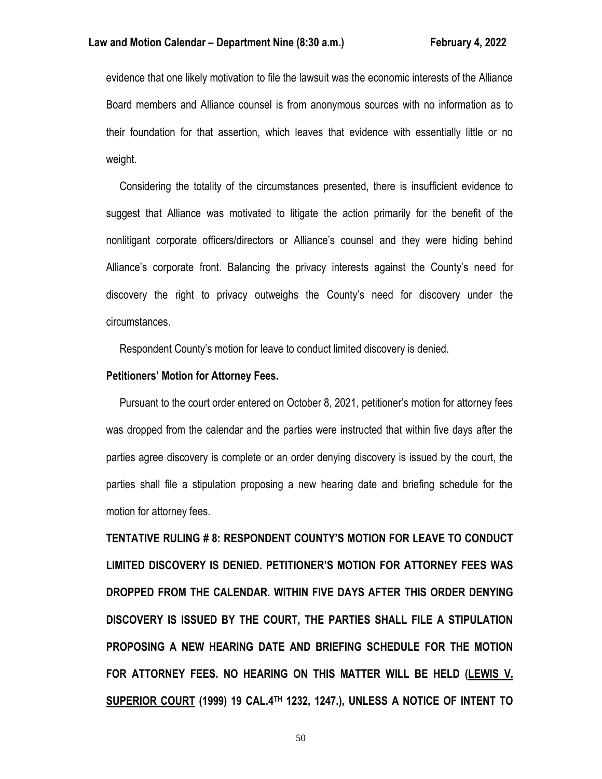evidence that one likely motivation to file the lawsuit was the economic interests of the Alliance Board members and Alliance counsel is from anonymous sources with no information as to their foundation for that assertion, which leaves that evidence with essentially little or no weight.

 Considering the totality of the circumstances presented, there is insufficient evidence to suggest that Alliance was motivated to litigate the action primarily for the benefit of the nonlitigant corporate officers/directors or Alliance's counsel and they were hiding behind Alliance's corporate front. Balancing the privacy interests against the County's need for discovery the right to privacy outweighs the County's need for discovery under the circumstances.

Respondent County's motion for leave to conduct limited discovery is denied.

### **Petitioners' Motion for Attorney Fees.**

 Pursuant to the court order entered on October 8, 2021, petitioner's motion for attorney fees was dropped from the calendar and the parties were instructed that within five days after the parties agree discovery is complete or an order denying discovery is issued by the court, the parties shall file a stipulation proposing a new hearing date and briefing schedule for the motion for attorney fees.

**TENTATIVE RULING # 8: RESPONDENT COUNTY'S MOTION FOR LEAVE TO CONDUCT LIMITED DISCOVERY IS DENIED. PETITIONER'S MOTION FOR ATTORNEY FEES WAS DROPPED FROM THE CALENDAR. WITHIN FIVE DAYS AFTER THIS ORDER DENYING DISCOVERY IS ISSUED BY THE COURT, THE PARTIES SHALL FILE A STIPULATION PROPOSING A NEW HEARING DATE AND BRIEFING SCHEDULE FOR THE MOTION FOR ATTORNEY FEES. NO HEARING ON THIS MATTER WILL BE HELD (LEWIS V. SUPERIOR COURT (1999) 19 CAL.4TH 1232, 1247.), UNLESS A NOTICE OF INTENT TO**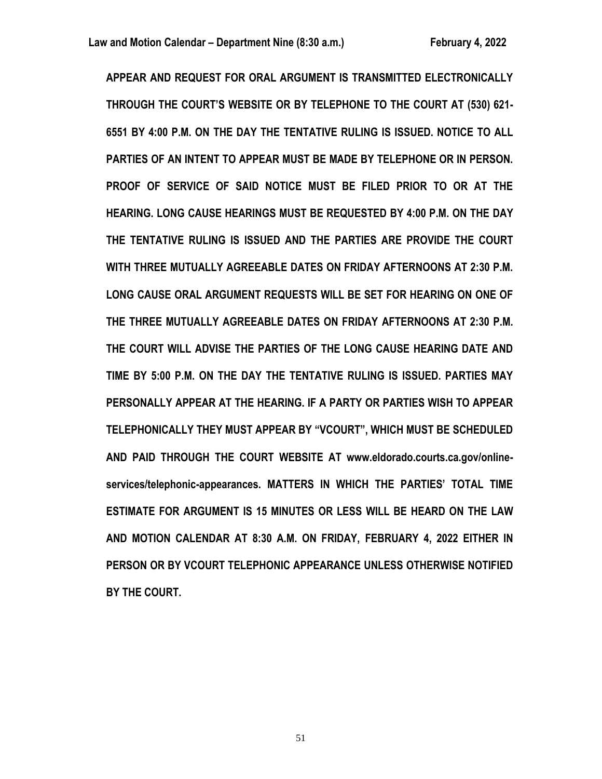**APPEAR AND REQUEST FOR ORAL ARGUMENT IS TRANSMITTED ELECTRONICALLY THROUGH THE COURT'S WEBSITE OR BY TELEPHONE TO THE COURT AT (530) 621- 6551 BY 4:00 P.M. ON THE DAY THE TENTATIVE RULING IS ISSUED. NOTICE TO ALL PARTIES OF AN INTENT TO APPEAR MUST BE MADE BY TELEPHONE OR IN PERSON. PROOF OF SERVICE OF SAID NOTICE MUST BE FILED PRIOR TO OR AT THE HEARING. LONG CAUSE HEARINGS MUST BE REQUESTED BY 4:00 P.M. ON THE DAY THE TENTATIVE RULING IS ISSUED AND THE PARTIES ARE PROVIDE THE COURT WITH THREE MUTUALLY AGREEABLE DATES ON FRIDAY AFTERNOONS AT 2:30 P.M. LONG CAUSE ORAL ARGUMENT REQUESTS WILL BE SET FOR HEARING ON ONE OF THE THREE MUTUALLY AGREEABLE DATES ON FRIDAY AFTERNOONS AT 2:30 P.M. THE COURT WILL ADVISE THE PARTIES OF THE LONG CAUSE HEARING DATE AND TIME BY 5:00 P.M. ON THE DAY THE TENTATIVE RULING IS ISSUED. PARTIES MAY PERSONALLY APPEAR AT THE HEARING. IF A PARTY OR PARTIES WISH TO APPEAR TELEPHONICALLY THEY MUST APPEAR BY "VCOURT", WHICH MUST BE SCHEDULED AND PAID THROUGH THE COURT WEBSITE AT www.eldorado.courts.ca.gov/onlineservices/telephonic-appearances. MATTERS IN WHICH THE PARTIES' TOTAL TIME ESTIMATE FOR ARGUMENT IS 15 MINUTES OR LESS WILL BE HEARD ON THE LAW AND MOTION CALENDAR AT 8:30 A.M. ON FRIDAY, FEBRUARY 4, 2022 EITHER IN PERSON OR BY VCOURT TELEPHONIC APPEARANCE UNLESS OTHERWISE NOTIFIED BY THE COURT.**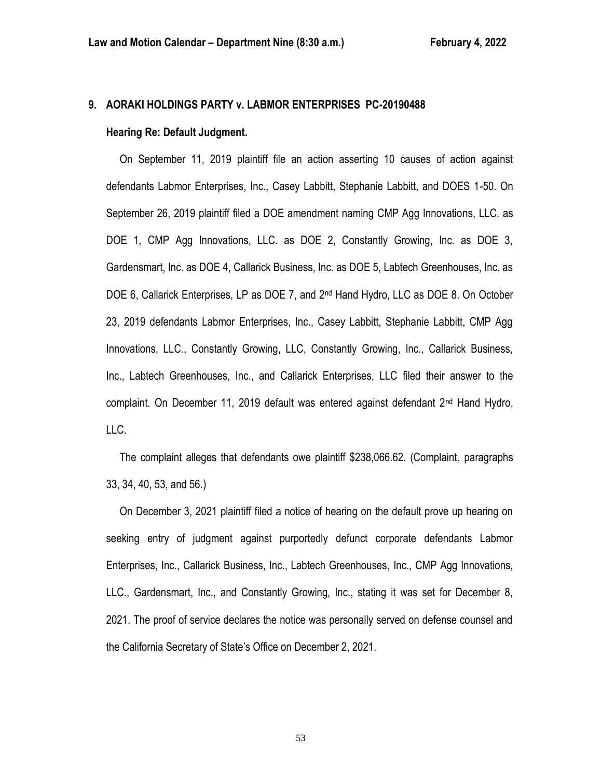# **9. AORAKI HOLDINGS PARTY v. LABMOR ENTERPRISES PC-20190488**

### **Hearing Re: Default Judgment.**

 On September 11, 2019 plaintiff file an action asserting 10 causes of action against defendants Labmor Enterprises, Inc., Casey Labbitt, Stephanie Labbitt, and DOES 1-50. On September 26, 2019 plaintiff filed a DOE amendment naming CMP Agg Innovations, LLC. as DOE 1, CMP Agg Innovations, LLC. as DOE 2, Constantly Growing, Inc. as DOE 3, Gardensmart, Inc. as DOE 4, Callarick Business, Inc. as DOE 5, Labtech Greenhouses, Inc. as DOE 6, Callarick Enterprises, LP as DOE 7, and 2<sup>nd</sup> Hand Hydro, LLC as DOE 8. On October 23, 2019 defendants Labmor Enterprises, Inc., Casey Labbitt, Stephanie Labbitt, CMP Agg Innovations, LLC., Constantly Growing, LLC, Constantly Growing, Inc., Callarick Business, Inc., Labtech Greenhouses, Inc., and Callarick Enterprises, LLC filed their answer to the complaint. On December 11, 2019 default was entered against defendant 2nd Hand Hydro, LLC.

 The complaint alleges that defendants owe plaintiff \$238,066.62. (Complaint, paragraphs 33, 34, 40, 53, and 56.)

 On December 3, 2021 plaintiff filed a notice of hearing on the default prove up hearing on seeking entry of judgment against purportedly defunct corporate defendants Labmor Enterprises, Inc., Callarick Business, Inc., Labtech Greenhouses, Inc., CMP Agg Innovations, LLC., Gardensmart, Inc., and Constantly Growing, Inc., stating it was set for December 8, 2021. The proof of service declares the notice was personally served on defense counsel and the California Secretary of State's Office on December 2, 2021.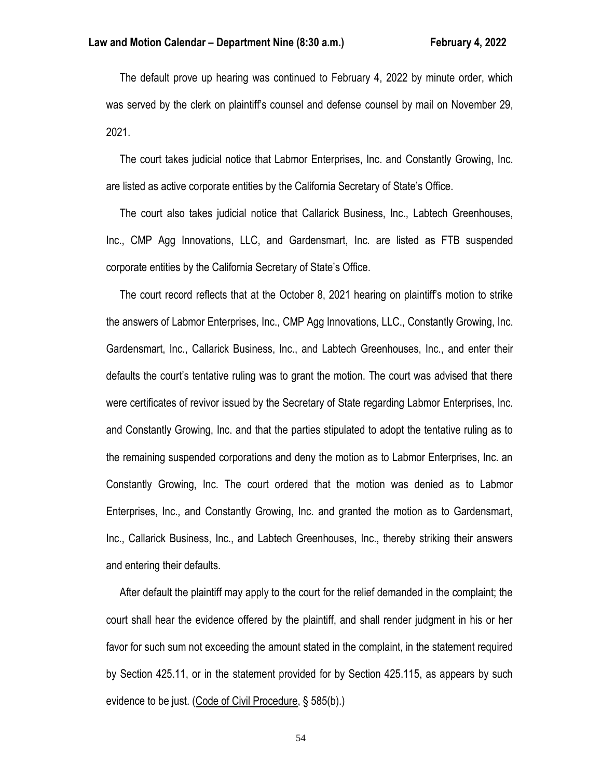The default prove up hearing was continued to February 4, 2022 by minute order, which was served by the clerk on plaintiff's counsel and defense counsel by mail on November 29, 2021.

 The court takes judicial notice that Labmor Enterprises, Inc. and Constantly Growing, Inc. are listed as active corporate entities by the California Secretary of State's Office.

 The court also takes judicial notice that Callarick Business, Inc., Labtech Greenhouses, Inc., CMP Agg Innovations, LLC, and Gardensmart, Inc. are listed as FTB suspended corporate entities by the California Secretary of State's Office.

 The court record reflects that at the October 8, 2021 hearing on plaintiff's motion to strike the answers of Labmor Enterprises, Inc., CMP Agg Innovations, LLC., Constantly Growing, Inc. Gardensmart, Inc., Callarick Business, Inc., and Labtech Greenhouses, Inc., and enter their defaults the court's tentative ruling was to grant the motion. The court was advised that there were certificates of revivor issued by the Secretary of State regarding Labmor Enterprises, Inc. and Constantly Growing, Inc. and that the parties stipulated to adopt the tentative ruling as to the remaining suspended corporations and deny the motion as to Labmor Enterprises, Inc. an Constantly Growing, Inc. The court ordered that the motion was denied as to Labmor Enterprises, Inc., and Constantly Growing, Inc. and granted the motion as to Gardensmart, Inc., Callarick Business, Inc., and Labtech Greenhouses, Inc., thereby striking their answers and entering their defaults.

 After default the plaintiff may apply to the court for the relief demanded in the complaint; the court shall hear the evidence offered by the plaintiff, and shall render judgment in his or her favor for such sum not exceeding the amount stated in the complaint, in the statement required by Section 425.11, or in the statement provided for by Section 425.115, as appears by such evidence to be just. (Code of Civil Procedure, § 585(b).)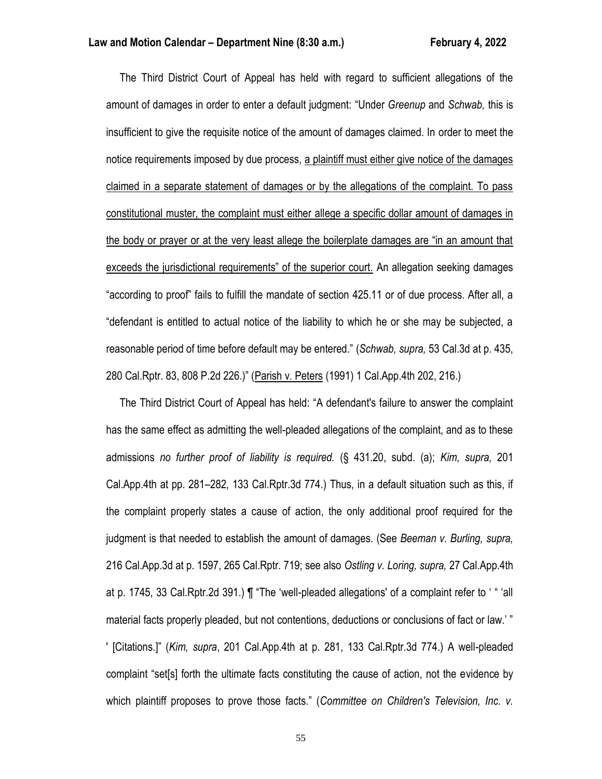The Third District Court of Appeal has held with regard to sufficient allegations of the amount of damages in order to enter a default judgment: "Under *Greenup* and *Schwab,* this is insufficient to give the requisite notice of the amount of damages claimed. In order to meet the notice requirements imposed by due process, a plaintiff must either give notice of the damages claimed in a separate statement of damages or by the allegations of the complaint. To pass constitutional muster, the complaint must either allege a specific dollar amount of damages in the body or prayer or at the very least allege the boilerplate damages are "in an amount that exceeds the jurisdictional requirements" of the superior court. An allegation seeking damages "according to proof" fails to fulfill the mandate of section 425.11 or of due process. After all, a "defendant is entitled to actual notice of the liability to which he or she may be subjected, a reasonable period of time before default may be entered." (*Schwab, supra,* 53 Cal.3d at p. 435, 280 Cal.Rptr. 83, 808 P.2d 226.)" (Parish v. Peters (1991) 1 Cal.App.4th 202, 216.)

 The Third District Court of Appeal has held: "A defendant's failure to answer the complaint has the same effect as admitting the well-pleaded allegations of the complaint, and as to these admissions *no further proof of liability is required.* (§ 431.20, subd. (a); *Kim, supra,* 201 Cal.App.4th at pp. 281–282, 133 Cal.Rptr.3d 774.) Thus, in a default situation such as this, if the complaint properly states a cause of action, the only additional proof required for the judgment is that needed to establish the amount of damages. (See *Beeman v. Burling, supra,* 216 Cal.App.3d at p. 1597, 265 Cal.Rptr. 719; see also *Ostling v. Loring, supra,* 27 Cal.App.4th at p. 1745, 33 Cal.Rptr.2d 391.) ¶ "The 'well-pleaded allegations' of a complaint refer to ' " 'all material facts properly pleaded, but not contentions, deductions or conclusions of fact or law.' " ' [Citations.]" (*Kim, supra*, 201 Cal.App.4th at p. 281, 133 Cal.Rptr.3d 774.) A well-pleaded complaint "set[s] forth the ultimate facts constituting the cause of action, not the evidence by which plaintiff proposes to prove those facts." (*Committee on Children's Television, Inc. v.*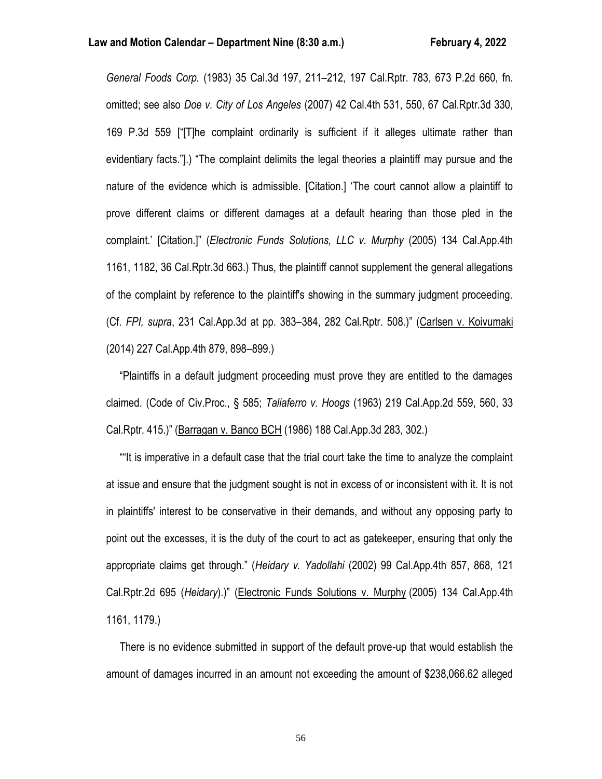*General Foods Corp.* (1983) 35 Cal.3d 197, 211–212, 197 Cal.Rptr. 783, 673 P.2d 660, fn. omitted; see also *Doe v. City of Los Angeles* (2007) 42 Cal.4th 531, 550, 67 Cal.Rptr.3d 330, 169 P.3d 559 ["[T]he complaint ordinarily is sufficient if it alleges ultimate rather than evidentiary facts."].) "The complaint delimits the legal theories a plaintiff may pursue and the nature of the evidence which is admissible. [Citation.] 'The court cannot allow a plaintiff to prove different claims or different damages at a default hearing than those pled in the complaint.' [Citation.]" (*Electronic Funds Solutions, LLC v. Murphy* (2005) 134 Cal.App.4th 1161, 1182, 36 Cal.Rptr.3d 663.) Thus, the plaintiff cannot supplement the general allegations of the complaint by reference to the plaintiff's showing in the summary judgment proceeding. (Cf. *FPI, supra*, 231 Cal.App.3d at pp. 383–384, 282 Cal.Rptr. 508.)" (Carlsen v. Koivumaki (2014) 227 Cal.App.4th 879, 898–899.)

 "Plaintiffs in a default judgment proceeding must prove they are entitled to the damages claimed. (Code of Civ.Proc., § 585; *Taliaferro v. Hoogs* (1963) 219 Cal.App.2d 559, 560, 33 Cal.Rptr. 415.)" (Barragan v. Banco BCH (1986) 188 Cal.App.3d 283, 302.)

 ""It is imperative in a default case that the trial court take the time to analyze the complaint at issue and ensure that the judgment sought is not in excess of or inconsistent with it. It is not in plaintiffs' interest to be conservative in their demands, and without any opposing party to point out the excesses, it is the duty of the court to act as gatekeeper, ensuring that only the appropriate claims get through." (*Heidary v. Yadollahi* (2002) 99 Cal.App.4th 857, 868, 121 Cal.Rptr.2d 695 (*Heidary*).)" (Electronic Funds Solutions v. Murphy (2005) 134 Cal.App.4th 1161, 1179.)

 There is no evidence submitted in support of the default prove-up that would establish the amount of damages incurred in an amount not exceeding the amount of \$238,066.62 alleged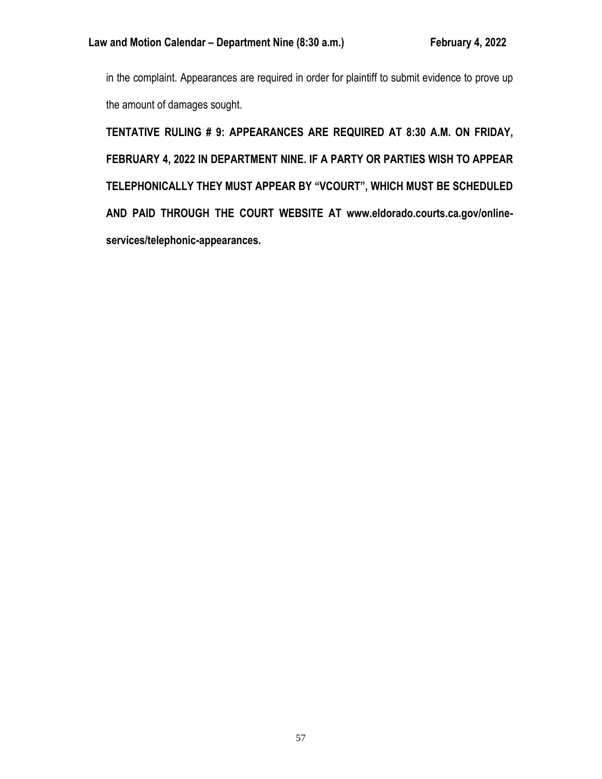in the complaint. Appearances are required in order for plaintiff to submit evidence to prove up the amount of damages sought.

**TENTATIVE RULING # 9: APPEARANCES ARE REQUIRED AT 8:30 A.M. ON FRIDAY, FEBRUARY 4, 2022 IN DEPARTMENT NINE. IF A PARTY OR PARTIES WISH TO APPEAR TELEPHONICALLY THEY MUST APPEAR BY "VCOURT", WHICH MUST BE SCHEDULED AND PAID THROUGH THE COURT WEBSITE AT www.eldorado.courts.ca.gov/onlineservices/telephonic-appearances.**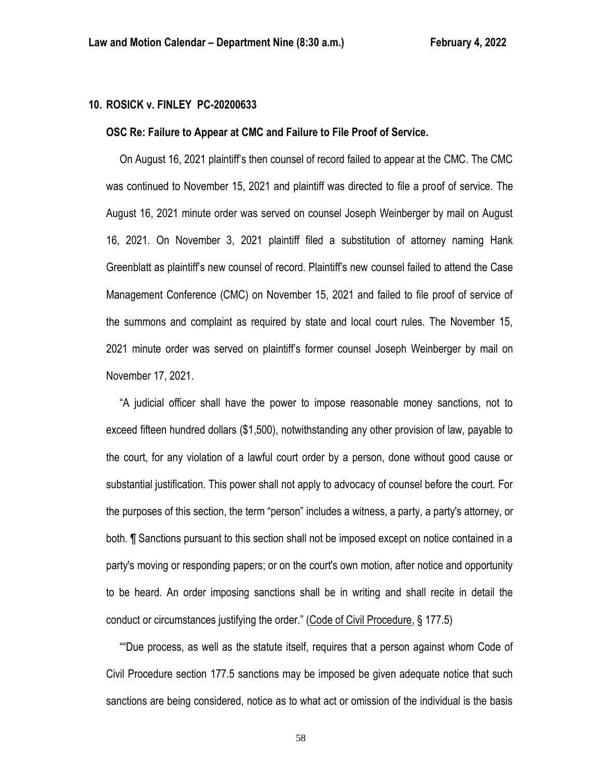## **10. ROSICK v. FINLEY PC-20200633**

### **OSC Re: Failure to Appear at CMC and Failure to File Proof of Service.**

 On August 16, 2021 plaintiff's then counsel of record failed to appear at the CMC. The CMC was continued to November 15, 2021 and plaintiff was directed to file a proof of service. The August 16, 2021 minute order was served on counsel Joseph Weinberger by mail on August 16, 2021. On November 3, 2021 plaintiff filed a substitution of attorney naming Hank Greenblatt as plaintiff's new counsel of record. Plaintiff's new counsel failed to attend the Case Management Conference (CMC) on November 15, 2021 and failed to file proof of service of the summons and complaint as required by state and local court rules. The November 15, 2021 minute order was served on plaintiff's former counsel Joseph Weinberger by mail on November 17, 2021.

 "A judicial officer shall have the power to impose reasonable money sanctions, not to exceed fifteen hundred dollars (\$1,500), notwithstanding any other provision of law, payable to the court, for any violation of a lawful court order by a person, done without good cause or substantial justification. This power shall not apply to advocacy of counsel before the court. For the purposes of this section, the term "person" includes a witness, a party, a party's attorney, or both. ¶ Sanctions pursuant to this section shall not be imposed except on notice contained in a party's moving or responding papers; or on the court's own motion, after notice and opportunity to be heard. An order imposing sanctions shall be in writing and shall recite in detail the conduct or circumstances justifying the order." (Code of Civil Procedure, § 177.5)

 ""Due process, as well as the statute itself, requires that a person against whom Code of Civil Procedure section 177.5 sanctions may be imposed be given adequate notice that such sanctions are being considered, notice as to what act or omission of the individual is the basis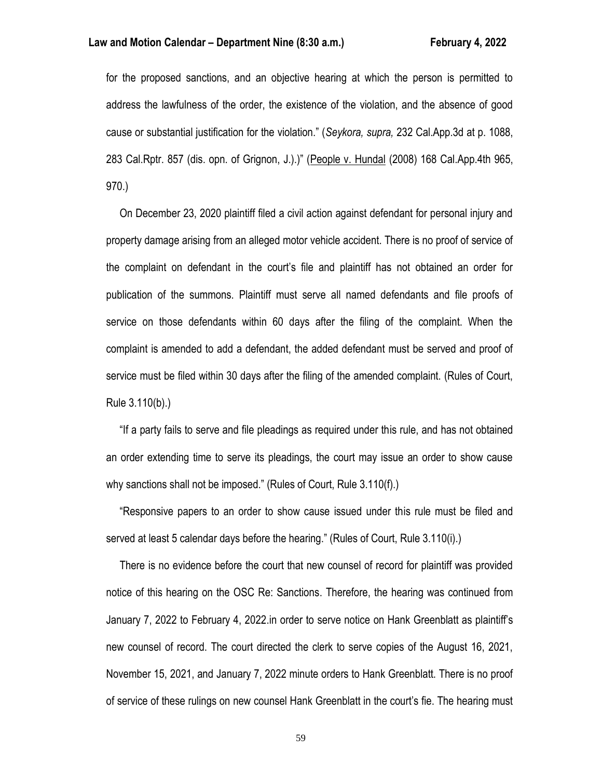for the proposed sanctions, and an objective hearing at which the person is permitted to address the lawfulness of the order, the existence of the violation, and the absence of good cause or substantial justification for the violation." (*Seykora, supra,* 232 Cal.App.3d at p. 1088, 283 Cal.Rptr. 857 (dis. opn. of Grignon, J.).)" (People v. Hundal (2008) 168 Cal.App.4th 965, 970.)

 On December 23, 2020 plaintiff filed a civil action against defendant for personal injury and property damage arising from an alleged motor vehicle accident. There is no proof of service of the complaint on defendant in the court's file and plaintiff has not obtained an order for publication of the summons. Plaintiff must serve all named defendants and file proofs of service on those defendants within 60 days after the filing of the complaint. When the complaint is amended to add a defendant, the added defendant must be served and proof of service must be filed within 30 days after the filing of the amended complaint. (Rules of Court, Rule 3.110(b).)

 "If a party fails to serve and file pleadings as required under this rule, and has not obtained an order extending time to serve its pleadings, the court may issue an order to show cause why sanctions shall not be imposed." (Rules of Court, Rule 3.110(f).)

 "Responsive papers to an order to show cause issued under this rule must be filed and served at least 5 calendar days before the hearing." (Rules of Court, Rule 3.110(i).)

 There is no evidence before the court that new counsel of record for plaintiff was provided notice of this hearing on the OSC Re: Sanctions. Therefore, the hearing was continued from January 7, 2022 to February 4, 2022.in order to serve notice on Hank Greenblatt as plaintiff's new counsel of record. The court directed the clerk to serve copies of the August 16, 2021, November 15, 2021, and January 7, 2022 minute orders to Hank Greenblatt. There is no proof of service of these rulings on new counsel Hank Greenblatt in the court's fie. The hearing must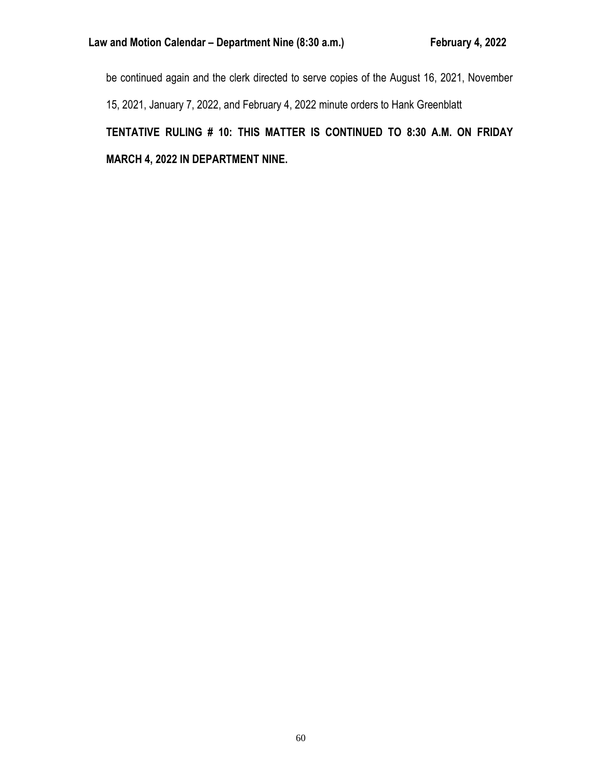be continued again and the clerk directed to serve copies of the August 16, 2021, November 15, 2021, January 7, 2022, and February 4, 2022 minute orders to Hank Greenblatt **TENTATIVE RULING # 10: THIS MATTER IS CONTINUED TO 8:30 A.M. ON FRIDAY MARCH 4, 2022 IN DEPARTMENT NINE.**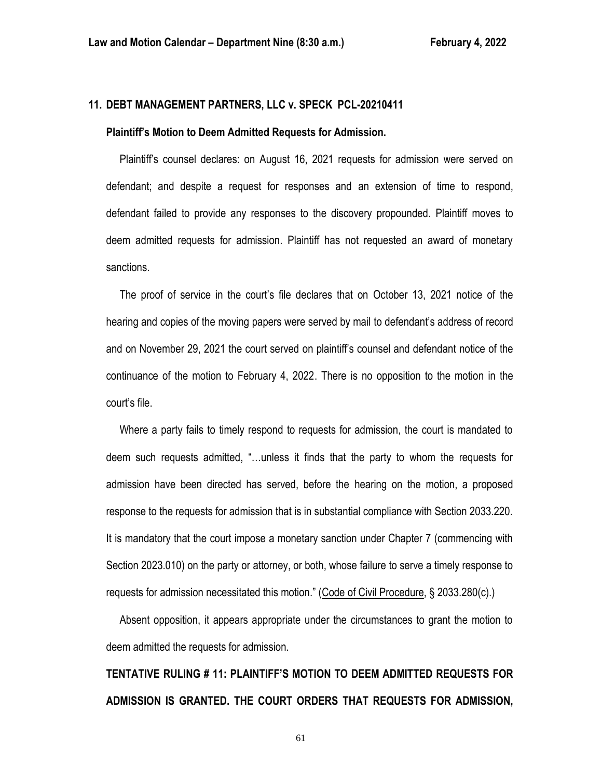# **11. DEBT MANAGEMENT PARTNERS, LLC v. SPECK PCL-20210411**

#### **Plaintiff's Motion to Deem Admitted Requests for Admission.**

 Plaintiff's counsel declares: on August 16, 2021 requests for admission were served on defendant; and despite a request for responses and an extension of time to respond, defendant failed to provide any responses to the discovery propounded. Plaintiff moves to deem admitted requests for admission. Plaintiff has not requested an award of monetary sanctions.

 The proof of service in the court's file declares that on October 13, 2021 notice of the hearing and copies of the moving papers were served by mail to defendant's address of record and on November 29, 2021 the court served on plaintiff's counsel and defendant notice of the continuance of the motion to February 4, 2022. There is no opposition to the motion in the court's file.

 Where a party fails to timely respond to requests for admission, the court is mandated to deem such requests admitted, "…unless it finds that the party to whom the requests for admission have been directed has served, before the hearing on the motion, a proposed response to the requests for admission that is in substantial compliance with Section 2033.220. It is mandatory that the court impose a monetary sanction under Chapter 7 (commencing with Section 2023.010) on the party or attorney, or both, whose failure to serve a timely response to requests for admission necessitated this motion." (Code of Civil Procedure, § 2033.280(c).)

 Absent opposition, it appears appropriate under the circumstances to grant the motion to deem admitted the requests for admission.

**TENTATIVE RULING # 11: PLAINTIFF'S MOTION TO DEEM ADMITTED REQUESTS FOR ADMISSION IS GRANTED. THE COURT ORDERS THAT REQUESTS FOR ADMISSION,**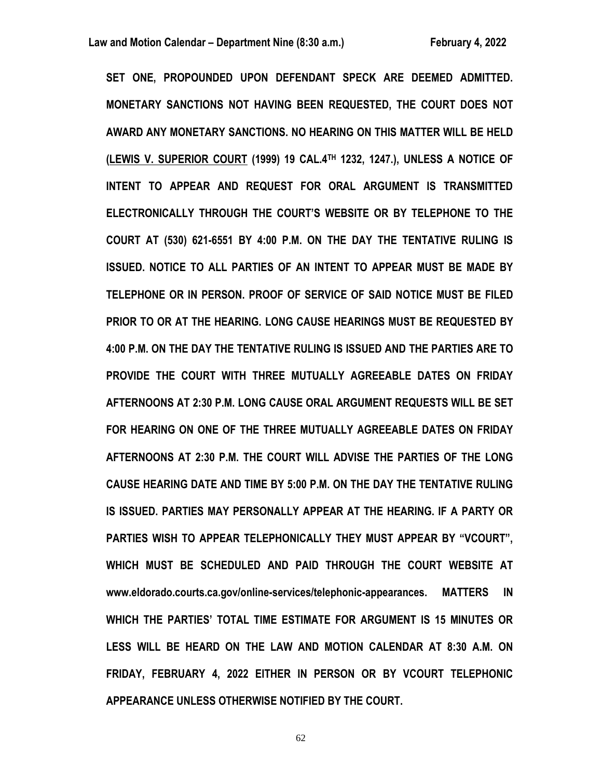**SET ONE, PROPOUNDED UPON DEFENDANT SPECK ARE DEEMED ADMITTED. MONETARY SANCTIONS NOT HAVING BEEN REQUESTED, THE COURT DOES NOT AWARD ANY MONETARY SANCTIONS. NO HEARING ON THIS MATTER WILL BE HELD (LEWIS V. SUPERIOR COURT (1999) 19 CAL.4TH 1232, 1247.), UNLESS A NOTICE OF INTENT TO APPEAR AND REQUEST FOR ORAL ARGUMENT IS TRANSMITTED ELECTRONICALLY THROUGH THE COURT'S WEBSITE OR BY TELEPHONE TO THE COURT AT (530) 621-6551 BY 4:00 P.M. ON THE DAY THE TENTATIVE RULING IS ISSUED. NOTICE TO ALL PARTIES OF AN INTENT TO APPEAR MUST BE MADE BY TELEPHONE OR IN PERSON. PROOF OF SERVICE OF SAID NOTICE MUST BE FILED PRIOR TO OR AT THE HEARING. LONG CAUSE HEARINGS MUST BE REQUESTED BY 4:00 P.M. ON THE DAY THE TENTATIVE RULING IS ISSUED AND THE PARTIES ARE TO PROVIDE THE COURT WITH THREE MUTUALLY AGREEABLE DATES ON FRIDAY AFTERNOONS AT 2:30 P.M. LONG CAUSE ORAL ARGUMENT REQUESTS WILL BE SET FOR HEARING ON ONE OF THE THREE MUTUALLY AGREEABLE DATES ON FRIDAY AFTERNOONS AT 2:30 P.M. THE COURT WILL ADVISE THE PARTIES OF THE LONG CAUSE HEARING DATE AND TIME BY 5:00 P.M. ON THE DAY THE TENTATIVE RULING IS ISSUED. PARTIES MAY PERSONALLY APPEAR AT THE HEARING. IF A PARTY OR PARTIES WISH TO APPEAR TELEPHONICALLY THEY MUST APPEAR BY "VCOURT", WHICH MUST BE SCHEDULED AND PAID THROUGH THE COURT WEBSITE AT www.eldorado.courts.ca.gov/online-services/telephonic-appearances. MATTERS IN WHICH THE PARTIES' TOTAL TIME ESTIMATE FOR ARGUMENT IS 15 MINUTES OR LESS WILL BE HEARD ON THE LAW AND MOTION CALENDAR AT 8:30 A.M. ON FRIDAY, FEBRUARY 4, 2022 EITHER IN PERSON OR BY VCOURT TELEPHONIC APPEARANCE UNLESS OTHERWISE NOTIFIED BY THE COURT.**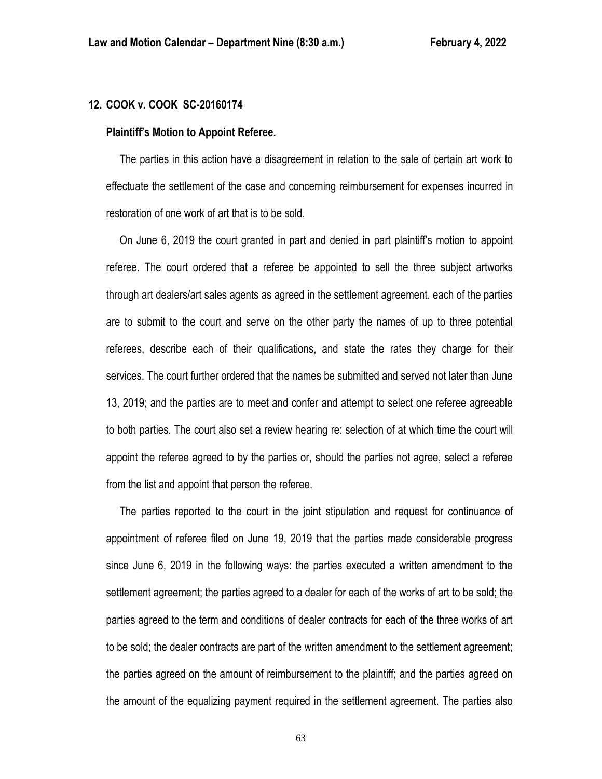# **12. COOK v. COOK SC-20160174**

#### **Plaintiff's Motion to Appoint Referee.**

 The parties in this action have a disagreement in relation to the sale of certain art work to effectuate the settlement of the case and concerning reimbursement for expenses incurred in restoration of one work of art that is to be sold.

 On June 6, 2019 the court granted in part and denied in part plaintiff's motion to appoint referee. The court ordered that a referee be appointed to sell the three subject artworks through art dealers/art sales agents as agreed in the settlement agreement. each of the parties are to submit to the court and serve on the other party the names of up to three potential referees, describe each of their qualifications, and state the rates they charge for their services. The court further ordered that the names be submitted and served not later than June 13, 2019; and the parties are to meet and confer and attempt to select one referee agreeable to both parties. The court also set a review hearing re: selection of at which time the court will appoint the referee agreed to by the parties or, should the parties not agree, select a referee from the list and appoint that person the referee.

 The parties reported to the court in the joint stipulation and request for continuance of appointment of referee filed on June 19, 2019 that the parties made considerable progress since June 6, 2019 in the following ways: the parties executed a written amendment to the settlement agreement; the parties agreed to a dealer for each of the works of art to be sold; the parties agreed to the term and conditions of dealer contracts for each of the three works of art to be sold; the dealer contracts are part of the written amendment to the settlement agreement; the parties agreed on the amount of reimbursement to the plaintiff; and the parties agreed on the amount of the equalizing payment required in the settlement agreement. The parties also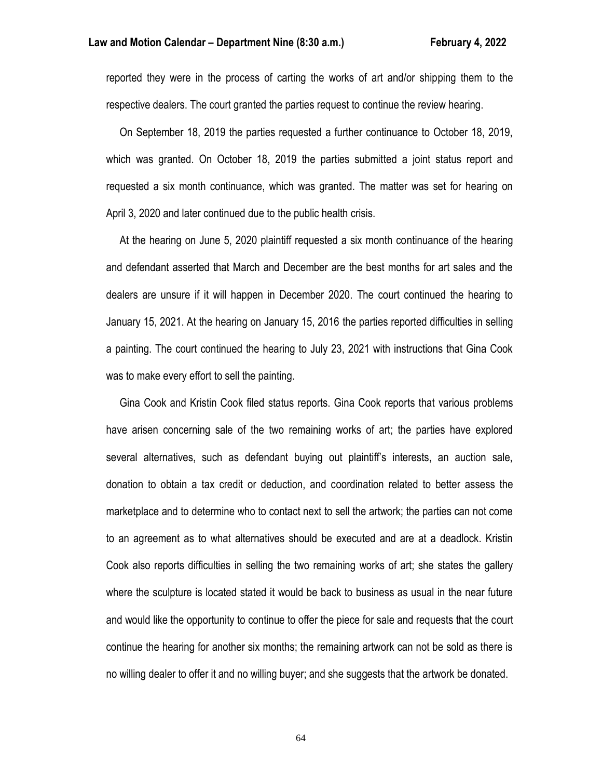reported they were in the process of carting the works of art and/or shipping them to the respective dealers. The court granted the parties request to continue the review hearing.

 On September 18, 2019 the parties requested a further continuance to October 18, 2019, which was granted. On October 18, 2019 the parties submitted a joint status report and requested a six month continuance, which was granted. The matter was set for hearing on April 3, 2020 and later continued due to the public health crisis.

 At the hearing on June 5, 2020 plaintiff requested a six month continuance of the hearing and defendant asserted that March and December are the best months for art sales and the dealers are unsure if it will happen in December 2020. The court continued the hearing to January 15, 2021. At the hearing on January 15, 2016 the parties reported difficulties in selling a painting. The court continued the hearing to July 23, 2021 with instructions that Gina Cook was to make every effort to sell the painting.

 Gina Cook and Kristin Cook filed status reports. Gina Cook reports that various problems have arisen concerning sale of the two remaining works of art; the parties have explored several alternatives, such as defendant buying out plaintiff's interests, an auction sale, donation to obtain a tax credit or deduction, and coordination related to better assess the marketplace and to determine who to contact next to sell the artwork; the parties can not come to an agreement as to what alternatives should be executed and are at a deadlock. Kristin Cook also reports difficulties in selling the two remaining works of art; she states the gallery where the sculpture is located stated it would be back to business as usual in the near future and would like the opportunity to continue to offer the piece for sale and requests that the court continue the hearing for another six months; the remaining artwork can not be sold as there is no willing dealer to offer it and no willing buyer; and she suggests that the artwork be donated.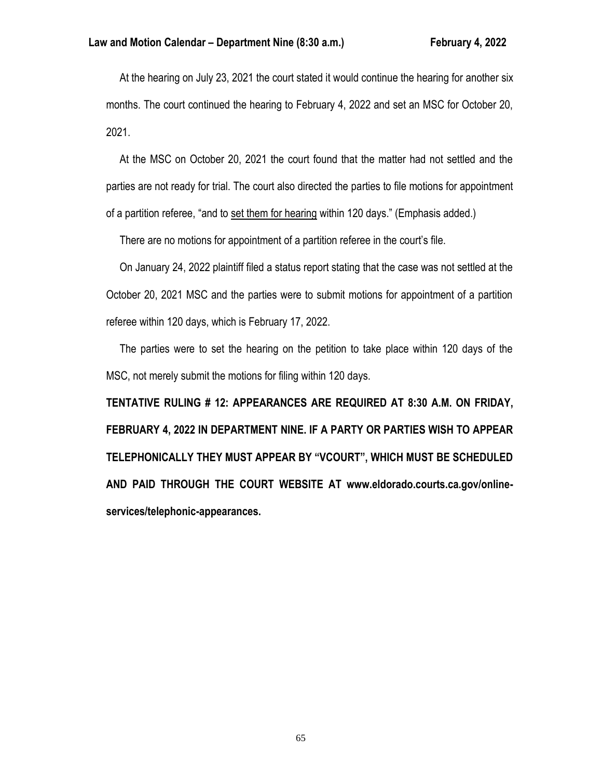At the hearing on July 23, 2021 the court stated it would continue the hearing for another six months. The court continued the hearing to February 4, 2022 and set an MSC for October 20, 2021.

 At the MSC on October 20, 2021 the court found that the matter had not settled and the parties are not ready for trial. The court also directed the parties to file motions for appointment of a partition referee, "and to set them for hearing within 120 days." (Emphasis added.)

There are no motions for appointment of a partition referee in the court's file.

 On January 24, 2022 plaintiff filed a status report stating that the case was not settled at the October 20, 2021 MSC and the parties were to submit motions for appointment of a partition referee within 120 days, which is February 17, 2022.

 The parties were to set the hearing on the petition to take place within 120 days of the MSC, not merely submit the motions for filing within 120 days.

**TENTATIVE RULING # 12: APPEARANCES ARE REQUIRED AT 8:30 A.M. ON FRIDAY, FEBRUARY 4, 2022 IN DEPARTMENT NINE. IF A PARTY OR PARTIES WISH TO APPEAR TELEPHONICALLY THEY MUST APPEAR BY "VCOURT", WHICH MUST BE SCHEDULED AND PAID THROUGH THE COURT WEBSITE AT www.eldorado.courts.ca.gov/onlineservices/telephonic-appearances.**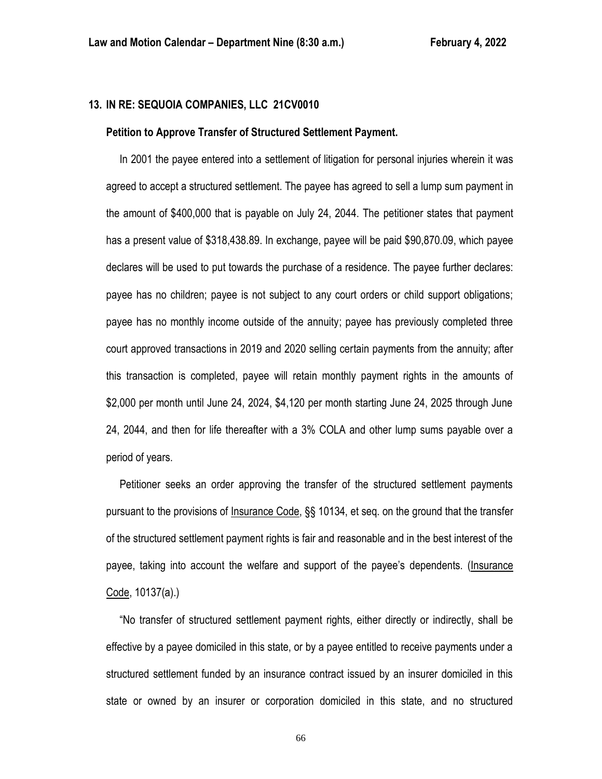### **13. IN RE: SEQUOIA COMPANIES, LLC 21CV0010**

#### **Petition to Approve Transfer of Structured Settlement Payment.**

 In 2001 the payee entered into a settlement of litigation for personal injuries wherein it was agreed to accept a structured settlement. The payee has agreed to sell a lump sum payment in the amount of \$400,000 that is payable on July 24, 2044. The petitioner states that payment has a present value of \$318,438.89. In exchange, payee will be paid \$90,870.09, which payee declares will be used to put towards the purchase of a residence. The payee further declares: payee has no children; payee is not subject to any court orders or child support obligations; payee has no monthly income outside of the annuity; payee has previously completed three court approved transactions in 2019 and 2020 selling certain payments from the annuity; after this transaction is completed, payee will retain monthly payment rights in the amounts of \$2,000 per month until June 24, 2024, \$4,120 per month starting June 24, 2025 through June 24, 2044, and then for life thereafter with a 3% COLA and other lump sums payable over a period of years.

 Petitioner seeks an order approving the transfer of the structured settlement payments pursuant to the provisions of Insurance Code, §§ 10134, et seq. on the ground that the transfer of the structured settlement payment rights is fair and reasonable and in the best interest of the payee, taking into account the welfare and support of the payee's dependents. (Insurance Code, 10137(a).)

 "No transfer of structured settlement payment rights, either directly or indirectly, shall be effective by a payee domiciled in this state, or by a payee entitled to receive payments under a structured settlement funded by an insurance contract issued by an insurer domiciled in this state or owned by an insurer or corporation domiciled in this state, and no structured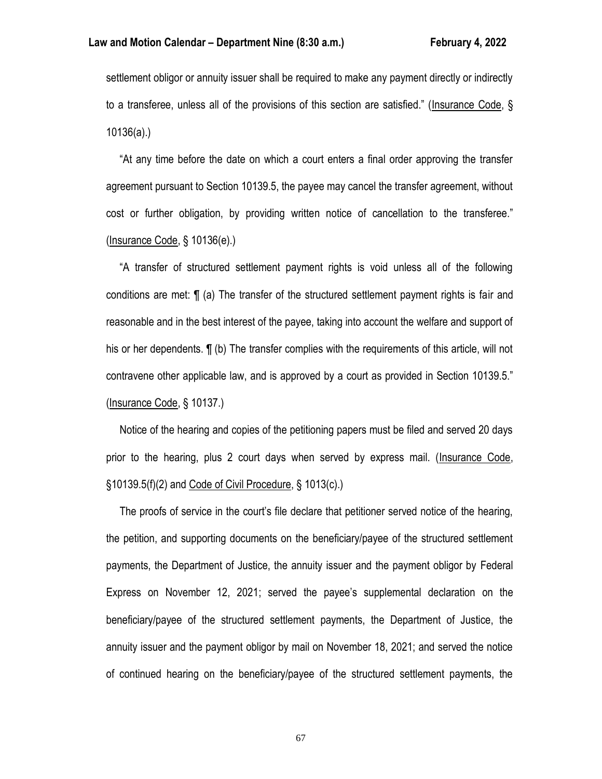settlement obligor or annuity issuer shall be required to make any payment directly or indirectly to a transferee, unless all of the provisions of this section are satisfied." (Insurance Code, § 10136(a).)

 "At any time before the date on which a court enters a final order approving the transfer agreement pursuant to Section 10139.5, the payee may cancel the transfer agreement, without cost or further obligation, by providing written notice of cancellation to the transferee." (Insurance Code, § 10136(e).)

 "A transfer of structured settlement payment rights is void unless all of the following conditions are met: ¶ (a) The transfer of the structured settlement payment rights is fair and reasonable and in the best interest of the payee, taking into account the welfare and support of his or her dependents.  $\P$  (b) The transfer complies with the requirements of this article, will not contravene other applicable law, and is approved by a court as provided in Section 10139.5." (Insurance Code, § 10137.)

 Notice of the hearing and copies of the petitioning papers must be filed and served 20 days prior to the hearing, plus 2 court days when served by express mail. (Insurance Code, §10139.5(f)(2) and Code of Civil Procedure, § 1013(c).)

 The proofs of service in the court's file declare that petitioner served notice of the hearing, the petition, and supporting documents on the beneficiary/payee of the structured settlement payments, the Department of Justice, the annuity issuer and the payment obligor by Federal Express on November 12, 2021; served the payee's supplemental declaration on the beneficiary/payee of the structured settlement payments, the Department of Justice, the annuity issuer and the payment obligor by mail on November 18, 2021; and served the notice of continued hearing on the beneficiary/payee of the structured settlement payments, the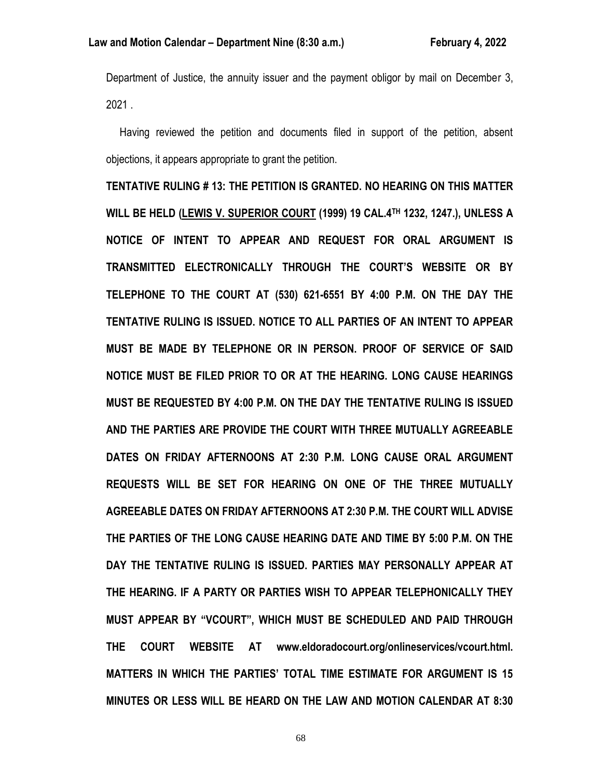Department of Justice, the annuity issuer and the payment obligor by mail on December 3, 2021 .

 Having reviewed the petition and documents filed in support of the petition, absent objections, it appears appropriate to grant the petition.

**TENTATIVE RULING # 13: THE PETITION IS GRANTED. NO HEARING ON THIS MATTER WILL BE HELD (LEWIS V. SUPERIOR COURT (1999) 19 CAL.4TH 1232, 1247.), UNLESS A NOTICE OF INTENT TO APPEAR AND REQUEST FOR ORAL ARGUMENT IS TRANSMITTED ELECTRONICALLY THROUGH THE COURT'S WEBSITE OR BY TELEPHONE TO THE COURT AT (530) 621-6551 BY 4:00 P.M. ON THE DAY THE TENTATIVE RULING IS ISSUED. NOTICE TO ALL PARTIES OF AN INTENT TO APPEAR MUST BE MADE BY TELEPHONE OR IN PERSON. PROOF OF SERVICE OF SAID NOTICE MUST BE FILED PRIOR TO OR AT THE HEARING. LONG CAUSE HEARINGS MUST BE REQUESTED BY 4:00 P.M. ON THE DAY THE TENTATIVE RULING IS ISSUED AND THE PARTIES ARE PROVIDE THE COURT WITH THREE MUTUALLY AGREEABLE DATES ON FRIDAY AFTERNOONS AT 2:30 P.M. LONG CAUSE ORAL ARGUMENT REQUESTS WILL BE SET FOR HEARING ON ONE OF THE THREE MUTUALLY AGREEABLE DATES ON FRIDAY AFTERNOONS AT 2:30 P.M. THE COURT WILL ADVISE THE PARTIES OF THE LONG CAUSE HEARING DATE AND TIME BY 5:00 P.M. ON THE DAY THE TENTATIVE RULING IS ISSUED. PARTIES MAY PERSONALLY APPEAR AT THE HEARING. IF A PARTY OR PARTIES WISH TO APPEAR TELEPHONICALLY THEY MUST APPEAR BY "VCOURT", WHICH MUST BE SCHEDULED AND PAID THROUGH THE COURT WEBSITE AT www.eldoradocourt.org/onlineservices/vcourt.html. MATTERS IN WHICH THE PARTIES' TOTAL TIME ESTIMATE FOR ARGUMENT IS 15 MINUTES OR LESS WILL BE HEARD ON THE LAW AND MOTION CALENDAR AT 8:30**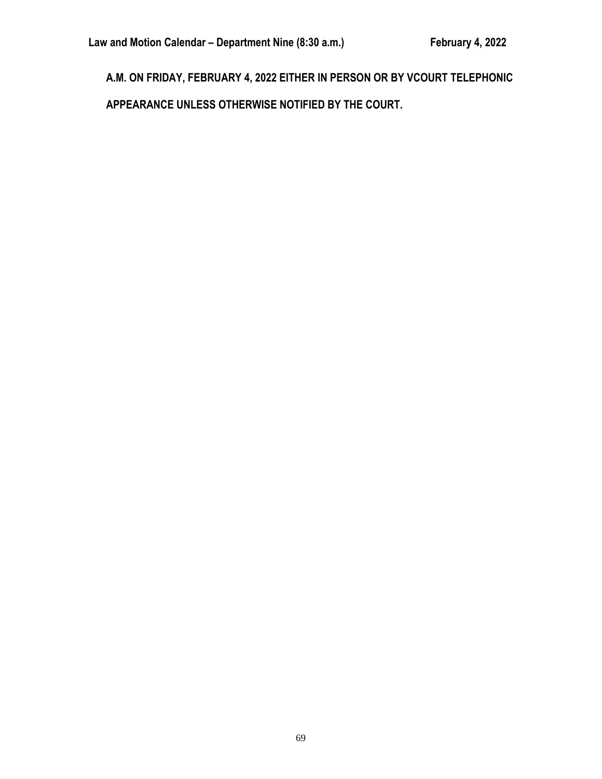**A.M. ON FRIDAY, FEBRUARY 4, 2022 EITHER IN PERSON OR BY VCOURT TELEPHONIC APPEARANCE UNLESS OTHERWISE NOTIFIED BY THE COURT.**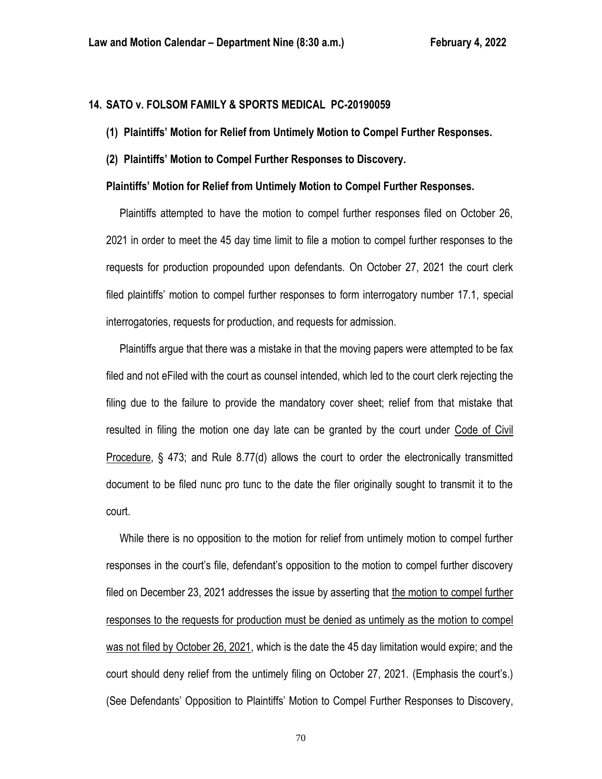# **14. SATO v. FOLSOM FAMILY & SPORTS MEDICAL PC-20190059**

- **(1) Plaintiffs' Motion for Relief from Untimely Motion to Compel Further Responses.**
- **(2) Plaintiffs' Motion to Compel Further Responses to Discovery.**

### **Plaintiffs' Motion for Relief from Untimely Motion to Compel Further Responses.**

 Plaintiffs attempted to have the motion to compel further responses filed on October 26, 2021 in order to meet the 45 day time limit to file a motion to compel further responses to the requests for production propounded upon defendants. On October 27, 2021 the court clerk filed plaintiffs' motion to compel further responses to form interrogatory number 17.1, special interrogatories, requests for production, and requests for admission.

 Plaintiffs argue that there was a mistake in that the moving papers were attempted to be fax filed and not eFiled with the court as counsel intended, which led to the court clerk rejecting the filing due to the failure to provide the mandatory cover sheet; relief from that mistake that resulted in filing the motion one day late can be granted by the court under Code of Civil Procedure, § 473; and Rule 8.77(d) allows the court to order the electronically transmitted document to be filed nunc pro tunc to the date the filer originally sought to transmit it to the court.

 While there is no opposition to the motion for relief from untimely motion to compel further responses in the court's file, defendant's opposition to the motion to compel further discovery filed on December 23, 2021 addresses the issue by asserting that the motion to compel further responses to the requests for production must be denied as untimely as the motion to compel was not filed by October 26, 2021, which is the date the 45 day limitation would expire; and the court should deny relief from the untimely filing on October 27, 2021. (Emphasis the court's.) (See Defendants' Opposition to Plaintiffs' Motion to Compel Further Responses to Discovery,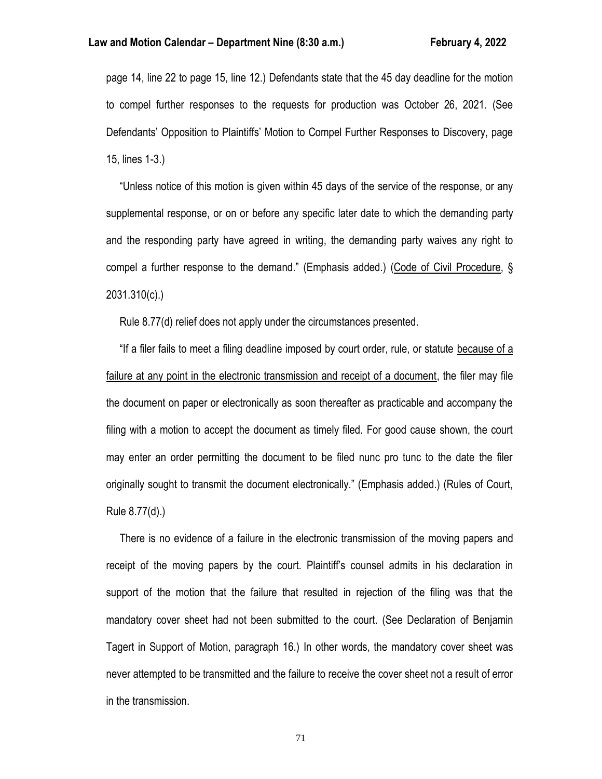### **Law and Motion Calendar – Department Nine (8:30 a.m.) February 4, 2022**

page 14, line 22 to page 15, line 12.) Defendants state that the 45 day deadline for the motion to compel further responses to the requests for production was October 26, 2021. (See Defendants' Opposition to Plaintiffs' Motion to Compel Further Responses to Discovery, page 15, lines 1-3.)

 "Unless notice of this motion is given within 45 days of the service of the response, or any supplemental response, or on or before any specific later date to which the demanding party and the responding party have agreed in writing, the demanding party waives any right to compel a further response to the demand." (Emphasis added.) (Code of Civil Procedure, § 2031.310(c).)

Rule 8.77(d) relief does not apply under the circumstances presented.

 "If a filer fails to meet a filing deadline imposed by court order, rule, or statute because of a failure at any point in the electronic transmission and receipt of a document, the filer may file the document on paper or electronically as soon thereafter as practicable and accompany the filing with a motion to accept the document as timely filed. For good cause shown, the court may enter an order permitting the document to be filed nunc pro tunc to the date the filer originally sought to transmit the document electronically." (Emphasis added.) (Rules of Court, Rule 8.77(d).)

 There is no evidence of a failure in the electronic transmission of the moving papers and receipt of the moving papers by the court. Plaintiff's counsel admits in his declaration in support of the motion that the failure that resulted in rejection of the filing was that the mandatory cover sheet had not been submitted to the court. (See Declaration of Benjamin Tagert in Support of Motion, paragraph 16.) In other words, the mandatory cover sheet was never attempted to be transmitted and the failure to receive the cover sheet not a result of error in the transmission.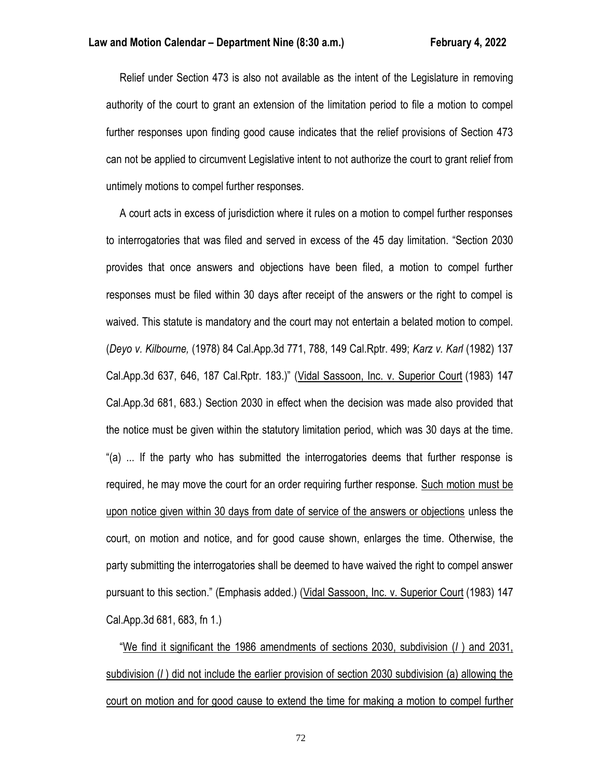Relief under Section 473 is also not available as the intent of the Legislature in removing authority of the court to grant an extension of the limitation period to file a motion to compel further responses upon finding good cause indicates that the relief provisions of Section 473 can not be applied to circumvent Legislative intent to not authorize the court to grant relief from untimely motions to compel further responses.

 A court acts in excess of jurisdiction where it rules on a motion to compel further responses to interrogatories that was filed and served in excess of the 45 day limitation. "Section 2030 provides that once answers and objections have been filed, a motion to compel further responses must be filed within 30 days after receipt of the answers or the right to compel is waived. This statute is mandatory and the court may not entertain a belated motion to compel. (*Deyo v. Kilbourne,* (1978) 84 Cal.App.3d 771, 788, 149 Cal.Rptr. 499; *Karz v. Karl* (1982) 137 Cal.App.3d 637, 646, 187 Cal.Rptr. 183.)" (Vidal Sassoon, Inc. v. Superior Court (1983) 147 Cal.App.3d 681, 683.) Section 2030 in effect when the decision was made also provided that the notice must be given within the statutory limitation period, which was 30 days at the time. "(a) ... If the party who has submitted the interrogatories deems that further response is required, he may move the court for an order requiring further response. Such motion must be upon notice given within 30 days from date of service of the answers or objections unless the court, on motion and notice, and for good cause shown, enlarges the time. Otherwise, the party submitting the interrogatories shall be deemed to have waived the right to compel answer pursuant to this section." (Emphasis added.) (Vidal Sassoon, Inc. v. Superior Court (1983) 147 Cal.App.3d 681, 683, fn 1.)

 "We find it significant the 1986 amendments of sections 2030, subdivision (*l* ) and 2031, subdivision (*l* ) did not include the earlier provision of section 2030 subdivision (a) allowing the court on motion and for good cause to extend the time for making a motion to compel further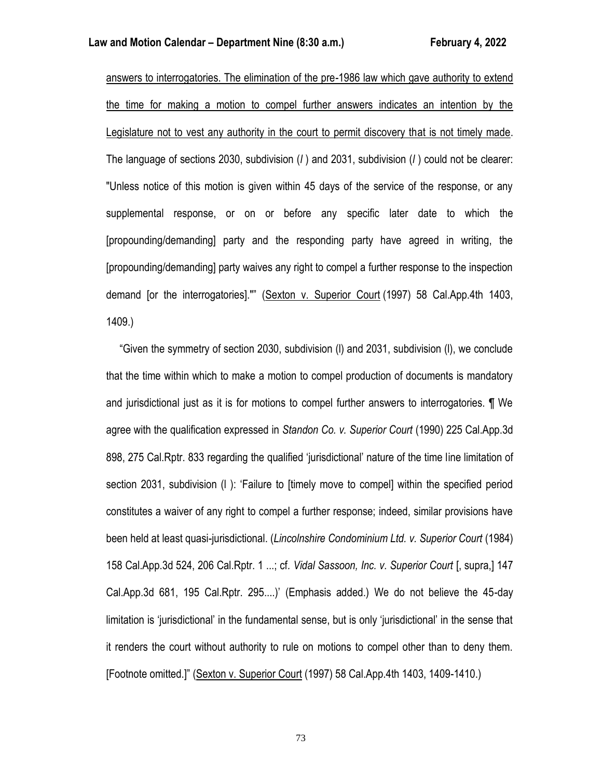answers to interrogatories. The elimination of the pre-1986 law which gave authority to extend the time for making a motion to compel further answers indicates an intention by the Legislature not to vest any authority in the court to permit discovery that is not timely made. The language of sections 2030, subdivision (*l* ) and 2031, subdivision (*l* ) could not be clearer: "Unless notice of this motion is given within 45 days of the service of the response, or any supplemental response, or on or before any specific later date to which the [propounding/demanding] party and the responding party have agreed in writing, the [propounding/demanding] party waives any right to compel a further response to the inspection demand [or the interrogatories]."" (Sexton v. Superior Court (1997) 58 Cal.App.4th 1403, 1409.)

 "Given the symmetry of section 2030, subdivision (l) and 2031, subdivision (l), we conclude that the time within which to make a motion to compel production of documents is mandatory and jurisdictional just as it is for motions to compel further answers to interrogatories. ¶ We agree with the qualification expressed in *Standon Co. v. Superior Court* (1990) 225 Cal.App.3d 898, 275 Cal.Rptr. 833 regarding the qualified 'jurisdictional' nature of the time line limitation of section 2031, subdivision (l ): 'Failure to [timely move to compel] within the specified period constitutes a waiver of any right to compel a further response; indeed, similar provisions have been held at least quasi-jurisdictional. (*Lincolnshire Condominium Ltd. v. Superior Court* (1984) 158 Cal.App.3d 524, 206 Cal.Rptr. 1 ...; cf*. Vidal Sassoon, Inc. v. Superior Court* [, supra,] 147 Cal.App.3d 681, 195 Cal.Rptr. 295....)' (Emphasis added.) We do not believe the 45-day limitation is 'jurisdictional' in the fundamental sense, but is only 'jurisdictional' in the sense that it renders the court without authority to rule on motions to compel other than to deny them. [Footnote omitted.]" (Sexton v. Superior Court (1997) 58 Cal.App.4th 1403, 1409-1410.)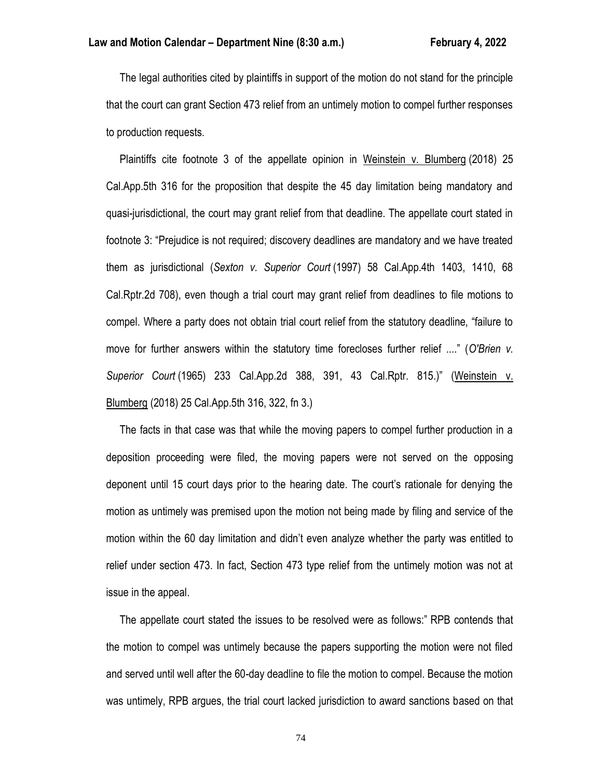The legal authorities cited by plaintiffs in support of the motion do not stand for the principle that the court can grant Section 473 relief from an untimely motion to compel further responses to production requests.

 Plaintiffs cite footnote 3 of the appellate opinion in Weinstein v. Blumberg (2018) 25 Cal.App.5th 316 for the proposition that despite the 45 day limitation being mandatory and quasi-jurisdictional, the court may grant relief from that deadline. The appellate court stated in footnote 3: "Prejudice is not required; discovery deadlines are mandatory and we have treated them as jurisdictional (*Sexton v. Superior Court* (1997) 58 Cal.App.4th 1403, 1410, 68 Cal.Rptr.2d 708), even though a trial court may grant relief from deadlines to file motions to compel. Where a party does not obtain trial court relief from the statutory deadline, "failure to move for further answers within the statutory time forecloses further relief ...." (*O'Brien v. Superior Court* (1965) 233 Cal.App.2d 388, 391, 43 Cal.Rptr. 815.)" (Weinstein v. Blumberg (2018) 25 Cal.App.5th 316, 322, fn 3.)

 The facts in that case was that while the moving papers to compel further production in a deposition proceeding were filed, the moving papers were not served on the opposing deponent until 15 court days prior to the hearing date. The court's rationale for denying the motion as untimely was premised upon the motion not being made by filing and service of the motion within the 60 day limitation and didn't even analyze whether the party was entitled to relief under section 473. In fact, Section 473 type relief from the untimely motion was not at issue in the appeal.

 The appellate court stated the issues to be resolved were as follows:" RPB contends that the motion to compel was untimely because the papers supporting the motion were not filed and served until well after the 60-day deadline to file the motion to compel. Because the motion was untimely, RPB argues, the trial court lacked jurisdiction to award sanctions based on that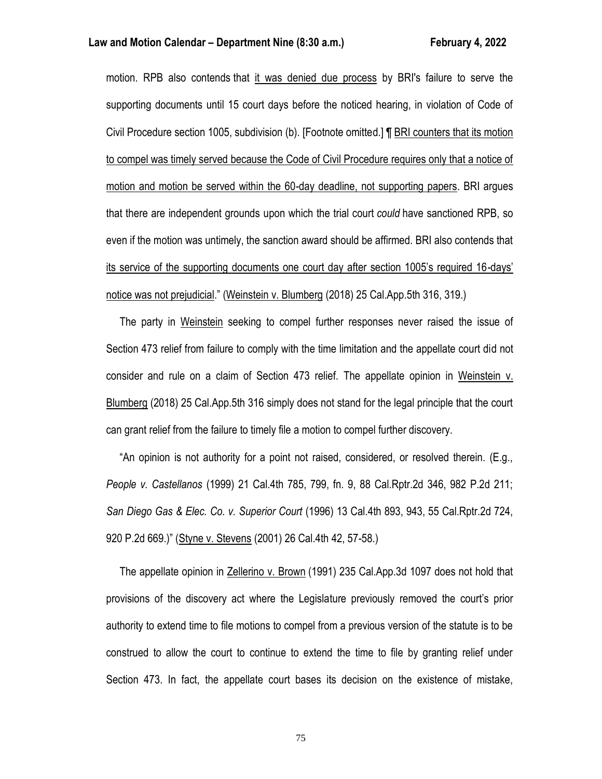#### **Law and Motion Calendar – Department Nine (8:30 a.m.) February 4, 2022**

motion. RPB also contends that it was denied due process by BRI's failure to serve the supporting documents until 15 court days before the noticed hearing, in violation of Code of Civil Procedure section 1005, subdivision (b). [Footnote omitted.] ¶ BRI counters that its motion to compel was timely served because the Code of Civil Procedure requires only that a notice of motion and motion be served within the 60-day deadline, not supporting papers. BRI argues that there are independent grounds upon which the trial court *could* have sanctioned RPB, so even if the motion was untimely, the sanction award should be affirmed. BRI also contends that its service of the supporting documents one court day after section 1005's required 16-days' notice was not prejudicial." (Weinstein v. Blumberg (2018) 25 Cal.App.5th 316, 319.)

 The party in Weinstein seeking to compel further responses never raised the issue of Section 473 relief from failure to comply with the time limitation and the appellate court did not consider and rule on a claim of Section 473 relief. The appellate opinion in Weinstein v. Blumberg (2018) 25 Cal.App.5th 316 simply does not stand for the legal principle that the court can grant relief from the failure to timely file a motion to compel further discovery.

 "An opinion is not authority for a point not raised, considered, or resolved therein. (E.g., *People v. Castellanos* (1999) 21 Cal.4th 785, 799, fn. 9, 88 Cal.Rptr.2d 346, 982 P.2d 211; *San Diego Gas & Elec. Co. v. Superior Court* (1996) 13 Cal.4th 893, 943, 55 Cal.Rptr.2d 724, 920 P.2d 669.)" (Styne v. Stevens (2001) 26 Cal.4th 42, 57-58.)

 The appellate opinion in Zellerino v. Brown (1991) 235 Cal.App.3d 1097 does not hold that provisions of the discovery act where the Legislature previously removed the court's prior authority to extend time to file motions to compel from a previous version of the statute is to be construed to allow the court to continue to extend the time to file by granting relief under Section 473. In fact, the appellate court bases its decision on the existence of mistake,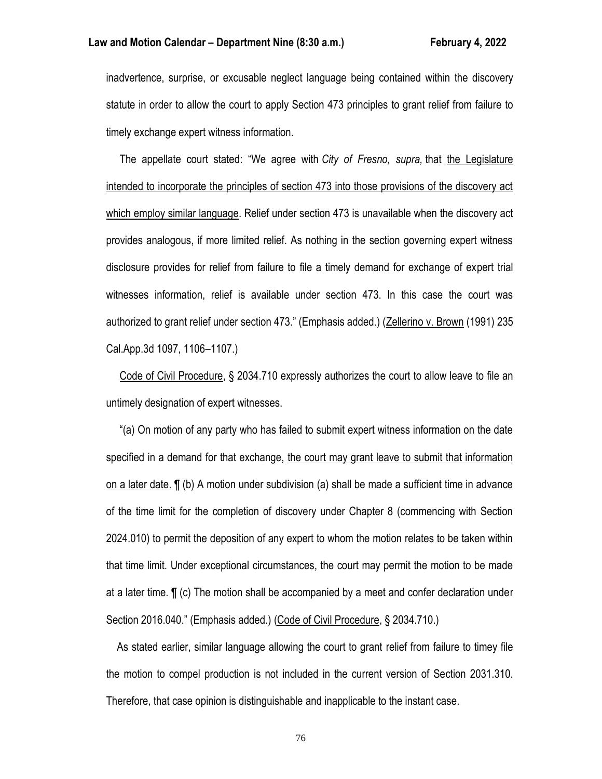inadvertence, surprise, or excusable neglect language being contained within the discovery statute in order to allow the court to apply Section 473 principles to grant relief from failure to timely exchange expert witness information.

 The appellate court stated: "We agree with *City of Fresno, supra,* that the Legislature intended to incorporate the principles of section 473 into those provisions of the discovery act which employ similar language. Relief under section 473 is unavailable when the discovery act provides analogous, if more limited relief. As nothing in the section governing expert witness disclosure provides for relief from failure to file a timely demand for exchange of expert trial witnesses information, relief is available under section 473. In this case the court was authorized to grant relief under section 473." (Emphasis added.) (Zellerino v. Brown (1991) 235 Cal.App.3d 1097, 1106–1107.)

 Code of Civil Procedure, § 2034.710 expressly authorizes the court to allow leave to file an untimely designation of expert witnesses.

 "(a) On motion of any party who has failed to submit expert witness information on the date specified in a demand for that exchange, the court may grant leave to submit that information on a later date. ¶ (b) A motion under subdivision (a) shall be made a sufficient time in advance of the time limit for the completion of discovery under Chapter 8 (commencing with Section 2024.010) to permit the deposition of any expert to whom the motion relates to be taken within that time limit. Under exceptional circumstances, the court may permit the motion to be made at a later time. ¶ (c) The motion shall be accompanied by a meet and confer declaration under Section 2016.040." (Emphasis added.) (Code of Civil Procedure, § 2034.710.)

 As stated earlier, similar language allowing the court to grant relief from failure to timey file the motion to compel production is not included in the current version of Section 2031.310. Therefore, that case opinion is distinguishable and inapplicable to the instant case.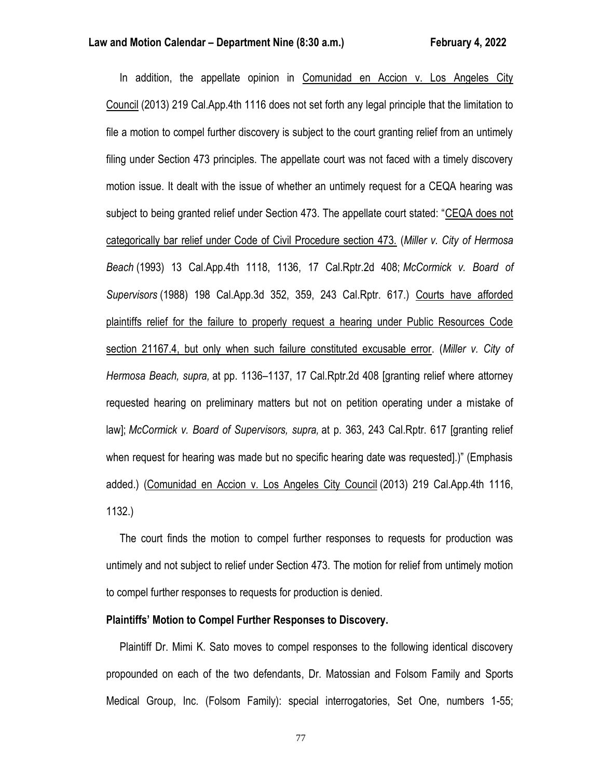In addition, the appellate opinion in Comunidad en Accion v. Los Angeles City Council (2013) 219 Cal.App.4th 1116 does not set forth any legal principle that the limitation to file a motion to compel further discovery is subject to the court granting relief from an untimely filing under Section 473 principles. The appellate court was not faced with a timely discovery motion issue. It dealt with the issue of whether an untimely request for a CEQA hearing was subject to being granted relief under Section 473. The appellate court stated: "CEQA does not categorically bar relief under Code of Civil Procedure section 473. (*Miller v. City of Hermosa Beach* (1993) 13 Cal.App.4th 1118, 1136, 17 Cal.Rptr.2d 408; *McCormick v. Board of Supervisors* (1988) 198 Cal.App.3d 352, 359, 243 Cal.Rptr. 617.) Courts have afforded plaintiffs relief for the failure to properly request a hearing under Public Resources Code section 21167.4, but only when such failure constituted excusable error. (*Miller v. City of Hermosa Beach, supra,* at pp. 1136–1137, 17 Cal.Rptr.2d 408 [granting relief where attorney requested hearing on preliminary matters but not on petition operating under a mistake of law]; *McCormick v. Board of Supervisors, supra,* at p. 363, 243 Cal.Rptr. 617 [granting relief when request for hearing was made but no specific hearing date was requested].)" (Emphasis added.) (Comunidad en Accion v. Los Angeles City Council (2013) 219 Cal.App.4th 1116, 1132.)

 The court finds the motion to compel further responses to requests for production was untimely and not subject to relief under Section 473. The motion for relief from untimely motion to compel further responses to requests for production is denied.

#### **Plaintiffs' Motion to Compel Further Responses to Discovery.**

 Plaintiff Dr. Mimi K. Sato moves to compel responses to the following identical discovery propounded on each of the two defendants, Dr. Matossian and Folsom Family and Sports Medical Group, Inc. (Folsom Family): special interrogatories, Set One, numbers 1-55;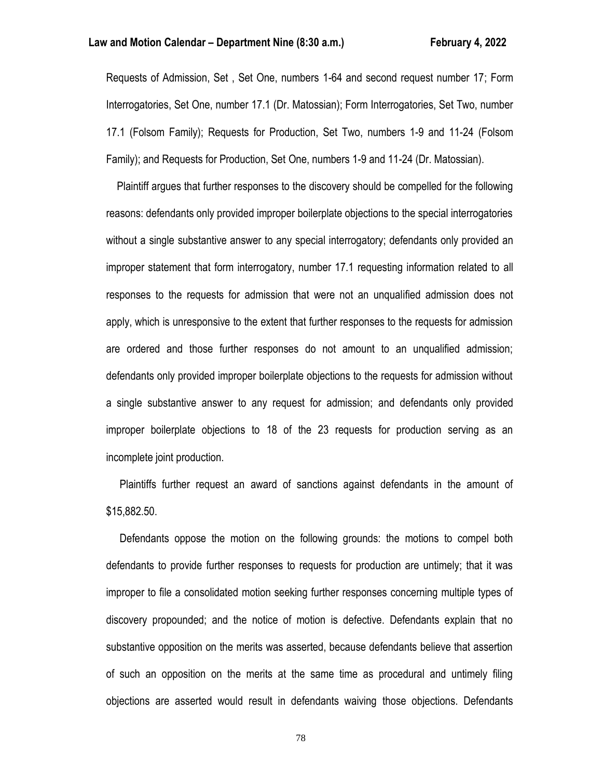Requests of Admission, Set , Set One, numbers 1-64 and second request number 17; Form Interrogatories, Set One, number 17.1 (Dr. Matossian); Form Interrogatories, Set Two, number 17.1 (Folsom Family); Requests for Production, Set Two, numbers 1-9 and 11-24 (Folsom Family); and Requests for Production, Set One, numbers 1-9 and 11-24 (Dr. Matossian).

 Plaintiff argues that further responses to the discovery should be compelled for the following reasons: defendants only provided improper boilerplate objections to the special interrogatories without a single substantive answer to any special interrogatory; defendants only provided an improper statement that form interrogatory, number 17.1 requesting information related to all responses to the requests for admission that were not an unqualified admission does not apply, which is unresponsive to the extent that further responses to the requests for admission are ordered and those further responses do not amount to an unqualified admission; defendants only provided improper boilerplate objections to the requests for admission without a single substantive answer to any request for admission; and defendants only provided improper boilerplate objections to 18 of the 23 requests for production serving as an incomplete joint production.

 Plaintiffs further request an award of sanctions against defendants in the amount of \$15,882.50.

 Defendants oppose the motion on the following grounds: the motions to compel both defendants to provide further responses to requests for production are untimely; that it was improper to file a consolidated motion seeking further responses concerning multiple types of discovery propounded; and the notice of motion is defective. Defendants explain that no substantive opposition on the merits was asserted, because defendants believe that assertion of such an opposition on the merits at the same time as procedural and untimely filing objections are asserted would result in defendants waiving those objections. Defendants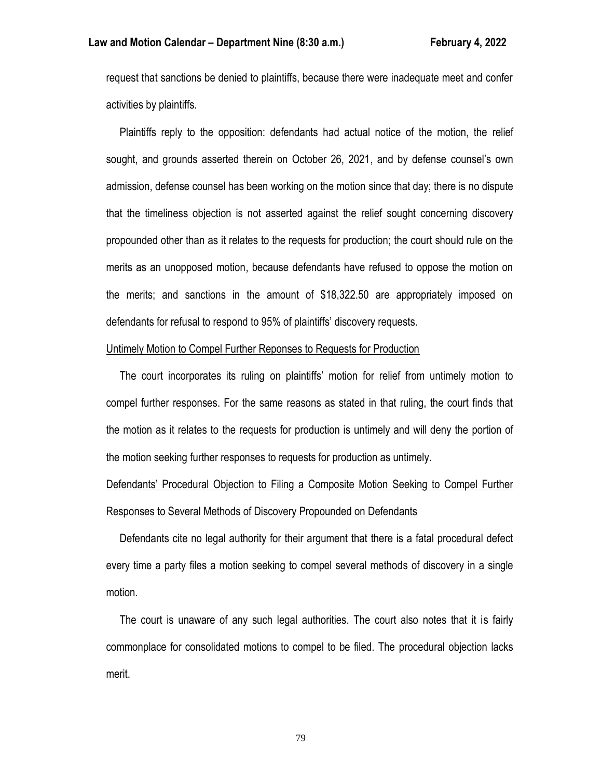request that sanctions be denied to plaintiffs, because there were inadequate meet and confer activities by plaintiffs.

 Plaintiffs reply to the opposition: defendants had actual notice of the motion, the relief sought, and grounds asserted therein on October 26, 2021, and by defense counsel's own admission, defense counsel has been working on the motion since that day; there is no dispute that the timeliness objection is not asserted against the relief sought concerning discovery propounded other than as it relates to the requests for production; the court should rule on the merits as an unopposed motion, because defendants have refused to oppose the motion on the merits; and sanctions in the amount of \$18,322.50 are appropriately imposed on defendants for refusal to respond to 95% of plaintiffs' discovery requests.

#### Untimely Motion to Compel Further Reponses to Requests for Production

 The court incorporates its ruling on plaintiffs' motion for relief from untimely motion to compel further responses. For the same reasons as stated in that ruling, the court finds that the motion as it relates to the requests for production is untimely and will deny the portion of the motion seeking further responses to requests for production as untimely.

# Defendants' Procedural Objection to Filing a Composite Motion Seeking to Compel Further Responses to Several Methods of Discovery Propounded on Defendants

 Defendants cite no legal authority for their argument that there is a fatal procedural defect every time a party files a motion seeking to compel several methods of discovery in a single motion.

 The court is unaware of any such legal authorities. The court also notes that it is fairly commonplace for consolidated motions to compel to be filed. The procedural objection lacks merit.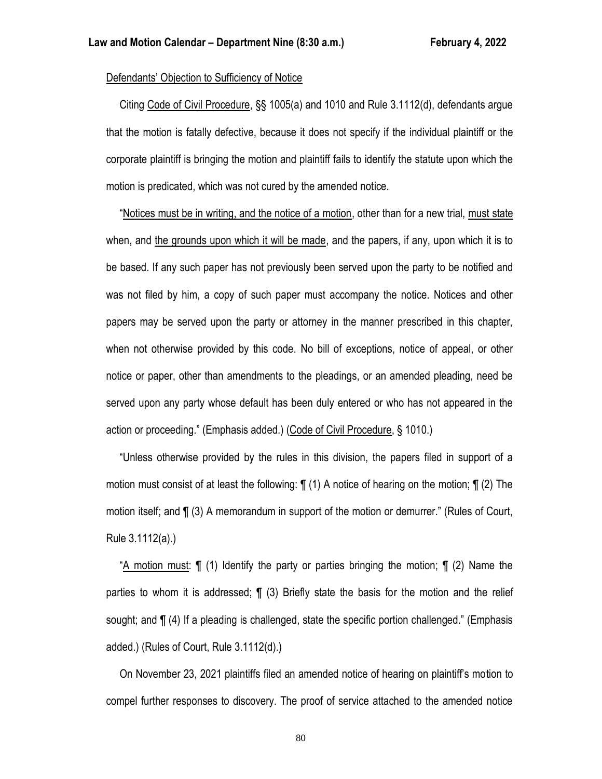# Defendants' Objection to Sufficiency of Notice

 Citing Code of Civil Procedure, §§ 1005(a) and 1010 and Rule 3.1112(d), defendants argue that the motion is fatally defective, because it does not specify if the individual plaintiff or the corporate plaintiff is bringing the motion and plaintiff fails to identify the statute upon which the motion is predicated, which was not cured by the amended notice.

 "Notices must be in writing, and the notice of a motion, other than for a new trial, must state when, and the grounds upon which it will be made, and the papers, if any, upon which it is to be based. If any such paper has not previously been served upon the party to be notified and was not filed by him, a copy of such paper must accompany the notice. Notices and other papers may be served upon the party or attorney in the manner prescribed in this chapter, when not otherwise provided by this code. No bill of exceptions, notice of appeal, or other notice or paper, other than amendments to the pleadings, or an amended pleading, need be served upon any party whose default has been duly entered or who has not appeared in the action or proceeding." (Emphasis added.) (Code of Civil Procedure, § 1010.)

 "Unless otherwise provided by the rules in this division, the papers filed in support of a motion must consist of at least the following: ¶ (1) A notice of hearing on the motion; ¶ (2) The motion itself; and ¶ (3) A memorandum in support of the motion or demurrer." (Rules of Court, Rule 3.1112(a).)

 "A motion must: ¶ (1) Identify the party or parties bringing the motion; ¶ (2) Name the parties to whom it is addressed;  $\P$  (3) Briefly state the basis for the motion and the relief sought; and ¶ (4) If a pleading is challenged, state the specific portion challenged." (Emphasis added.) (Rules of Court, Rule 3.1112(d).)

 On November 23, 2021 plaintiffs filed an amended notice of hearing on plaintiff's motion to compel further responses to discovery. The proof of service attached to the amended notice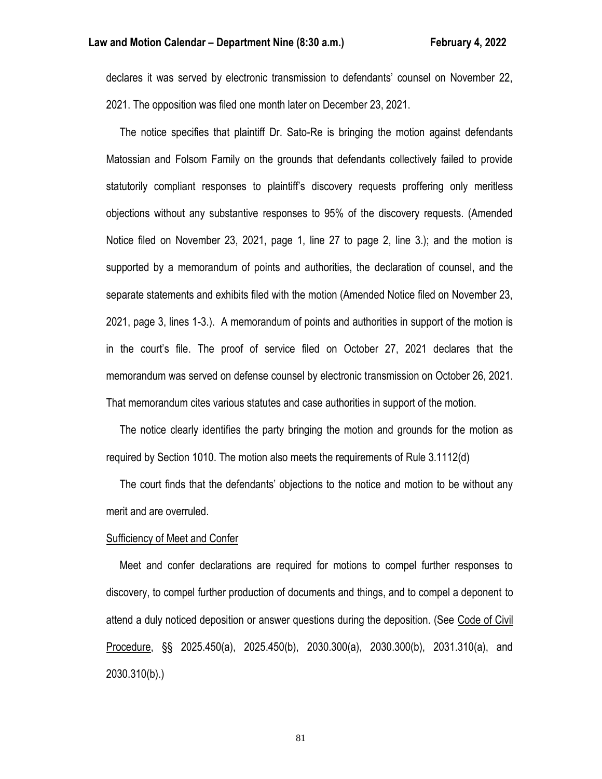declares it was served by electronic transmission to defendants' counsel on November 22, 2021. The opposition was filed one month later on December 23, 2021.

 The notice specifies that plaintiff Dr. Sato-Re is bringing the motion against defendants Matossian and Folsom Family on the grounds that defendants collectively failed to provide statutorily compliant responses to plaintiff's discovery requests proffering only meritless objections without any substantive responses to 95% of the discovery requests. (Amended Notice filed on November 23, 2021, page 1, line 27 to page 2, line 3.); and the motion is supported by a memorandum of points and authorities, the declaration of counsel, and the separate statements and exhibits filed with the motion (Amended Notice filed on November 23, 2021, page 3, lines 1-3.). A memorandum of points and authorities in support of the motion is in the court's file. The proof of service filed on October 27, 2021 declares that the memorandum was served on defense counsel by electronic transmission on October 26, 2021. That memorandum cites various statutes and case authorities in support of the motion.

 The notice clearly identifies the party bringing the motion and grounds for the motion as required by Section 1010. The motion also meets the requirements of Rule 3.1112(d)

 The court finds that the defendants' objections to the notice and motion to be without any merit and are overruled.

#### Sufficiency of Meet and Confer

 Meet and confer declarations are required for motions to compel further responses to discovery, to compel further production of documents and things, and to compel a deponent to attend a duly noticed deposition or answer questions during the deposition. (See Code of Civil Procedure, §§ 2025.450(a), 2025.450(b), 2030.300(a), 2030.300(b), 2031.310(a), and 2030.310(b).)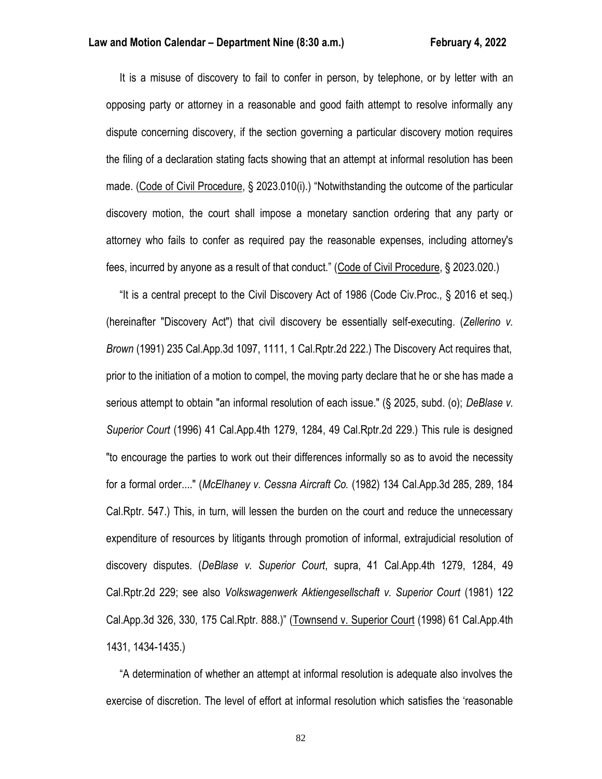It is a misuse of discovery to fail to confer in person, by telephone, or by letter with an opposing party or attorney in a reasonable and good faith attempt to resolve informally any dispute concerning discovery, if the section governing a particular discovery motion requires the filing of a declaration stating facts showing that an attempt at informal resolution has been made. (Code of Civil Procedure, § 2023.010(i).) "Notwithstanding the outcome of the particular discovery motion, the court shall impose a monetary sanction ordering that any party or attorney who fails to confer as required pay the reasonable expenses, including attorney's fees, incurred by anyone as a result of that conduct." (Code of Civil Procedure, § 2023.020.)

 "It is a central precept to the Civil Discovery Act of 1986 (Code Civ.Proc., § 2016 et seq.) (hereinafter "Discovery Act") that civil discovery be essentially self-executing. (*Zellerino v. Brown* (1991) 235 Cal.App.3d 1097, 1111, 1 Cal.Rptr.2d 222.) The Discovery Act requires that, prior to the initiation of a motion to compel, the moving party declare that he or she has made a serious attempt to obtain "an informal resolution of each issue." (§ 2025, subd. (o); *DeBlase v. Superior Court* (1996) 41 Cal.App.4th 1279, 1284, 49 Cal.Rptr.2d 229.) This rule is designed "to encourage the parties to work out their differences informally so as to avoid the necessity for a formal order...." (*McElhaney v. Cessna Aircraft Co.* (1982) 134 Cal.App.3d 285, 289, 184 Cal.Rptr. 547.) This, in turn, will lessen the burden on the court and reduce the unnecessary expenditure of resources by litigants through promotion of informal, extrajudicial resolution of discovery disputes. (*DeBlase v. Superior Court*, supra, 41 Cal.App.4th 1279, 1284, 49 Cal.Rptr.2d 229; see also *Volkswagenwerk Aktiengesellschaft v. Superior Court* (1981) 122 Cal.App.3d 326, 330, 175 Cal.Rptr. 888.)" (Townsend v. Superior Court (1998) 61 Cal.App.4th 1431, 1434-1435.)

 "A determination of whether an attempt at informal resolution is adequate also involves the exercise of discretion. The level of effort at informal resolution which satisfies the 'reasonable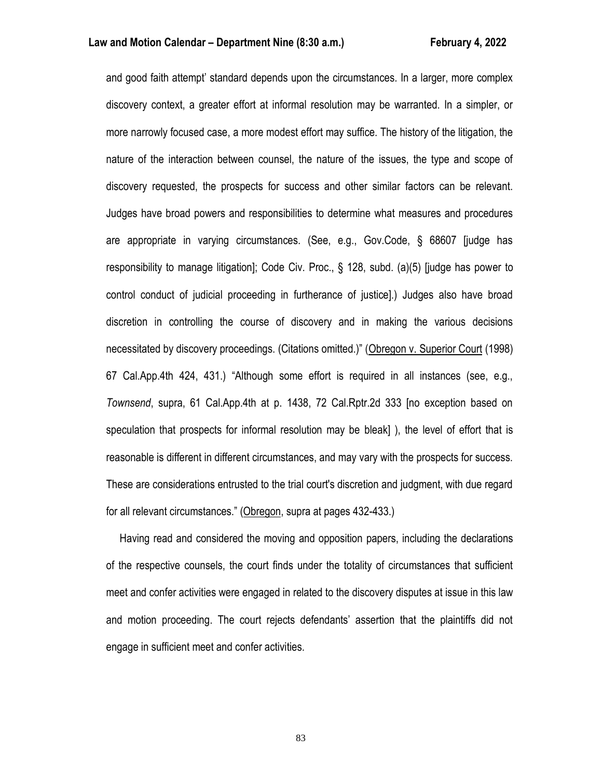and good faith attempt' standard depends upon the circumstances. In a larger, more complex discovery context, a greater effort at informal resolution may be warranted. In a simpler, or more narrowly focused case, a more modest effort may suffice. The history of the litigation, the nature of the interaction between counsel, the nature of the issues, the type and scope of discovery requested, the prospects for success and other similar factors can be relevant. Judges have broad powers and responsibilities to determine what measures and procedures are appropriate in varying circumstances. (See, e.g., Gov.Code, § 68607 [judge has responsibility to manage litigation]; Code Civ. Proc., § 128, subd. (a)(5) [judge has power to control conduct of judicial proceeding in furtherance of justice].) Judges also have broad discretion in controlling the course of discovery and in making the various decisions necessitated by discovery proceedings. (Citations omitted.)" (Obregon v. Superior Court (1998) 67 Cal.App.4th 424, 431.) "Although some effort is required in all instances (see, e.g., *Townsend*, supra, 61 Cal.App.4th at p. 1438, 72 Cal.Rptr.2d 333 [no exception based on speculation that prospects for informal resolution may be bleak] ), the level of effort that is reasonable is different in different circumstances, and may vary with the prospects for success. These are considerations entrusted to the trial court's discretion and judgment, with due regard for all relevant circumstances." (Obregon, supra at pages 432-433.)

 Having read and considered the moving and opposition papers, including the declarations of the respective counsels, the court finds under the totality of circumstances that sufficient meet and confer activities were engaged in related to the discovery disputes at issue in this law and motion proceeding. The court rejects defendants' assertion that the plaintiffs did not engage in sufficient meet and confer activities.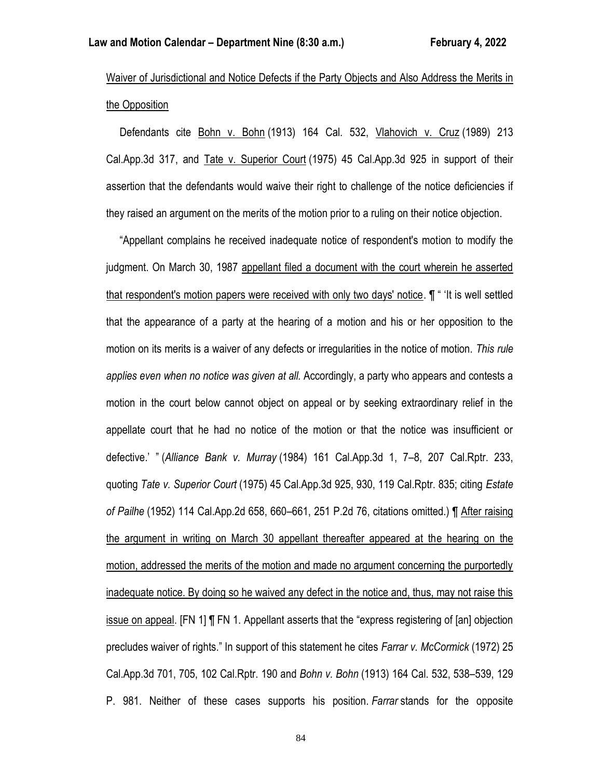Waiver of Jurisdictional and Notice Defects if the Party Objects and Also Address the Merits in the Opposition

 Defendants cite Bohn v. Bohn (1913) 164 Cal. 532, Vlahovich v. Cruz (1989) 213 Cal.App.3d 317, and Tate v. Superior Court (1975) 45 Cal.App.3d 925 in support of their assertion that the defendants would waive their right to challenge of the notice deficiencies if they raised an argument on the merits of the motion prior to a ruling on their notice objection.

 "Appellant complains he received inadequate notice of respondent's motion to modify the judgment. On March 30, 1987 appellant filed a document with the court wherein he asserted that respondent's motion papers were received with only two days' notice. ¶ " 'It is well settled that the appearance of a party at the hearing of a motion and his or her opposition to the motion on its merits is a waiver of any defects or irregularities in the notice of motion. *This rule applies even when no notice was given at all.* Accordingly, a party who appears and contests a motion in the court below cannot object on appeal or by seeking extraordinary relief in the appellate court that he had no notice of the motion or that the notice was insufficient or defective.' " (*Alliance Bank v. Murray* (1984) 161 Cal.App.3d 1, 7–8, 207 Cal.Rptr. 233, quoting *Tate v. Superior Court* (1975) 45 Cal.App.3d 925, 930, 119 Cal.Rptr. 835; citing *Estate of Pailhe* (1952) 114 Cal.App.2d 658, 660–661, 251 P.2d 76, citations omitted.) ¶ After raising the argument in writing on March 30 appellant thereafter appeared at the hearing on the motion, addressed the merits of the motion and made no argument concerning the purportedly inadequate notice. By doing so he waived any defect in the notice and, thus, may not raise this issue on appeal. [FN 1] ¶ FN 1. Appellant asserts that the "express registering of [an] objection precludes waiver of rights." In support of this statement he cites *Farrar v. McCormick* (1972) 25 Cal.App.3d 701, 705, 102 Cal.Rptr. 190 and *Bohn v. Bohn* (1913) 164 Cal. 532, 538–539, 129 P. 981. Neither of these cases supports his position. *Farrar* stands for the opposite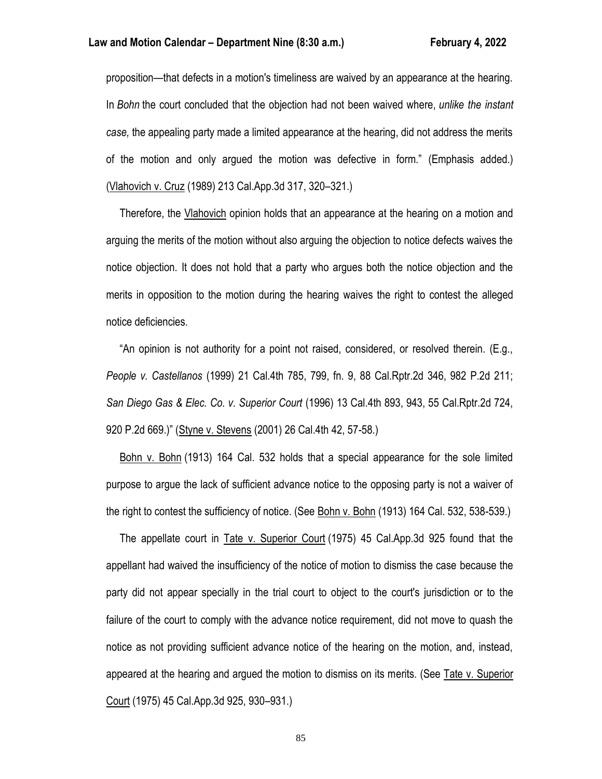proposition—that defects in a motion's timeliness are waived by an appearance at the hearing. In *Bohn* the court concluded that the objection had not been waived where, *unlike the instant case,* the appealing party made a limited appearance at the hearing, did not address the merits of the motion and only argued the motion was defective in form." (Emphasis added.) (Vlahovich v. Cruz (1989) 213 Cal.App.3d 317, 320–321.)

 Therefore, the Vlahovich opinion holds that an appearance at the hearing on a motion and arguing the merits of the motion without also arguing the objection to notice defects waives the notice objection. It does not hold that a party who argues both the notice objection and the merits in opposition to the motion during the hearing waives the right to contest the alleged notice deficiencies.

 "An opinion is not authority for a point not raised, considered, or resolved therein. (E.g., *People v. Castellanos* (1999) 21 Cal.4th 785, 799, fn. 9, 88 Cal.Rptr.2d 346, 982 P.2d 211; *San Diego Gas & Elec. Co. v. Superior Court* (1996) 13 Cal.4th 893, 943, 55 Cal.Rptr.2d 724, 920 P.2d 669.)" (Styne v. Stevens (2001) 26 Cal.4th 42, 57-58.)

 Bohn v. Bohn (1913) 164 Cal. 532 holds that a special appearance for the sole limited purpose to argue the lack of sufficient advance notice to the opposing party is not a waiver of the right to contest the sufficiency of notice. (See Bohn v. Bohn (1913) 164 Cal. 532, 538-539.)

 The appellate court in Tate v. Superior Court (1975) 45 Cal.App.3d 925 found that the appellant had waived the insufficiency of the notice of motion to dismiss the case because the party did not appear specially in the trial court to object to the court's jurisdiction or to the failure of the court to comply with the advance notice requirement, did not move to quash the notice as not providing sufficient advance notice of the hearing on the motion, and, instead, appeared at the hearing and argued the motion to dismiss on its merits. (See Tate v. Superior Court (1975) 45 Cal.App.3d 925, 930–931.)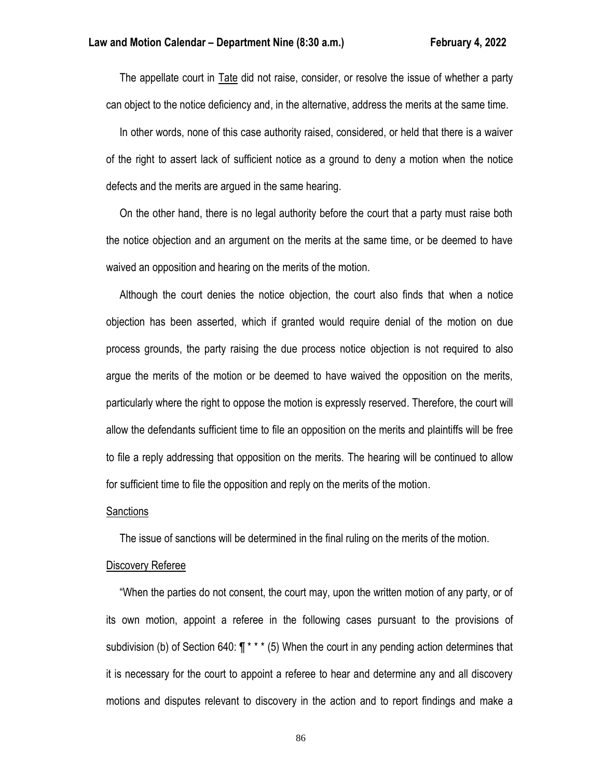The appellate court in Tate did not raise, consider, or resolve the issue of whether a party can object to the notice deficiency and, in the alternative, address the merits at the same time.

 In other words, none of this case authority raised, considered, or held that there is a waiver of the right to assert lack of sufficient notice as a ground to deny a motion when the notice defects and the merits are argued in the same hearing.

 On the other hand, there is no legal authority before the court that a party must raise both the notice objection and an argument on the merits at the same time, or be deemed to have waived an opposition and hearing on the merits of the motion.

 Although the court denies the notice objection, the court also finds that when a notice objection has been asserted, which if granted would require denial of the motion on due process grounds, the party raising the due process notice objection is not required to also argue the merits of the motion or be deemed to have waived the opposition on the merits, particularly where the right to oppose the motion is expressly reserved. Therefore, the court will allow the defendants sufficient time to file an opposition on the merits and plaintiffs will be free to file a reply addressing that opposition on the merits. The hearing will be continued to allow for sufficient time to file the opposition and reply on the merits of the motion.

#### Sanctions

The issue of sanctions will be determined in the final ruling on the merits of the motion.

# Discovery Referee

 "When the parties do not consent, the court may, upon the written motion of any party, or of its own motion, appoint a referee in the following cases pursuant to the provisions of subdivision (b) of Section 640:  $\P$ <sup>\*</sup> \* \* (5) When the court in any pending action determines that it is necessary for the court to appoint a referee to hear and determine any and all discovery motions and disputes relevant to discovery in the action and to report findings and make a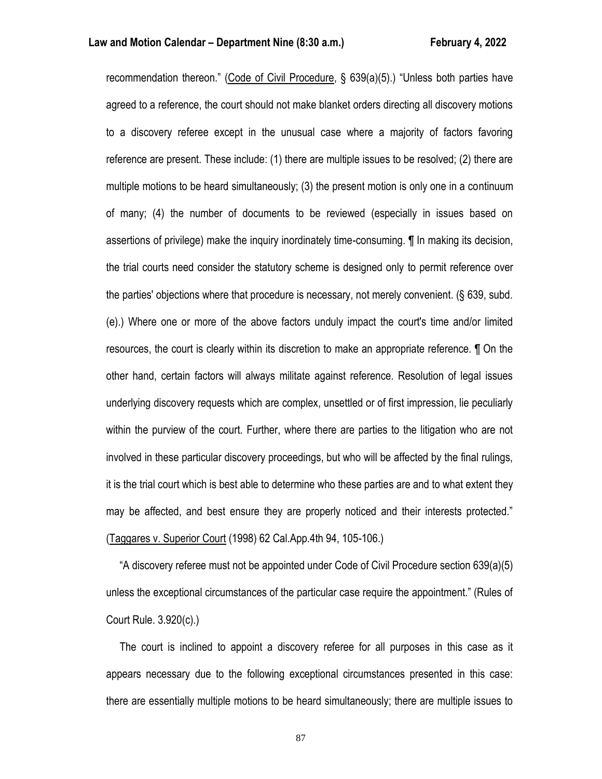recommendation thereon." (Code of Civil Procedure, § 639(a)(5).) "Unless both parties have agreed to a reference, the court should not make blanket orders directing all discovery motions to a discovery referee except in the unusual case where a majority of factors favoring reference are present. These include: (1) there are multiple issues to be resolved; (2) there are multiple motions to be heard simultaneously; (3) the present motion is only one in a continuum of many; (4) the number of documents to be reviewed (especially in issues based on assertions of privilege) make the inquiry inordinately time-consuming. ¶ In making its decision, the trial courts need consider the statutory scheme is designed only to permit reference over the parties' objections where that procedure is necessary, not merely convenient. (§ 639, subd. (e).) Where one or more of the above factors unduly impact the court's time and/or limited resources, the court is clearly within its discretion to make an appropriate reference. ¶ On the other hand, certain factors will always militate against reference. Resolution of legal issues underlying discovery requests which are complex, unsettled or of first impression, lie peculiarly within the purview of the court. Further, where there are parties to the litigation who are not involved in these particular discovery proceedings, but who will be affected by the final rulings, it is the trial court which is best able to determine who these parties are and to what extent they may be affected, and best ensure they are properly noticed and their interests protected." (Taggares v. Superior Court (1998) 62 Cal.App.4th 94, 105-106.)

 "A discovery referee must not be appointed under Code of Civil Procedure section 639(a)(5) unless the exceptional circumstances of the particular case require the appointment." (Rules of Court Rule. 3.920(c).)

 The court is inclined to appoint a discovery referee for all purposes in this case as it appears necessary due to the following exceptional circumstances presented in this case: there are essentially multiple motions to be heard simultaneously; there are multiple issues to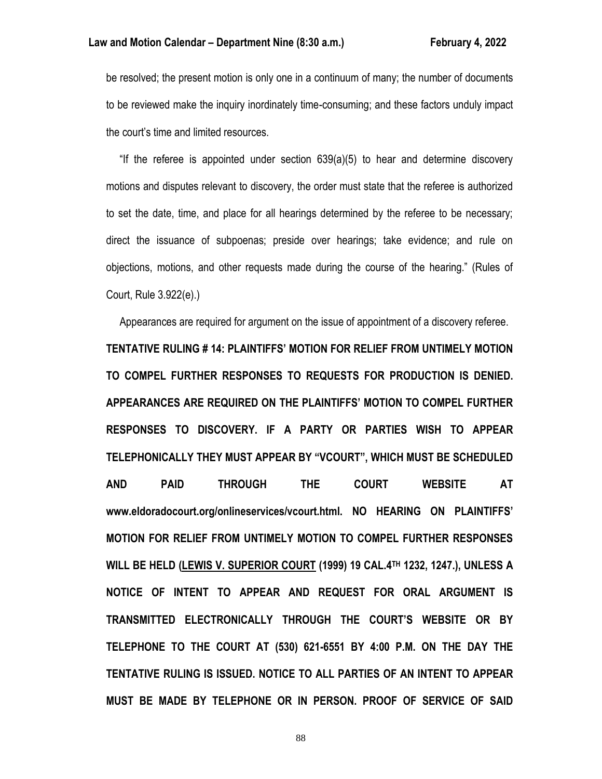be resolved; the present motion is only one in a continuum of many; the number of documents to be reviewed make the inquiry inordinately time-consuming; and these factors unduly impact the court's time and limited resources.

 "If the referee is appointed under section 639(a)(5) to hear and determine discovery motions and disputes relevant to discovery, the order must state that the referee is authorized to set the date, time, and place for all hearings determined by the referee to be necessary; direct the issuance of subpoenas; preside over hearings; take evidence; and rule on objections, motions, and other requests made during the course of the hearing." (Rules of Court, Rule 3.922(e).)

 Appearances are required for argument on the issue of appointment of a discovery referee. **TENTATIVE RULING # 14: PLAINTIFFS' MOTION FOR RELIEF FROM UNTIMELY MOTION TO COMPEL FURTHER RESPONSES TO REQUESTS FOR PRODUCTION IS DENIED. APPEARANCES ARE REQUIRED ON THE PLAINTIFFS' MOTION TO COMPEL FURTHER RESPONSES TO DISCOVERY. IF A PARTY OR PARTIES WISH TO APPEAR TELEPHONICALLY THEY MUST APPEAR BY "VCOURT", WHICH MUST BE SCHEDULED AND PAID THROUGH THE COURT WEBSITE AT www.eldoradocourt.org/onlineservices/vcourt.html. NO HEARING ON PLAINTIFFS' MOTION FOR RELIEF FROM UNTIMELY MOTION TO COMPEL FURTHER RESPONSES WILL BE HELD (LEWIS V. SUPERIOR COURT (1999) 19 CAL.4TH 1232, 1247.), UNLESS A NOTICE OF INTENT TO APPEAR AND REQUEST FOR ORAL ARGUMENT IS TRANSMITTED ELECTRONICALLY THROUGH THE COURT'S WEBSITE OR BY TELEPHONE TO THE COURT AT (530) 621-6551 BY 4:00 P.M. ON THE DAY THE TENTATIVE RULING IS ISSUED. NOTICE TO ALL PARTIES OF AN INTENT TO APPEAR MUST BE MADE BY TELEPHONE OR IN PERSON. PROOF OF SERVICE OF SAID**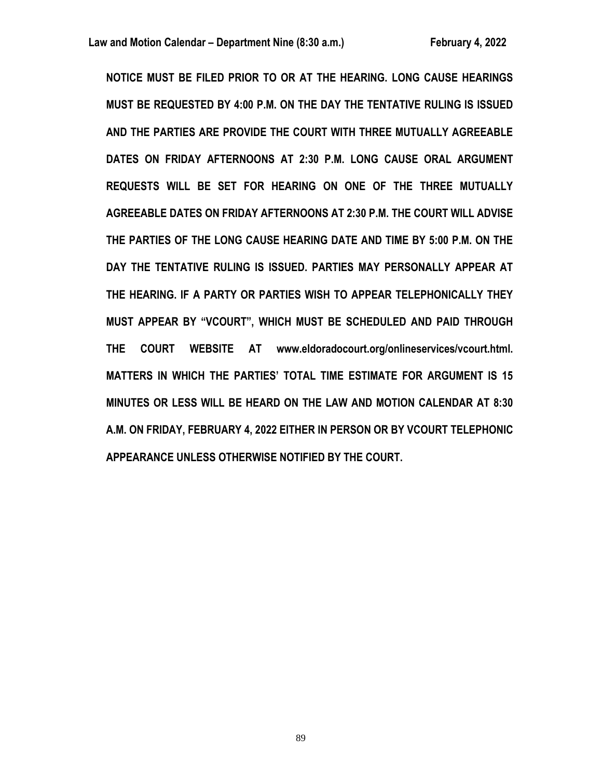**NOTICE MUST BE FILED PRIOR TO OR AT THE HEARING. LONG CAUSE HEARINGS MUST BE REQUESTED BY 4:00 P.M. ON THE DAY THE TENTATIVE RULING IS ISSUED AND THE PARTIES ARE PROVIDE THE COURT WITH THREE MUTUALLY AGREEABLE DATES ON FRIDAY AFTERNOONS AT 2:30 P.M. LONG CAUSE ORAL ARGUMENT REQUESTS WILL BE SET FOR HEARING ON ONE OF THE THREE MUTUALLY AGREEABLE DATES ON FRIDAY AFTERNOONS AT 2:30 P.M. THE COURT WILL ADVISE THE PARTIES OF THE LONG CAUSE HEARING DATE AND TIME BY 5:00 P.M. ON THE DAY THE TENTATIVE RULING IS ISSUED. PARTIES MAY PERSONALLY APPEAR AT THE HEARING. IF A PARTY OR PARTIES WISH TO APPEAR TELEPHONICALLY THEY MUST APPEAR BY "VCOURT", WHICH MUST BE SCHEDULED AND PAID THROUGH THE COURT WEBSITE AT www.eldoradocourt.org/onlineservices/vcourt.html. MATTERS IN WHICH THE PARTIES' TOTAL TIME ESTIMATE FOR ARGUMENT IS 15 MINUTES OR LESS WILL BE HEARD ON THE LAW AND MOTION CALENDAR AT 8:30 A.M. ON FRIDAY, FEBRUARY 4, 2022 EITHER IN PERSON OR BY VCOURT TELEPHONIC APPEARANCE UNLESS OTHERWISE NOTIFIED BY THE COURT.**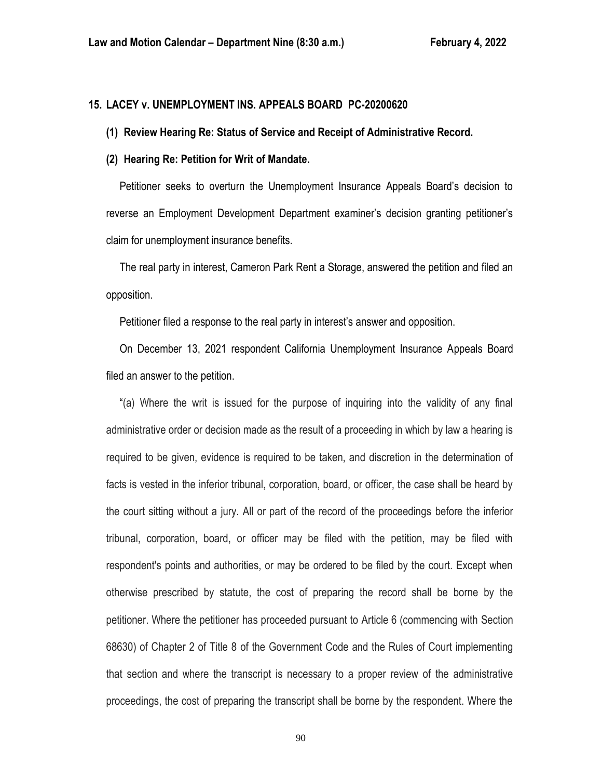# **15. LACEY v. UNEMPLOYMENT INS. APPEALS BOARD PC-20200620**

#### **(1) Review Hearing Re: Status of Service and Receipt of Administrative Record.**

#### **(2) Hearing Re: Petition for Writ of Mandate.**

 Petitioner seeks to overturn the Unemployment Insurance Appeals Board's decision to reverse an Employment Development Department examiner's decision granting petitioner's claim for unemployment insurance benefits.

 The real party in interest, Cameron Park Rent a Storage, answered the petition and filed an opposition.

Petitioner filed a response to the real party in interest's answer and opposition.

 On December 13, 2021 respondent California Unemployment Insurance Appeals Board filed an answer to the petition.

 "(a) Where the writ is issued for the purpose of inquiring into the validity of any final administrative order or decision made as the result of a proceeding in which by law a hearing is required to be given, evidence is required to be taken, and discretion in the determination of facts is vested in the inferior tribunal, corporation, board, or officer, the case shall be heard by the court sitting without a jury. All or part of the record of the proceedings before the inferior tribunal, corporation, board, or officer may be filed with the petition, may be filed with respondent's points and authorities, or may be ordered to be filed by the court. Except when otherwise prescribed by statute, the cost of preparing the record shall be borne by the petitioner. Where the petitioner has proceeded pursuant to Article 6 (commencing with Section 68630) of Chapter 2 of Title 8 of the Government Code and the Rules of Court implementing that section and where the transcript is necessary to a proper review of the administrative proceedings, the cost of preparing the transcript shall be borne by the respondent. Where the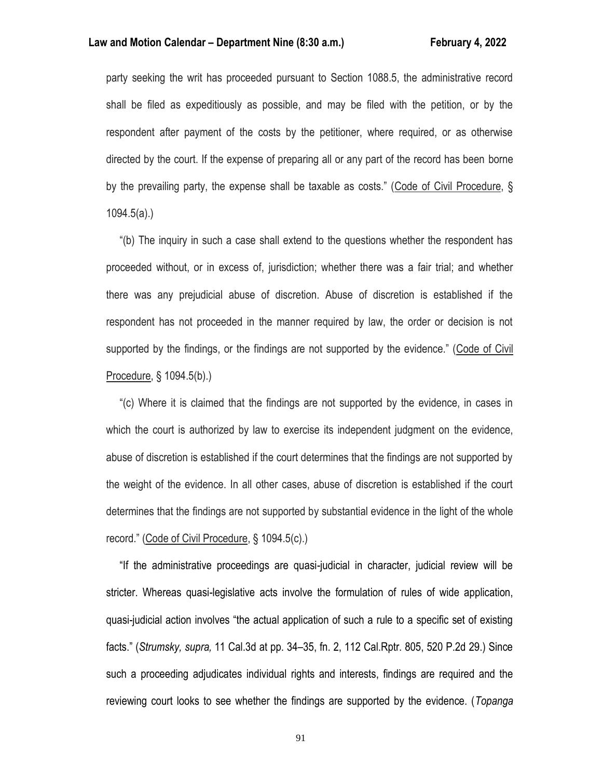#### **Law and Motion Calendar – Department Nine (8:30 a.m.) February 4, 2022**

party seeking the writ has proceeded pursuant to Section 1088.5, the administrative record shall be filed as expeditiously as possible, and may be filed with the petition, or by the respondent after payment of the costs by the petitioner, where required, or as otherwise directed by the court. If the expense of preparing all or any part of the record has been borne by the prevailing party, the expense shall be taxable as costs." (Code of Civil Procedure, § 1094.5(a).)

 "(b) The inquiry in such a case shall extend to the questions whether the respondent has proceeded without, or in excess of, jurisdiction; whether there was a fair trial; and whether there was any prejudicial abuse of discretion. Abuse of discretion is established if the respondent has not proceeded in the manner required by law, the order or decision is not supported by the findings, or the findings are not supported by the evidence." (Code of Civil Procedure, § 1094.5(b).)

 "(c) Where it is claimed that the findings are not supported by the evidence, in cases in which the court is authorized by law to exercise its independent judgment on the evidence, abuse of discretion is established if the court determines that the findings are not supported by the weight of the evidence. In all other cases, abuse of discretion is established if the court determines that the findings are not supported by substantial evidence in the light of the whole record." (Code of Civil Procedure, § 1094.5(c).)

 "If the administrative proceedings are quasi-judicial in character, judicial review will be stricter. Whereas quasi-legislative acts involve the formulation of rules of wide application, quasi-judicial action involves "the actual application of such a rule to a specific set of existing facts." (*Strumsky, supra,* 11 Cal.3d at pp. 34–35, fn. 2, 112 Cal.Rptr. 805, 520 P.2d 29.) Since such a proceeding adjudicates individual rights and interests, findings are required and the reviewing court looks to see whether the findings are supported by the evidence. (*Topanga*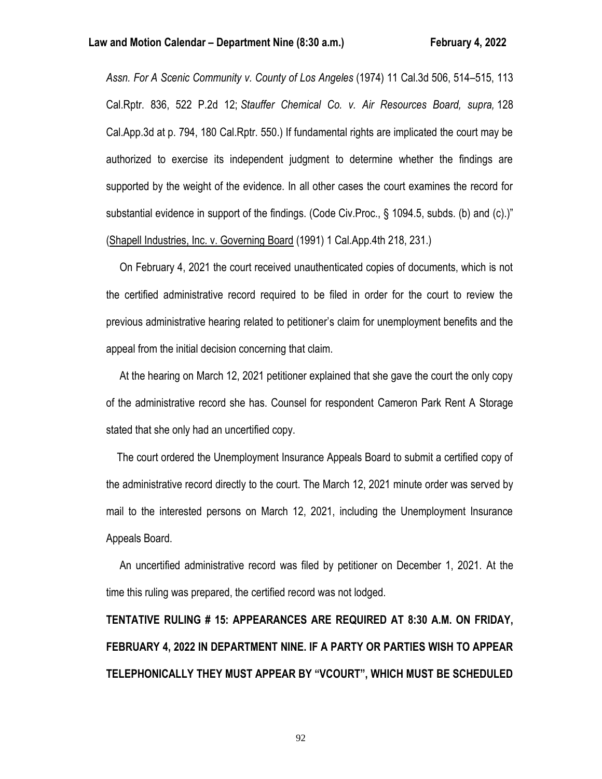*Assn. For A Scenic Community v. County of Los Angeles* (1974) 11 Cal.3d 506, 514–515, 113 Cal.Rptr. 836, 522 P.2d 12; *Stauffer Chemical Co. v. Air Resources Board, supra,* 128 Cal.App.3d at p. 794, 180 Cal.Rptr. 550.) If fundamental rights are implicated the court may be authorized to exercise its independent judgment to determine whether the findings are supported by the weight of the evidence. In all other cases the court examines the record for substantial evidence in support of the findings. (Code Civ.Proc., § 1094.5, subds. (b) and (c).)" (Shapell Industries, Inc. v. Governing Board (1991) 1 Cal.App.4th 218, 231.)

 On February 4, 2021 the court received unauthenticated copies of documents, which is not the certified administrative record required to be filed in order for the court to review the previous administrative hearing related to petitioner's claim for unemployment benefits and the appeal from the initial decision concerning that claim.

 At the hearing on March 12, 2021 petitioner explained that she gave the court the only copy of the administrative record she has. Counsel for respondent Cameron Park Rent A Storage stated that she only had an uncertified copy.

 The court ordered the Unemployment Insurance Appeals Board to submit a certified copy of the administrative record directly to the court. The March 12, 2021 minute order was served by mail to the interested persons on March 12, 2021, including the Unemployment Insurance Appeals Board.

 An uncertified administrative record was filed by petitioner on December 1, 2021. At the time this ruling was prepared, the certified record was not lodged.

**TENTATIVE RULING # 15: APPEARANCES ARE REQUIRED AT 8:30 A.M. ON FRIDAY, FEBRUARY 4, 2022 IN DEPARTMENT NINE. IF A PARTY OR PARTIES WISH TO APPEAR TELEPHONICALLY THEY MUST APPEAR BY "VCOURT", WHICH MUST BE SCHEDULED**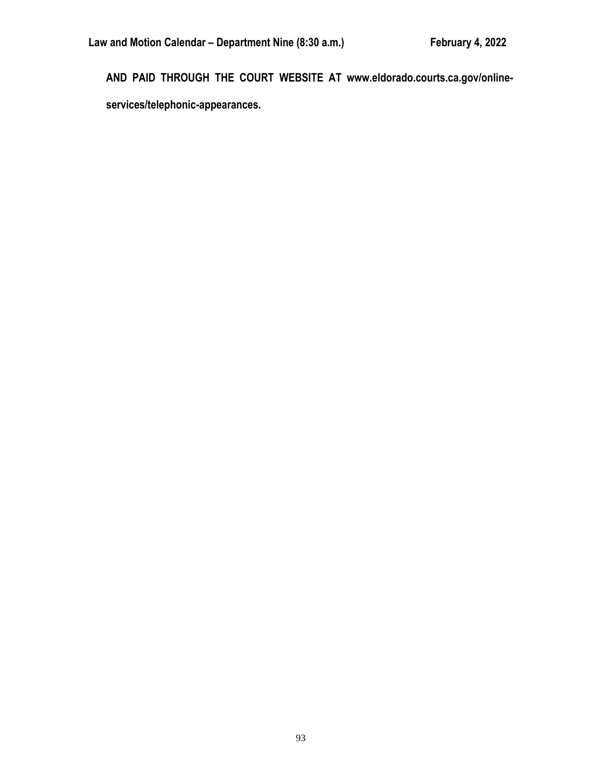**AND PAID THROUGH THE COURT WEBSITE AT www.eldorado.courts.ca.gov/onlineservices/telephonic-appearances.**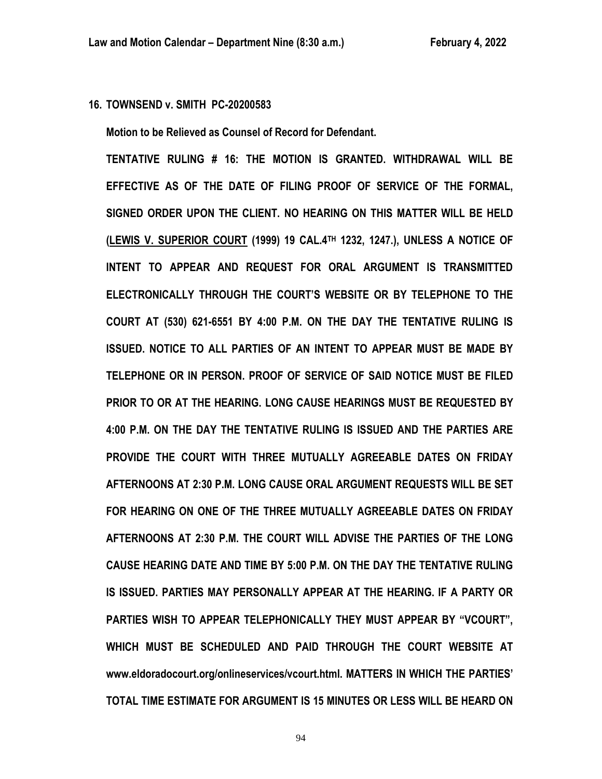# **16. TOWNSEND v. SMITH PC-20200583**

**Motion to be Relieved as Counsel of Record for Defendant.**

**TENTATIVE RULING # 16: THE MOTION IS GRANTED. WITHDRAWAL WILL BE EFFECTIVE AS OF THE DATE OF FILING PROOF OF SERVICE OF THE FORMAL, SIGNED ORDER UPON THE CLIENT. NO HEARING ON THIS MATTER WILL BE HELD (LEWIS V. SUPERIOR COURT (1999) 19 CAL.4TH 1232, 1247.), UNLESS A NOTICE OF INTENT TO APPEAR AND REQUEST FOR ORAL ARGUMENT IS TRANSMITTED ELECTRONICALLY THROUGH THE COURT'S WEBSITE OR BY TELEPHONE TO THE COURT AT (530) 621-6551 BY 4:00 P.M. ON THE DAY THE TENTATIVE RULING IS ISSUED. NOTICE TO ALL PARTIES OF AN INTENT TO APPEAR MUST BE MADE BY TELEPHONE OR IN PERSON. PROOF OF SERVICE OF SAID NOTICE MUST BE FILED PRIOR TO OR AT THE HEARING. LONG CAUSE HEARINGS MUST BE REQUESTED BY 4:00 P.M. ON THE DAY THE TENTATIVE RULING IS ISSUED AND THE PARTIES ARE PROVIDE THE COURT WITH THREE MUTUALLY AGREEABLE DATES ON FRIDAY AFTERNOONS AT 2:30 P.M. LONG CAUSE ORAL ARGUMENT REQUESTS WILL BE SET FOR HEARING ON ONE OF THE THREE MUTUALLY AGREEABLE DATES ON FRIDAY AFTERNOONS AT 2:30 P.M. THE COURT WILL ADVISE THE PARTIES OF THE LONG CAUSE HEARING DATE AND TIME BY 5:00 P.M. ON THE DAY THE TENTATIVE RULING IS ISSUED. PARTIES MAY PERSONALLY APPEAR AT THE HEARING. IF A PARTY OR PARTIES WISH TO APPEAR TELEPHONICALLY THEY MUST APPEAR BY "VCOURT", WHICH MUST BE SCHEDULED AND PAID THROUGH THE COURT WEBSITE AT www.eldoradocourt.org/onlineservices/vcourt.html. MATTERS IN WHICH THE PARTIES' TOTAL TIME ESTIMATE FOR ARGUMENT IS 15 MINUTES OR LESS WILL BE HEARD ON**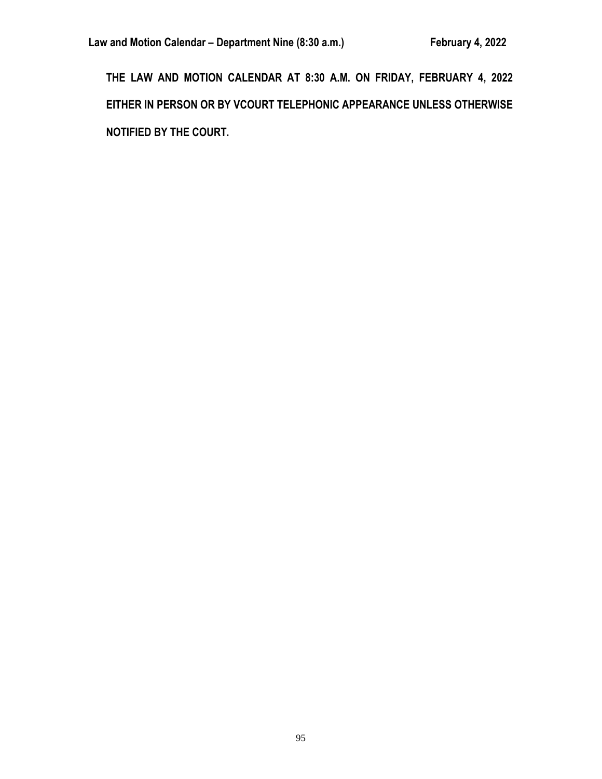**THE LAW AND MOTION CALENDAR AT 8:30 A.M. ON FRIDAY, FEBRUARY 4, 2022 EITHER IN PERSON OR BY VCOURT TELEPHONIC APPEARANCE UNLESS OTHERWISE NOTIFIED BY THE COURT.**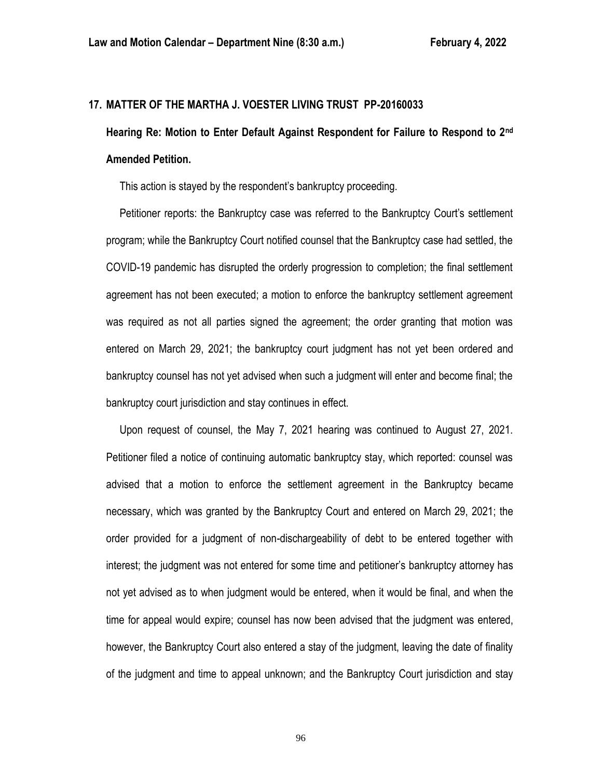# **17. MATTER OF THE MARTHA J. VOESTER LIVING TRUST PP-20160033**

# **Hearing Re: Motion to Enter Default Against Respondent for Failure to Respond to 2nd Amended Petition.**

This action is stayed by the respondent's bankruptcy proceeding.

 Petitioner reports: the Bankruptcy case was referred to the Bankruptcy Court's settlement program; while the Bankruptcy Court notified counsel that the Bankruptcy case had settled, the COVID-19 pandemic has disrupted the orderly progression to completion; the final settlement agreement has not been executed; a motion to enforce the bankruptcy settlement agreement was required as not all parties signed the agreement; the order granting that motion was entered on March 29, 2021; the bankruptcy court judgment has not yet been ordered and bankruptcy counsel has not yet advised when such a judgment will enter and become final; the bankruptcy court jurisdiction and stay continues in effect.

 Upon request of counsel, the May 7, 2021 hearing was continued to August 27, 2021. Petitioner filed a notice of continuing automatic bankruptcy stay, which reported: counsel was advised that a motion to enforce the settlement agreement in the Bankruptcy became necessary, which was granted by the Bankruptcy Court and entered on March 29, 2021; the order provided for a judgment of non-dischargeability of debt to be entered together with interest; the judgment was not entered for some time and petitioner's bankruptcy attorney has not yet advised as to when judgment would be entered, when it would be final, and when the time for appeal would expire; counsel has now been advised that the judgment was entered, however, the Bankruptcy Court also entered a stay of the judgment, leaving the date of finality of the judgment and time to appeal unknown; and the Bankruptcy Court jurisdiction and stay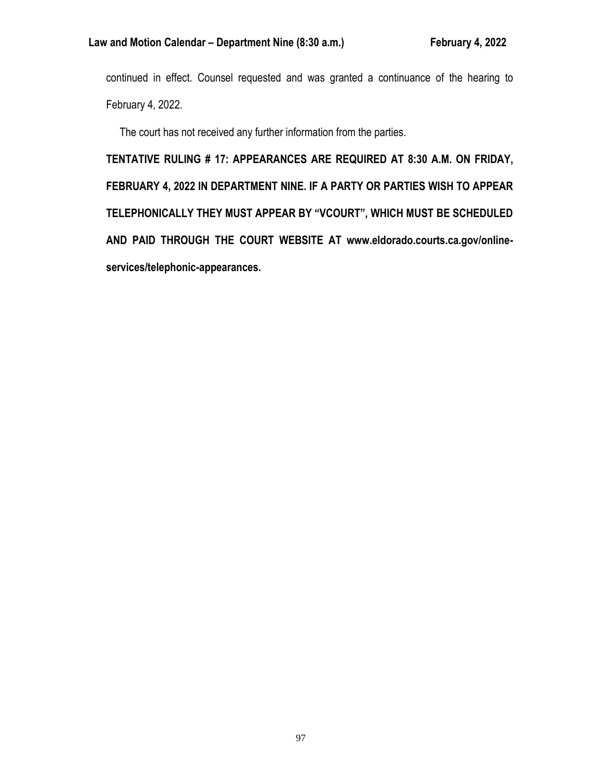continued in effect. Counsel requested and was granted a continuance of the hearing to February 4, 2022.

The court has not received any further information from the parties.

**TENTATIVE RULING # 17: APPEARANCES ARE REQUIRED AT 8:30 A.M. ON FRIDAY, FEBRUARY 4, 2022 IN DEPARTMENT NINE. IF A PARTY OR PARTIES WISH TO APPEAR TELEPHONICALLY THEY MUST APPEAR BY "VCOURT", WHICH MUST BE SCHEDULED AND PAID THROUGH THE COURT WEBSITE AT www.eldorado.courts.ca.gov/onlineservices/telephonic-appearances.**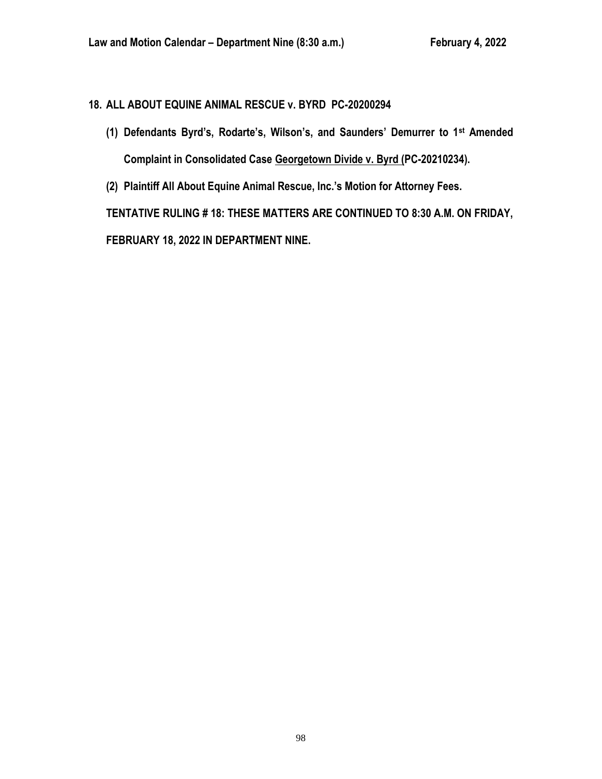# **18. ALL ABOUT EQUINE ANIMAL RESCUE v. BYRD PC-20200294**

- **(1) Defendants Byrd's, Rodarte's, Wilson's, and Saunders' Demurrer to 1st Amended Complaint in Consolidated Case Georgetown Divide v. Byrd (PC-20210234).**
- **(2) Plaintiff All About Equine Animal Rescue, Inc.'s Motion for Attorney Fees.**

**TENTATIVE RULING # 18: THESE MATTERS ARE CONTINUED TO 8:30 A.M. ON FRIDAY,** 

**FEBRUARY 18, 2022 IN DEPARTMENT NINE.**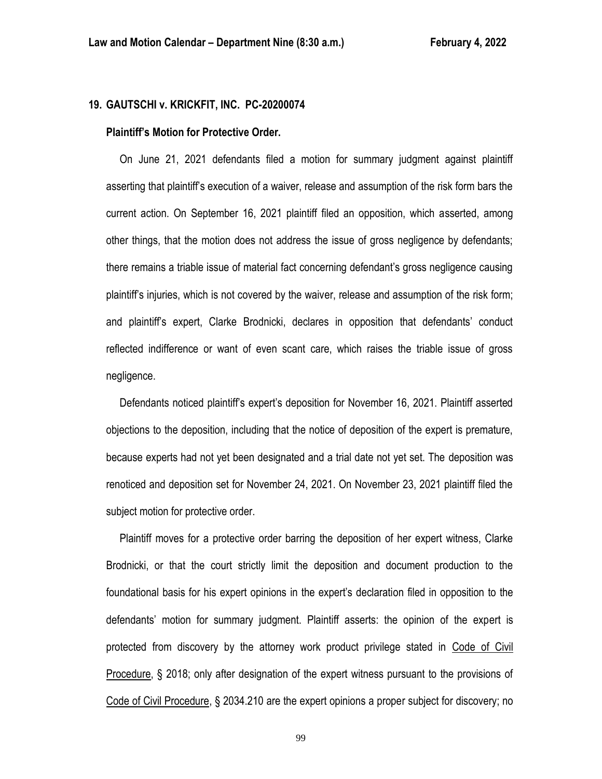# **19. GAUTSCHI v. KRICKFIT, INC. PC-20200074**

#### **Plaintiff's Motion for Protective Order.**

 On June 21, 2021 defendants filed a motion for summary judgment against plaintiff asserting that plaintiff's execution of a waiver, release and assumption of the risk form bars the current action. On September 16, 2021 plaintiff filed an opposition, which asserted, among other things, that the motion does not address the issue of gross negligence by defendants; there remains a triable issue of material fact concerning defendant's gross negligence causing plaintiff's injuries, which is not covered by the waiver, release and assumption of the risk form; and plaintiff's expert, Clarke Brodnicki, declares in opposition that defendants' conduct reflected indifference or want of even scant care, which raises the triable issue of gross negligence.

 Defendants noticed plaintiff's expert's deposition for November 16, 2021. Plaintiff asserted objections to the deposition, including that the notice of deposition of the expert is premature, because experts had not yet been designated and a trial date not yet set. The deposition was renoticed and deposition set for November 24, 2021. On November 23, 2021 plaintiff filed the subject motion for protective order.

 Plaintiff moves for a protective order barring the deposition of her expert witness, Clarke Brodnicki, or that the court strictly limit the deposition and document production to the foundational basis for his expert opinions in the expert's declaration filed in opposition to the defendants' motion for summary judgment. Plaintiff asserts: the opinion of the expert is protected from discovery by the attorney work product privilege stated in Code of Civil Procedure, § 2018; only after designation of the expert witness pursuant to the provisions of Code of Civil Procedure, § 2034.210 are the expert opinions a proper subject for discovery; no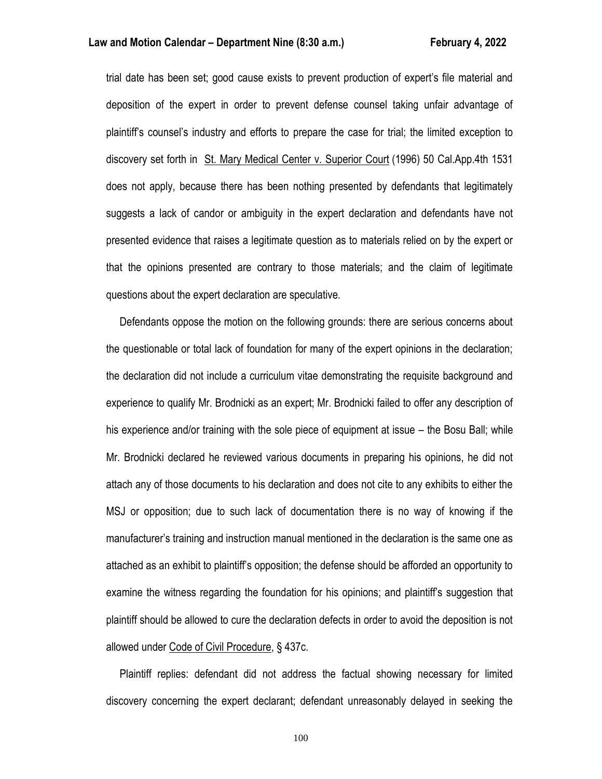trial date has been set; good cause exists to prevent production of expert's file material and deposition of the expert in order to prevent defense counsel taking unfair advantage of plaintiff's counsel's industry and efforts to prepare the case for trial; the limited exception to discovery set forth in St. Mary Medical Center v. Superior Court (1996) 50 Cal.App.4th 1531 does not apply, because there has been nothing presented by defendants that legitimately suggests a lack of candor or ambiguity in the expert declaration and defendants have not presented evidence that raises a legitimate question as to materials relied on by the expert or that the opinions presented are contrary to those materials; and the claim of legitimate questions about the expert declaration are speculative.

 Defendants oppose the motion on the following grounds: there are serious concerns about the questionable or total lack of foundation for many of the expert opinions in the declaration; the declaration did not include a curriculum vitae demonstrating the requisite background and experience to qualify Mr. Brodnicki as an expert; Mr. Brodnicki failed to offer any description of his experience and/or training with the sole piece of equipment at issue – the Bosu Ball; while Mr. Brodnicki declared he reviewed various documents in preparing his opinions, he did not attach any of those documents to his declaration and does not cite to any exhibits to either the MSJ or opposition; due to such lack of documentation there is no way of knowing if the manufacturer's training and instruction manual mentioned in the declaration is the same one as attached as an exhibit to plaintiff's opposition; the defense should be afforded an opportunity to examine the witness regarding the foundation for his opinions; and plaintiff's suggestion that plaintiff should be allowed to cure the declaration defects in order to avoid the deposition is not allowed under Code of Civil Procedure, § 437c.

 Plaintiff replies: defendant did not address the factual showing necessary for limited discovery concerning the expert declarant; defendant unreasonably delayed in seeking the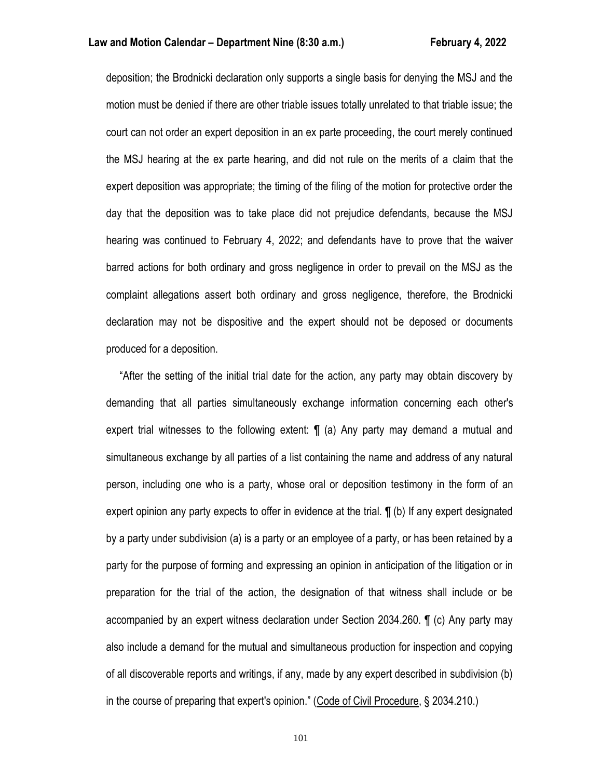deposition; the Brodnicki declaration only supports a single basis for denying the MSJ and the motion must be denied if there are other triable issues totally unrelated to that triable issue; the court can not order an expert deposition in an ex parte proceeding, the court merely continued the MSJ hearing at the ex parte hearing, and did not rule on the merits of a claim that the expert deposition was appropriate; the timing of the filing of the motion for protective order the day that the deposition was to take place did not prejudice defendants, because the MSJ hearing was continued to February 4, 2022; and defendants have to prove that the waiver barred actions for both ordinary and gross negligence in order to prevail on the MSJ as the complaint allegations assert both ordinary and gross negligence, therefore, the Brodnicki declaration may not be dispositive and the expert should not be deposed or documents produced for a deposition.

 "After the setting of the initial trial date for the action, any party may obtain discovery by demanding that all parties simultaneously exchange information concerning each other's expert trial witnesses to the following extent: ¶ (a) Any party may demand a mutual and simultaneous exchange by all parties of a list containing the name and address of any natural person, including one who is a party, whose oral or deposition testimony in the form of an expert opinion any party expects to offer in evidence at the trial. ¶ (b) If any expert designated by a party under subdivision (a) is a party or an employee of a party, or has been retained by a party for the purpose of forming and expressing an opinion in anticipation of the litigation or in preparation for the trial of the action, the designation of that witness shall include or be accompanied by an expert witness declaration under Section 2034.260. ¶ (c) Any party may also include a demand for the mutual and simultaneous production for inspection and copying of all discoverable reports and writings, if any, made by any expert described in subdivision (b) in the course of preparing that expert's opinion." (Code of Civil Procedure, § 2034.210.)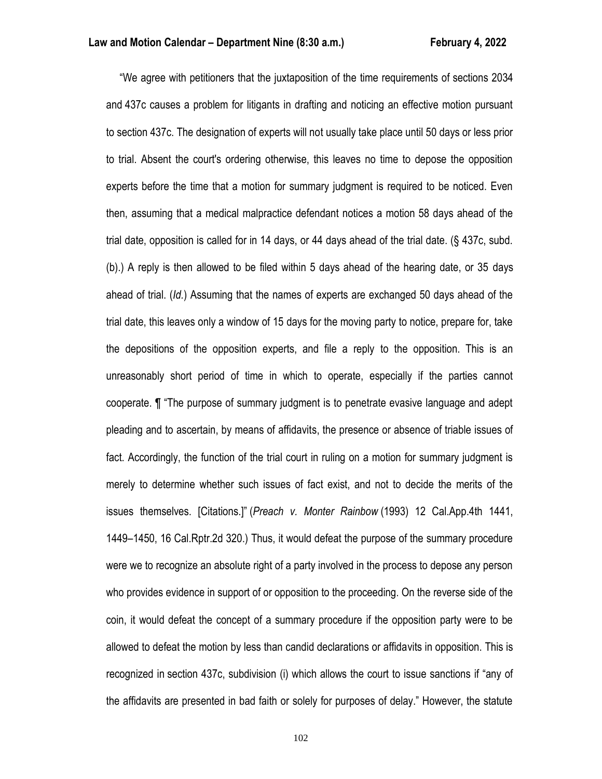"We agree with petitioners that the juxtaposition of the time requirements of sections 2034 and 437c causes a problem for litigants in drafting and noticing an effective motion pursuant to section 437c. The designation of experts will not usually take place until 50 days or less prior to trial. Absent the court's ordering otherwise, this leaves no time to depose the opposition experts before the time that a motion for summary judgment is required to be noticed. Even then, assuming that a medical malpractice defendant notices a motion 58 days ahead of the trial date, opposition is called for in 14 days, or 44 days ahead of the trial date. (§ 437c, subd. (b).) A reply is then allowed to be filed within 5 days ahead of the hearing date, or 35 days ahead of trial. (*Id.*) Assuming that the names of experts are exchanged 50 days ahead of the trial date, this leaves only a window of 15 days for the moving party to notice, prepare for, take the depositions of the opposition experts, and file a reply to the opposition. This is an unreasonably short period of time in which to operate, especially if the parties cannot cooperate. ¶ "The purpose of summary judgment is to penetrate evasive language and adept pleading and to ascertain, by means of affidavits, the presence or absence of triable issues of fact. Accordingly, the function of the trial court in ruling on a motion for summary judgment is merely to determine whether such issues of fact exist, and not to decide the merits of the issues themselves. [Citations.]" (*Preach v. Monter Rainbow* (1993) 12 Cal.App.4th 1441, 1449–1450, 16 Cal.Rptr.2d 320.) Thus, it would defeat the purpose of the summary procedure were we to recognize an absolute right of a party involved in the process to depose any person who provides evidence in support of or opposition to the proceeding. On the reverse side of the coin, it would defeat the concept of a summary procedure if the opposition party were to be allowed to defeat the motion by less than candid declarations or affidavits in opposition. This is recognized in section 437c, subdivision (i) which allows the court to issue sanctions if "any of the affidavits are presented in bad faith or solely for purposes of delay." However, the statute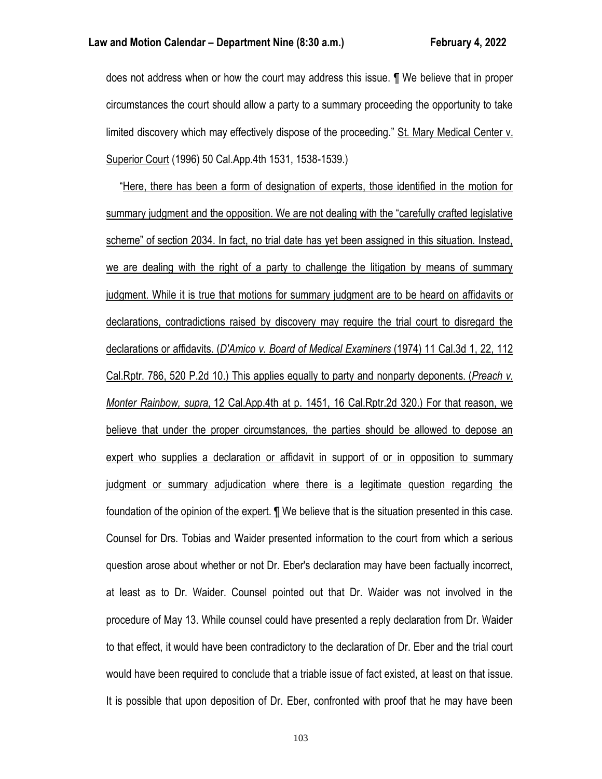does not address when or how the court may address this issue. ¶ We believe that in proper circumstances the court should allow a party to a summary proceeding the opportunity to take limited discovery which may effectively dispose of the proceeding." St. Mary Medical Center v. Superior Court (1996) 50 Cal.App.4th 1531, 1538-1539.)

 "Here, there has been a form of designation of experts, those identified in the motion for summary judgment and the opposition. We are not dealing with the "carefully crafted legislative scheme" of section 2034. In fact, no trial date has yet been assigned in this situation. Instead, we are dealing with the right of a party to challenge the litigation by means of summary judgment. While it is true that motions for summary judgment are to be heard on affidavits or declarations, contradictions raised by discovery may require the trial court to disregard the declarations or affidavits. (*D'Amico v. Board of Medical Examiners* (1974) 11 Cal.3d 1, 22, 112 Cal.Rptr. 786, 520 P.2d 10.) This applies equally to party and nonparty deponents. (*Preach v. Monter Rainbow, supra,* 12 Cal.App.4th at p. 1451, 16 Cal.Rptr.2d 320.) For that reason, we believe that under the proper circumstances, the parties should be allowed to depose an expert who supplies a declaration or affidavit in support of or in opposition to summary judgment or summary adjudication where there is a legitimate question regarding the foundation of the opinion of the expert. ¶ We believe that is the situation presented in this case. Counsel for Drs. Tobias and Waider presented information to the court from which a serious question arose about whether or not Dr. Eber's declaration may have been factually incorrect, at least as to Dr. Waider. Counsel pointed out that Dr. Waider was not involved in the procedure of May 13. While counsel could have presented a reply declaration from Dr. Waider to that effect, it would have been contradictory to the declaration of Dr. Eber and the trial court would have been required to conclude that a triable issue of fact existed, at least on that issue. It is possible that upon deposition of Dr. Eber, confronted with proof that he may have been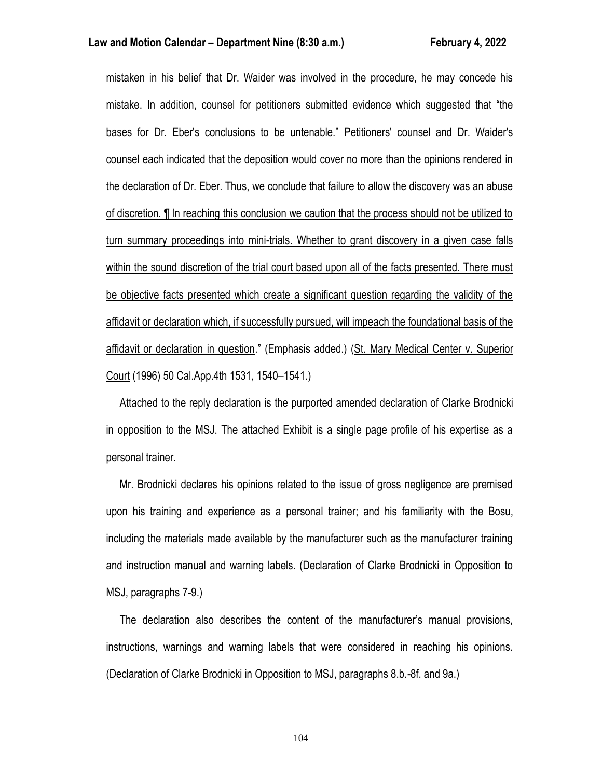mistaken in his belief that Dr. Waider was involved in the procedure, he may concede his mistake. In addition, counsel for petitioners submitted evidence which suggested that "the bases for Dr. Eber's conclusions to be untenable." Petitioners' counsel and Dr. Waider's counsel each indicated that the deposition would cover no more than the opinions rendered in the declaration of Dr. Eber. Thus, we conclude that failure to allow the discovery was an abuse of discretion. ¶ In reaching this conclusion we caution that the process should not be utilized to turn summary proceedings into mini-trials. Whether to grant discovery in a given case falls within the sound discretion of the trial court based upon all of the facts presented. There must be objective facts presented which create a significant question regarding the validity of the affidavit or declaration which, if successfully pursued, will impeach the foundational basis of the affidavit or declaration in question." (Emphasis added.) (St. Mary Medical Center v. Superior Court (1996) 50 Cal.App.4th 1531, 1540–1541.)

 Attached to the reply declaration is the purported amended declaration of Clarke Brodnicki in opposition to the MSJ. The attached Exhibit is a single page profile of his expertise as a personal trainer.

 Mr. Brodnicki declares his opinions related to the issue of gross negligence are premised upon his training and experience as a personal trainer; and his familiarity with the Bosu, including the materials made available by the manufacturer such as the manufacturer training and instruction manual and warning labels. (Declaration of Clarke Brodnicki in Opposition to MSJ, paragraphs 7-9.)

 The declaration also describes the content of the manufacturer's manual provisions, instructions, warnings and warning labels that were considered in reaching his opinions. (Declaration of Clarke Brodnicki in Opposition to MSJ, paragraphs 8.b.-8f. and 9a.)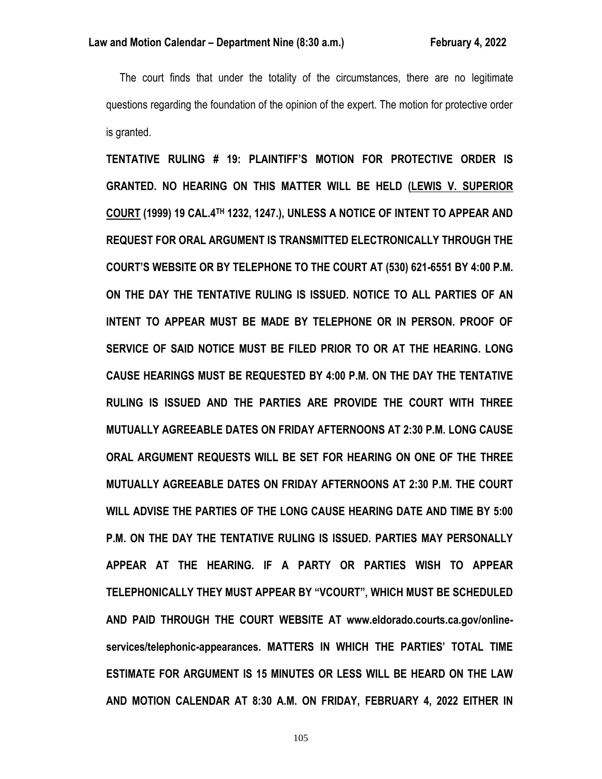The court finds that under the totality of the circumstances, there are no legitimate questions regarding the foundation of the opinion of the expert. The motion for protective order is granted.

**TENTATIVE RULING # 19: PLAINTIFF'S MOTION FOR PROTECTIVE ORDER IS GRANTED. NO HEARING ON THIS MATTER WILL BE HELD (LEWIS V. SUPERIOR COURT (1999) 19 CAL.4TH 1232, 1247.), UNLESS A NOTICE OF INTENT TO APPEAR AND REQUEST FOR ORAL ARGUMENT IS TRANSMITTED ELECTRONICALLY THROUGH THE COURT'S WEBSITE OR BY TELEPHONE TO THE COURT AT (530) 621-6551 BY 4:00 P.M. ON THE DAY THE TENTATIVE RULING IS ISSUED. NOTICE TO ALL PARTIES OF AN INTENT TO APPEAR MUST BE MADE BY TELEPHONE OR IN PERSON. PROOF OF SERVICE OF SAID NOTICE MUST BE FILED PRIOR TO OR AT THE HEARING. LONG CAUSE HEARINGS MUST BE REQUESTED BY 4:00 P.M. ON THE DAY THE TENTATIVE RULING IS ISSUED AND THE PARTIES ARE PROVIDE THE COURT WITH THREE MUTUALLY AGREEABLE DATES ON FRIDAY AFTERNOONS AT 2:30 P.M. LONG CAUSE ORAL ARGUMENT REQUESTS WILL BE SET FOR HEARING ON ONE OF THE THREE MUTUALLY AGREEABLE DATES ON FRIDAY AFTERNOONS AT 2:30 P.M. THE COURT WILL ADVISE THE PARTIES OF THE LONG CAUSE HEARING DATE AND TIME BY 5:00 P.M. ON THE DAY THE TENTATIVE RULING IS ISSUED. PARTIES MAY PERSONALLY APPEAR AT THE HEARING. IF A PARTY OR PARTIES WISH TO APPEAR TELEPHONICALLY THEY MUST APPEAR BY "VCOURT", WHICH MUST BE SCHEDULED AND PAID THROUGH THE COURT WEBSITE AT www.eldorado.courts.ca.gov/onlineservices/telephonic-appearances. MATTERS IN WHICH THE PARTIES' TOTAL TIME ESTIMATE FOR ARGUMENT IS 15 MINUTES OR LESS WILL BE HEARD ON THE LAW AND MOTION CALENDAR AT 8:30 A.M. ON FRIDAY, FEBRUARY 4, 2022 EITHER IN**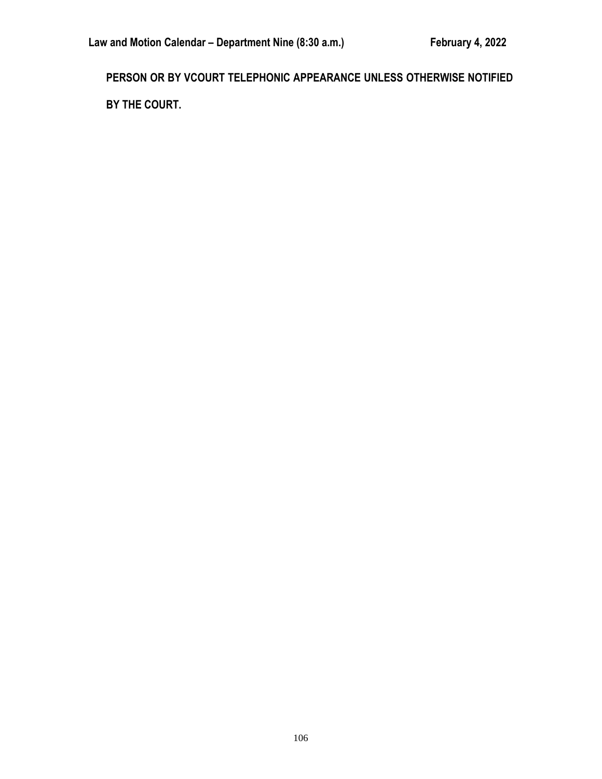**PERSON OR BY VCOURT TELEPHONIC APPEARANCE UNLESS OTHERWISE NOTIFIED BY THE COURT.**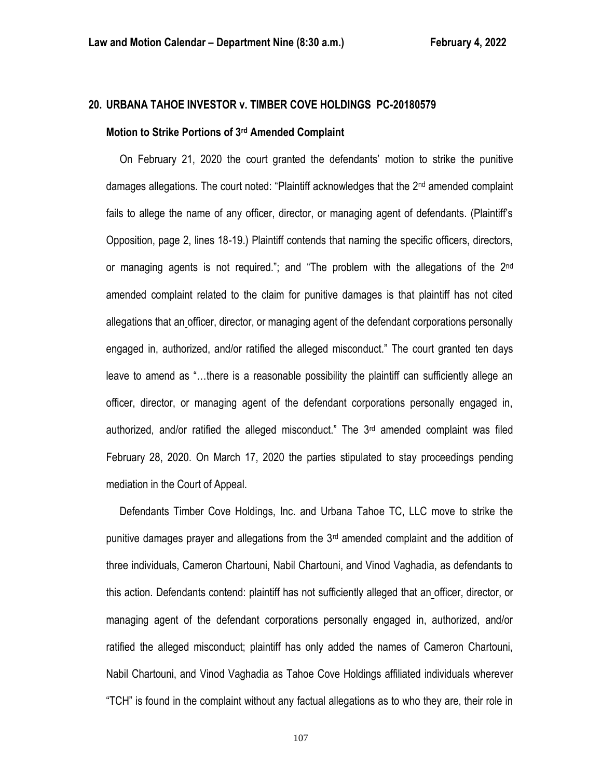# **20. URBANA TAHOE INVESTOR v. TIMBER COVE HOLDINGS PC-20180579**

#### **Motion to Strike Portions of 3rd Amended Complaint**

 On February 21, 2020 the court granted the defendants' motion to strike the punitive damages allegations. The court noted: "Plaintiff acknowledges that the  $2<sup>nd</sup>$  amended complaint fails to allege the name of any officer, director, or managing agent of defendants. (Plaintiff's Opposition, page 2, lines 18-19.) Plaintiff contends that naming the specific officers, directors, or managing agents is not required."; and "The problem with the allegations of the 2<sup>nd</sup> amended complaint related to the claim for punitive damages is that plaintiff has not cited allegations that an officer, director, or managing agent of the defendant corporations personally engaged in, authorized, and/or ratified the alleged misconduct." The court granted ten days leave to amend as "…there is a reasonable possibility the plaintiff can sufficiently allege an officer, director, or managing agent of the defendant corporations personally engaged in, authorized, and/or ratified the alleged misconduct." The  $3<sup>rd</sup>$  amended complaint was filed February 28, 2020. On March 17, 2020 the parties stipulated to stay proceedings pending mediation in the Court of Appeal.

 Defendants Timber Cove Holdings, Inc. and Urbana Tahoe TC, LLC move to strike the punitive damages prayer and allegations from the 3rd amended complaint and the addition of three individuals, Cameron Chartouni, Nabil Chartouni, and Vinod Vaghadia, as defendants to this action. Defendants contend: plaintiff has not sufficiently alleged that an officer, director, or managing agent of the defendant corporations personally engaged in, authorized, and/or ratified the alleged misconduct; plaintiff has only added the names of Cameron Chartouni, Nabil Chartouni, and Vinod Vaghadia as Tahoe Cove Holdings affiliated individuals wherever "TCH" is found in the complaint without any factual allegations as to who they are, their role in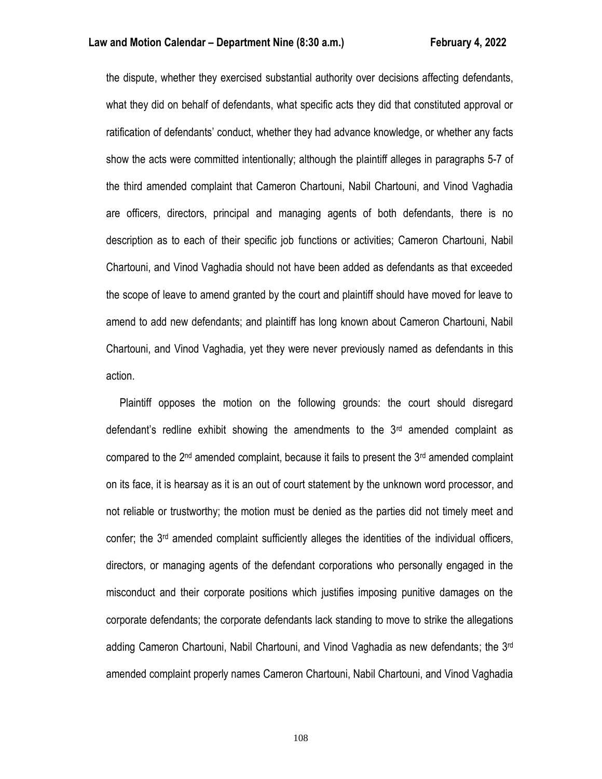the dispute, whether they exercised substantial authority over decisions affecting defendants, what they did on behalf of defendants, what specific acts they did that constituted approval or ratification of defendants' conduct, whether they had advance knowledge, or whether any facts show the acts were committed intentionally; although the plaintiff alleges in paragraphs 5-7 of the third amended complaint that Cameron Chartouni, Nabil Chartouni, and Vinod Vaghadia are officers, directors, principal and managing agents of both defendants, there is no description as to each of their specific job functions or activities; Cameron Chartouni, Nabil Chartouni, and Vinod Vaghadia should not have been added as defendants as that exceeded the scope of leave to amend granted by the court and plaintiff should have moved for leave to amend to add new defendants; and plaintiff has long known about Cameron Chartouni, Nabil Chartouni, and Vinod Vaghadia, yet they were never previously named as defendants in this action.

 Plaintiff opposes the motion on the following grounds: the court should disregard defendant's redline exhibit showing the amendments to the  $3<sup>rd</sup>$  amended complaint as compared to the  $2<sup>nd</sup>$  amended complaint, because it fails to present the  $3<sup>rd</sup>$  amended complaint on its face, it is hearsay as it is an out of court statement by the unknown word processor, and not reliable or trustworthy; the motion must be denied as the parties did not timely meet and confer; the 3<sup>rd</sup> amended complaint sufficiently alleges the identities of the individual officers, directors, or managing agents of the defendant corporations who personally engaged in the misconduct and their corporate positions which justifies imposing punitive damages on the corporate defendants; the corporate defendants lack standing to move to strike the allegations adding Cameron Chartouni, Nabil Chartouni, and Vinod Vaghadia as new defendants; the 3rd amended complaint properly names Cameron Chartouni, Nabil Chartouni, and Vinod Vaghadia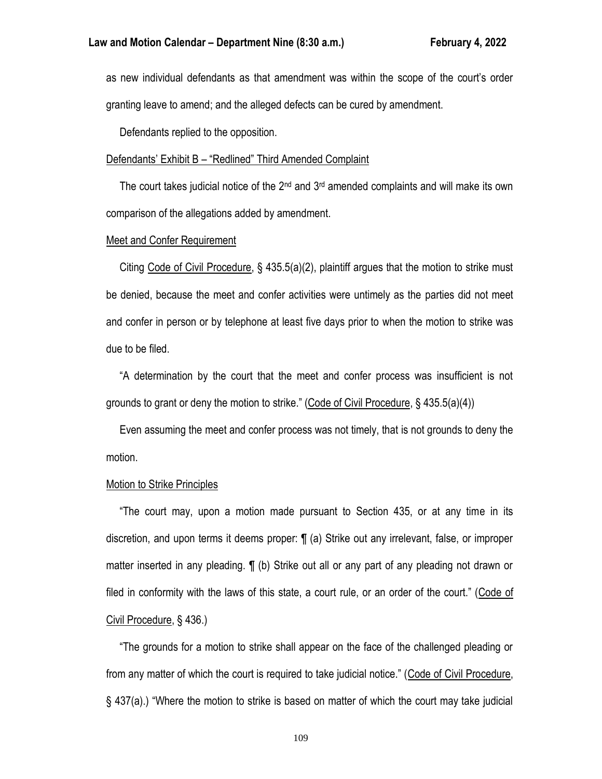as new individual defendants as that amendment was within the scope of the court's order granting leave to amend; and the alleged defects can be cured by amendment.

Defendants replied to the opposition.

### Defendants' Exhibit B – "Redlined" Third Amended Complaint

The court takes judicial notice of the  $2<sup>nd</sup>$  and  $3<sup>rd</sup>$  amended complaints and will make its own comparison of the allegations added by amendment.

### Meet and Confer Requirement

 Citing Code of Civil Procedure, § 435.5(a)(2), plaintiff argues that the motion to strike must be denied, because the meet and confer activities were untimely as the parties did not meet and confer in person or by telephone at least five days prior to when the motion to strike was due to be filed.

 "A determination by the court that the meet and confer process was insufficient is not grounds to grant or deny the motion to strike." (Code of Civil Procedure, § 435.5(a)(4))

 Even assuming the meet and confer process was not timely, that is not grounds to deny the motion.

#### Motion to Strike Principles

 "The court may, upon a motion made pursuant to Section 435, or at any time in its discretion, and upon terms it deems proper: ¶ (a) Strike out any irrelevant, false, or improper matter inserted in any pleading. ¶ (b) Strike out all or any part of any pleading not drawn or filed in conformity with the laws of this state, a court rule, or an order of the court." (Code of Civil Procedure, § 436.)

 "The grounds for a motion to strike shall appear on the face of the challenged pleading or from any matter of which the court is required to take judicial notice." (Code of Civil Procedure, § 437(a).) "Where the motion to strike is based on matter of which the court may take judicial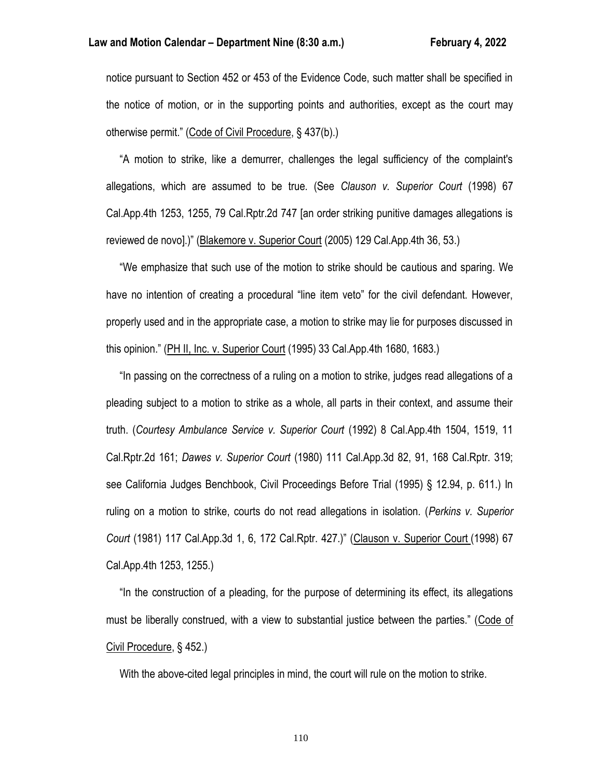notice pursuant to Section 452 or 453 of the Evidence Code, such matter shall be specified in the notice of motion, or in the supporting points and authorities, except as the court may otherwise permit." (Code of Civil Procedure, § 437(b).)

 "A motion to strike, like a demurrer, challenges the legal sufficiency of the complaint's allegations, which are assumed to be true. (See *Clauson v. Superior Court* (1998) 67 Cal.App.4th 1253, 1255, 79 Cal.Rptr.2d 747 [an order striking punitive damages allegations is reviewed de novo].)" (Blakemore v. Superior Court (2005) 129 Cal.App.4th 36, 53.)

 "We emphasize that such use of the motion to strike should be cautious and sparing. We have no intention of creating a procedural "line item veto" for the civil defendant. However, properly used and in the appropriate case, a motion to strike may lie for purposes discussed in this opinion." (PH II, Inc. v. Superior Court (1995) 33 Cal.App.4th 1680, 1683.)

 "In passing on the correctness of a ruling on a motion to strike, judges read allegations of a pleading subject to a motion to strike as a whole, all parts in their context, and assume their truth. (*Courtesy Ambulance Service v. Superior Court* (1992) 8 Cal.App.4th 1504, 1519, 11 Cal.Rptr.2d 161; *Dawes v. Superior Court* (1980) 111 Cal.App.3d 82, 91, 168 Cal.Rptr. 319; see California Judges Benchbook, Civil Proceedings Before Trial (1995) § 12.94, p. 611.) In ruling on a motion to strike, courts do not read allegations in isolation. (*Perkins v. Superior Court* (1981) 117 Cal.App.3d 1, 6, 172 Cal.Rptr. 427.)" (Clauson v. Superior Court (1998) 67 Cal.App.4th 1253, 1255.)

 "In the construction of a pleading, for the purpose of determining its effect, its allegations must be liberally construed, with a view to substantial justice between the parties." (Code of Civil Procedure, § 452.)

With the above-cited legal principles in mind, the court will rule on the motion to strike.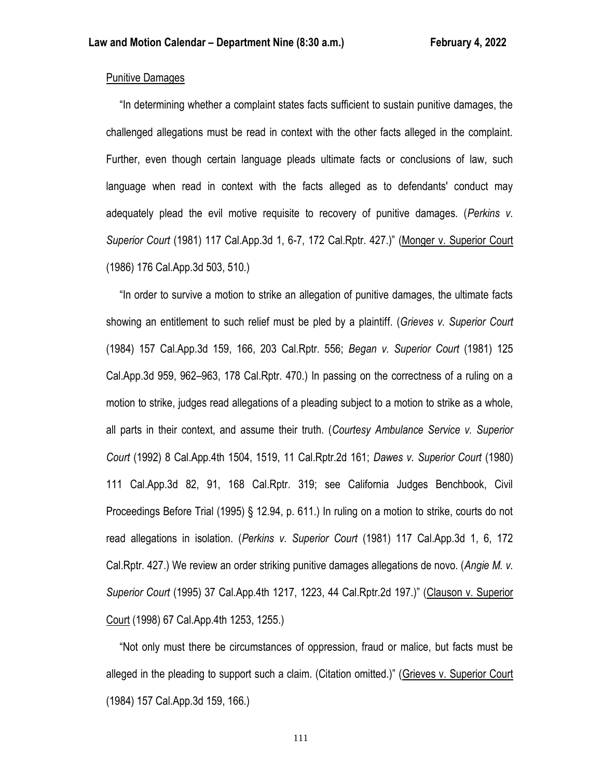## Punitive Damages

 "In determining whether a complaint states facts sufficient to sustain punitive damages, the challenged allegations must be read in context with the other facts alleged in the complaint. Further, even though certain language pleads ultimate facts or conclusions of law, such language when read in context with the facts alleged as to defendants' conduct may adequately plead the evil motive requisite to recovery of punitive damages. (*Perkins v. Superior Court* (1981) 117 Cal.App.3d 1, 6-7, 172 Cal.Rptr. 427.)" (Monger v. Superior Court (1986) 176 Cal.App.3d 503, 510.)

 "In order to survive a motion to strike an allegation of punitive damages, the ultimate facts showing an entitlement to such relief must be pled by a plaintiff. (*Grieves v. Superior Court* (1984) 157 Cal.App.3d 159, 166, 203 Cal.Rptr. 556; *Began v. Superior Court* (1981) 125 Cal.App.3d 959, 962–963, 178 Cal.Rptr. 470.) In passing on the correctness of a ruling on a motion to strike, judges read allegations of a pleading subject to a motion to strike as a whole, all parts in their context, and assume their truth. (*Courtesy Ambulance Service v. Superior Court* (1992) 8 Cal.App.4th 1504, 1519, 11 Cal.Rptr.2d 161; *Dawes v. Superior Court* (1980) 111 Cal.App.3d 82, 91, 168 Cal.Rptr. 319; see California Judges Benchbook, Civil Proceedings Before Trial (1995) § 12.94, p. 611.) In ruling on a motion to strike, courts do not read allegations in isolation. (*Perkins v. Superior Court* (1981) 117 Cal.App.3d 1, 6, 172 Cal.Rptr. 427.) We review an order striking punitive damages allegations de novo. (*Angie M. v. Superior Court* (1995) 37 Cal.App.4th 1217, 1223, 44 Cal.Rptr.2d 197.)" (Clauson v. Superior Court (1998) 67 Cal.App.4th 1253, 1255.)

 "Not only must there be circumstances of oppression, fraud or malice, but facts must be alleged in the pleading to support such a claim. (Citation omitted.)" (Grieves v. Superior Court (1984) 157 Cal.App.3d 159, 166.)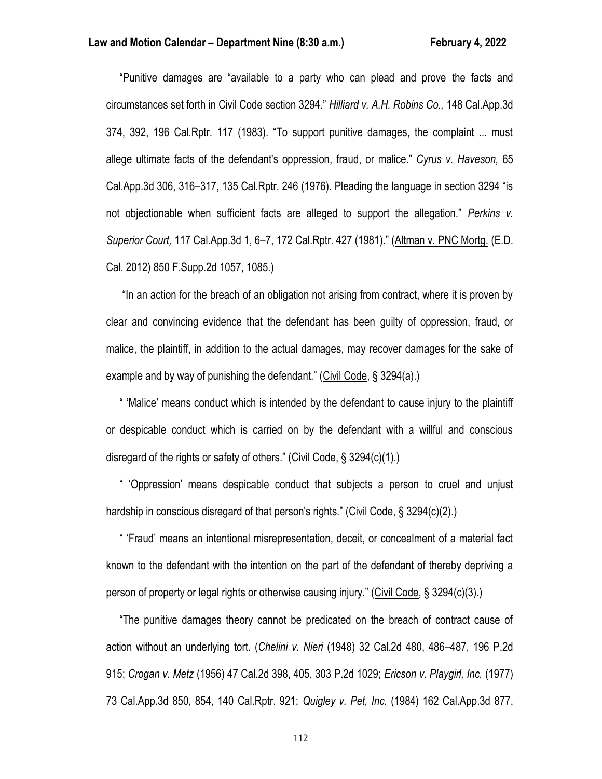"Punitive damages are "available to a party who can plead and prove the facts and circumstances set forth in Civil Code section 3294." *Hilliard v. A.H. Robins Co.,* 148 Cal.App.3d 374, 392, 196 Cal.Rptr. 117 (1983). "To support punitive damages, the complaint ... must allege ultimate facts of the defendant's oppression, fraud, or malice." *Cyrus v. Haveson,* 65 Cal.App.3d 306, 316–317, 135 Cal.Rptr. 246 (1976). Pleading the language in section 3294 "is not objectionable when sufficient facts are alleged to support the allegation." *Perkins v. Superior Court,* 117 Cal.App.3d 1, 6–7, 172 Cal.Rptr. 427 (1981)." (Altman v. PNC Mortg. (E.D. Cal. 2012) 850 F.Supp.2d 1057, 1085.)

 "In an action for the breach of an obligation not arising from contract, where it is proven by clear and convincing evidence that the defendant has been guilty of oppression, fraud, or malice, the plaintiff, in addition to the actual damages, may recover damages for the sake of example and by way of punishing the defendant." (Civil Code, § 3294(a).)

 " 'Malice' means conduct which is intended by the defendant to cause injury to the plaintiff or despicable conduct which is carried on by the defendant with a willful and conscious disregard of the rights or safety of others." (Civil Code, § 3294(c)(1).)

 " 'Oppression' means despicable conduct that subjects a person to cruel and unjust hardship in conscious disregard of that person's rights." (Civil Code, § 3294(c)(2).)

 " 'Fraud' means an intentional misrepresentation, deceit, or concealment of a material fact known to the defendant with the intention on the part of the defendant of thereby depriving a person of property or legal rights or otherwise causing injury." (Civil Code, § 3294(c)(3).)

 "The punitive damages theory cannot be predicated on the breach of contract cause of action without an underlying tort. (*Chelini v. Nieri* (1948) 32 Cal.2d 480, 486–487, 196 P.2d 915; *Crogan v. Metz* (1956) 47 Cal.2d 398, 405, 303 P.2d 1029; *Ericson v. Playgirl, Inc.* (1977) 73 Cal.App.3d 850, 854, 140 Cal.Rptr. 921; *Quigley v. Pet, Inc.* (1984) 162 Cal.App.3d 877,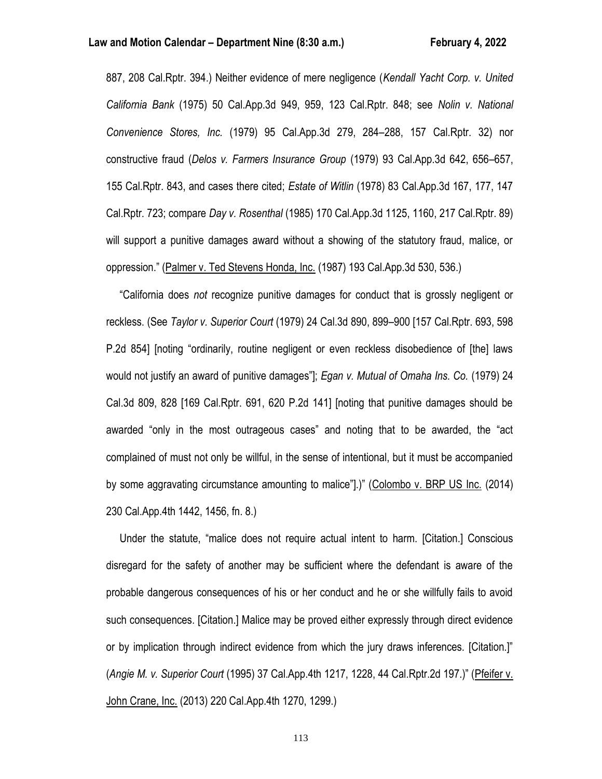887, 208 Cal.Rptr. 394.) Neither evidence of mere negligence (*Kendall Yacht Corp. v. United California Bank* (1975) 50 Cal.App.3d 949, 959, 123 Cal.Rptr. 848; see *Nolin v. National Convenience Stores, Inc.* (1979) 95 Cal.App.3d 279, 284–288, 157 Cal.Rptr. 32) nor constructive fraud (*Delos v. Farmers Insurance Group* (1979) 93 Cal.App.3d 642, 656–657, 155 Cal.Rptr. 843, and cases there cited; *Estate of Witlin* (1978) 83 Cal.App.3d 167, 177, 147 Cal.Rptr. 723; compare *Day v. Rosenthal* (1985) 170 Cal.App.3d 1125, 1160, 217 Cal.Rptr. 89) will support a punitive damages award without a showing of the statutory fraud, malice, or oppression." (Palmer v. Ted Stevens Honda, Inc. (1987) 193 Cal.App.3d 530, 536.)

 "California does *not* recognize punitive damages for conduct that is grossly negligent or reckless. (See *Taylor v. Superior Court* (1979) 24 Cal.3d 890, 899–900 [157 Cal.Rptr. 693, 598 P.2d 854] [noting "ordinarily, routine negligent or even reckless disobedience of [the] laws would not justify an award of punitive damages"]; *Egan v. Mutual of Omaha Ins. Co.* (1979) 24 Cal.3d 809, 828 [169 Cal.Rptr. 691, 620 P.2d 141] [noting that punitive damages should be awarded "only in the most outrageous cases" and noting that to be awarded, the "act complained of must not only be willful, in the sense of intentional, but it must be accompanied by some aggravating circumstance amounting to malice"].)" (Colombo v. BRP US Inc. (2014) 230 Cal.App.4th 1442, 1456, fn. 8.)

 Under the statute, "malice does not require actual intent to harm. [Citation.] Conscious disregard for the safety of another may be sufficient where the defendant is aware of the probable dangerous consequences of his or her conduct and he or she willfully fails to avoid such consequences. [Citation.] Malice may be proved either expressly through direct evidence or by implication through indirect evidence from which the jury draws inferences. [Citation.]" (*Angie M. v. Superior Court* (1995) 37 Cal.App.4th 1217, 1228, 44 Cal.Rptr.2d 197.)" (Pfeifer v. John Crane, Inc. (2013) 220 Cal.App.4th 1270, 1299.)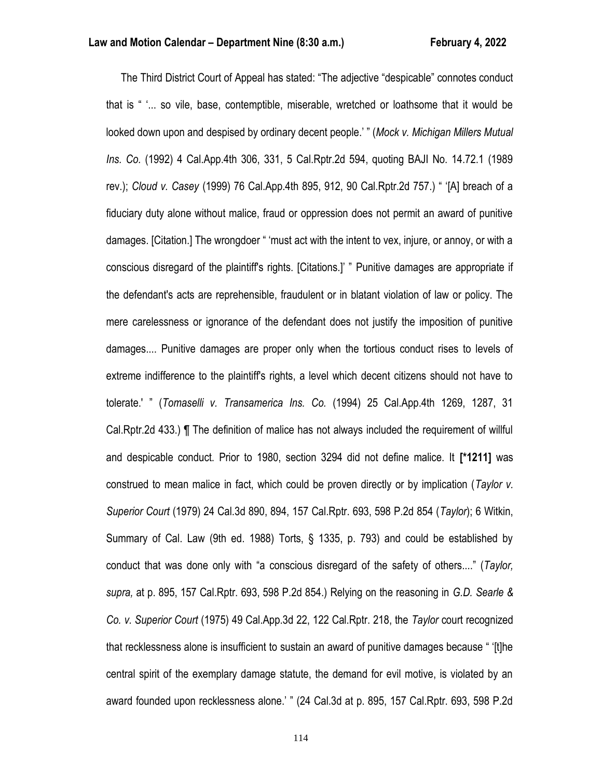The Third District Court of Appeal has stated: "The adjective "despicable" connotes conduct that is " '... so vile, base, contemptible, miserable, wretched or loathsome that it would be looked down upon and despised by ordinary decent people.' " (*Mock v. Michigan Millers Mutual Ins. Co.* (1992) 4 Cal.App.4th 306, 331, 5 Cal.Rptr.2d 594, quoting BAJI No. 14.72.1 (1989 rev.); *Cloud v. Casey* (1999) 76 Cal.App.4th 895, 912, 90 Cal.Rptr.2d 757.) " '[A] breach of a fiduciary duty alone without malice, fraud or oppression does not permit an award of punitive damages. [Citation.] The wrongdoer " 'must act with the intent to vex, injure, or annoy, or with a conscious disregard of the plaintiff's rights. [Citations.]' " Punitive damages are appropriate if the defendant's acts are reprehensible, fraudulent or in blatant violation of law or policy. The mere carelessness or ignorance of the defendant does not justify the imposition of punitive damages.... Punitive damages are proper only when the tortious conduct rises to levels of extreme indifference to the plaintiff's rights, a level which decent citizens should not have to tolerate.' " (*Tomaselli v. Transamerica Ins. Co.* (1994) 25 Cal.App.4th 1269, 1287, 31 Cal.Rptr.2d 433.) ¶ The definition of malice has not always included the requirement of willful and despicable conduct. Prior to 1980, section 3294 did not define malice. It **[\*1211]** was construed to mean malice in fact, which could be proven directly or by implication (*Taylor v. Superior Court* (1979) 24 Cal.3d 890, 894, 157 Cal.Rptr. 693, 598 P.2d 854 (*Taylor*); 6 Witkin, Summary of Cal. Law (9th ed. 1988) Torts, § 1335, p. 793) and could be established by conduct that was done only with "a conscious disregard of the safety of others...." (*Taylor, supra,* at p. 895, 157 Cal.Rptr. 693, 598 P.2d 854.) Relying on the reasoning in *G.D. Searle & Co. v. Superior Court* (1975) 49 Cal.App.3d 22, 122 Cal.Rptr. 218, the *Taylor* court recognized that recklessness alone is insufficient to sustain an award of punitive damages because " '[t]he central spirit of the exemplary damage statute, the demand for evil motive, is violated by an award founded upon recklessness alone.' " (24 Cal.3d at p. 895, 157 Cal.Rptr. 693, 598 P.2d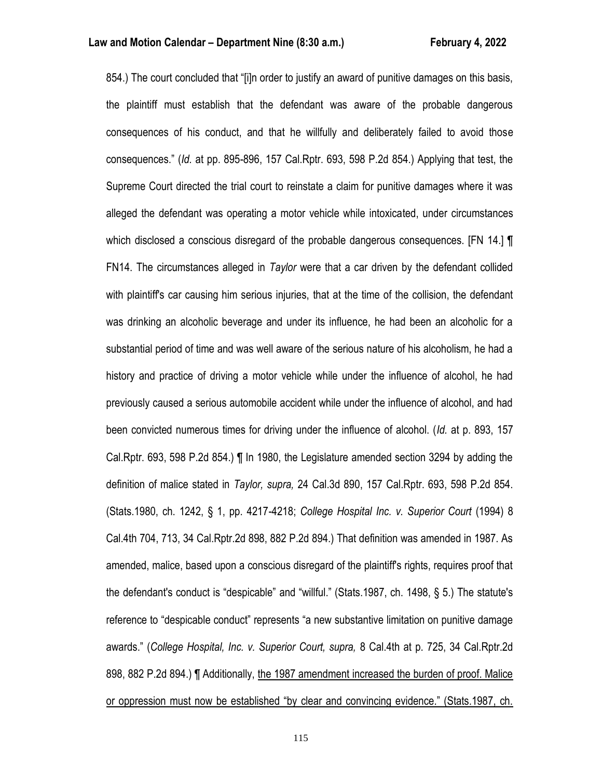854.) The court concluded that "[i]n order to justify an award of punitive damages on this basis, the plaintiff must establish that the defendant was aware of the probable dangerous consequences of his conduct, and that he willfully and deliberately failed to avoid those consequences." (*Id.* at pp. 895-896, 157 Cal.Rptr. 693, 598 P.2d 854.) Applying that test, the Supreme Court directed the trial court to reinstate a claim for punitive damages where it was alleged the defendant was operating a motor vehicle while intoxicated, under circumstances which disclosed a conscious disregard of the probable dangerous consequences. [FN 14.] **[** FN14. The circumstances alleged in *Taylor* were that a car driven by the defendant collided with plaintiff's car causing him serious injuries, that at the time of the collision, the defendant was drinking an alcoholic beverage and under its influence, he had been an alcoholic for a substantial period of time and was well aware of the serious nature of his alcoholism, he had a history and practice of driving a motor vehicle while under the influence of alcohol, he had previously caused a serious automobile accident while under the influence of alcohol, and had been convicted numerous times for driving under the influence of alcohol. (*Id.* at p. 893, 157 Cal.Rptr. 693, 598 P.2d 854.) ¶ In 1980, the Legislature amended section 3294 by adding the definition of malice stated in *Taylor, supra,* 24 Cal.3d 890, 157 Cal.Rptr. 693, 598 P.2d 854. (Stats.1980, ch. 1242, § 1, pp. 4217-4218; *College Hospital Inc. v. Superior Court* (1994) 8 Cal.4th 704, 713, 34 Cal.Rptr.2d 898, 882 P.2d 894.) That definition was amended in 1987. As amended, malice, based upon a conscious disregard of the plaintiff's rights, requires proof that the defendant's conduct is "despicable" and "willful." (Stats.1987, ch. 1498, § 5.) The statute's reference to "despicable conduct" represents "a new substantive limitation on punitive damage awards." (*College Hospital, Inc. v. Superior Court, supra,* 8 Cal.4th at p. 725, 34 Cal.Rptr.2d 898, 882 P.2d 894.) ¶ Additionally, the 1987 amendment increased the burden of proof. Malice or oppression must now be established "by clear and convincing evidence." (Stats.1987, ch.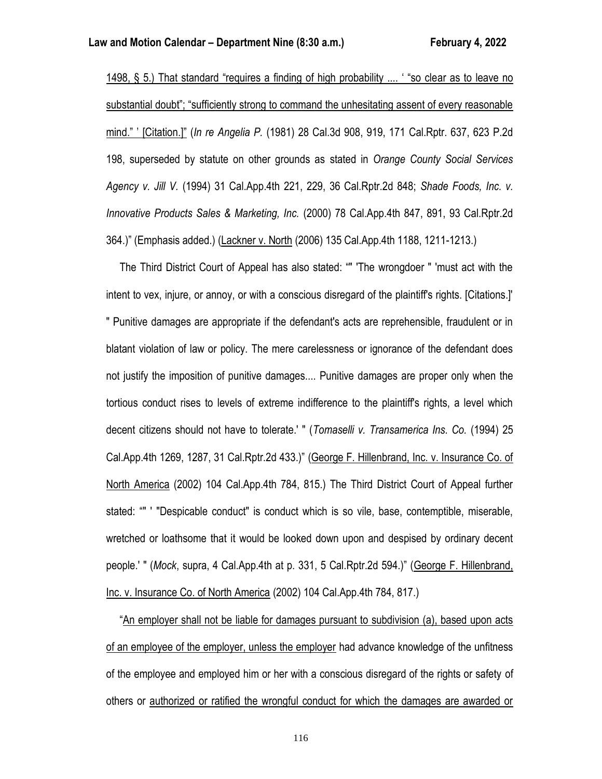1498, § 5.) That standard "requires a finding of high probability .... ' "so clear as to leave no substantial doubt"; "sufficiently strong to command the unhesitating assent of every reasonable mind." ' [Citation.]" (*In re Angelia P.* (1981) 28 Cal.3d 908, 919, 171 Cal.Rptr. 637, 623 P.2d 198, superseded by statute on other grounds as stated in *Orange County Social Services Agency v. Jill V.* (1994) 31 Cal.App.4th 221, 229, 36 Cal.Rptr.2d 848; *Shade Foods, Inc. v. Innovative Products Sales & Marketing, Inc.* (2000) 78 Cal.App.4th 847, 891, 93 Cal.Rptr.2d 364.)" (Emphasis added.) (Lackner v. North (2006) 135 Cal.App.4th 1188, 1211-1213.)

 The Third District Court of Appeal has also stated: "" 'The wrongdoer " 'must act with the intent to vex, injure, or annoy, or with a conscious disregard of the plaintiff's rights. [Citations.]' " Punitive damages are appropriate if the defendant's acts are reprehensible, fraudulent or in blatant violation of law or policy. The mere carelessness or ignorance of the defendant does not justify the imposition of punitive damages.... Punitive damages are proper only when the tortious conduct rises to levels of extreme indifference to the plaintiff's rights, a level which decent citizens should not have to tolerate.' " (*Tomaselli v. Transamerica Ins. Co.* (1994) 25 Cal.App.4th 1269, 1287, 31 Cal.Rptr.2d 433.)" (George F. Hillenbrand, Inc. v. Insurance Co. of North America (2002) 104 Cal.App.4th 784, 815.) The Third District Court of Appeal further stated: "" ' "Despicable conduct" is conduct which is so vile, base, contemptible, miserable, wretched or loathsome that it would be looked down upon and despised by ordinary decent people.' " (*Mock*, supra, 4 Cal.App.4th at p. 331, 5 Cal.Rptr.2d 594.)" (George F. Hillenbrand, Inc. v. Insurance Co. of North America (2002) 104 Cal.App.4th 784, 817.)

 "An employer shall not be liable for damages pursuant to subdivision (a), based upon acts of an employee of the employer, unless the employer had advance knowledge of the unfitness of the employee and employed him or her with a conscious disregard of the rights or safety of others or authorized or ratified the wrongful conduct for which the damages are awarded or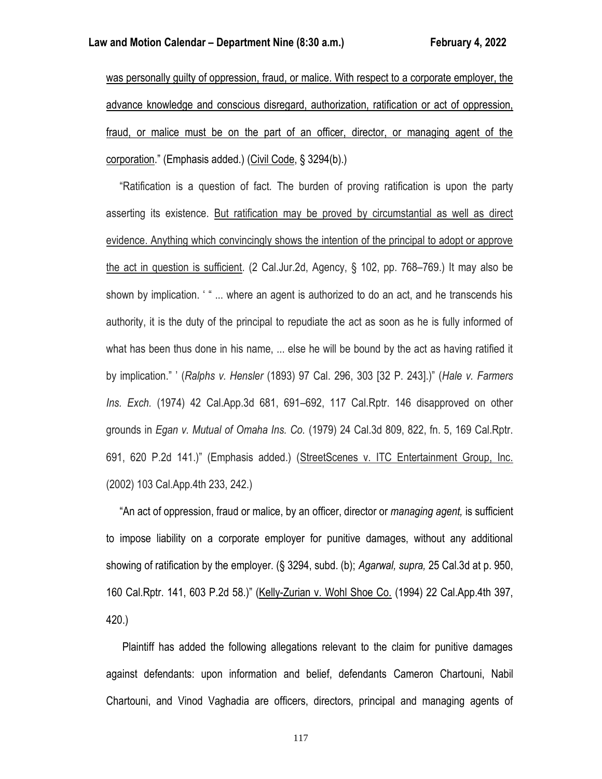was personally guilty of oppression, fraud, or malice. With respect to a corporate employer, the advance knowledge and conscious disregard, authorization, ratification or act of oppression, fraud, or malice must be on the part of an officer, director, or managing agent of the corporation." (Emphasis added.) (Civil Code, § 3294(b).)

 "Ratification is a question of fact. The burden of proving ratification is upon the party asserting its existence. But ratification may be proved by circumstantial as well as direct evidence. Anything which convincingly shows the intention of the principal to adopt or approve the act in question is sufficient. (2 Cal.Jur.2d, Agency, § 102, pp. 768–769.) It may also be shown by implication. ' " ... where an agent is authorized to do an act, and he transcends his authority, it is the duty of the principal to repudiate the act as soon as he is fully informed of what has been thus done in his name, ... else he will be bound by the act as having ratified it by implication." ' (*Ralphs v. Hensler* (1893) 97 Cal. 296, 303 [32 P. 243].)" (*Hale v. Farmers Ins. Exch.* (1974) 42 Cal.App.3d 681, 691–692, 117 Cal.Rptr. 146 disapproved on other grounds in *Egan v. Mutual of Omaha Ins. Co.* (1979) 24 Cal.3d 809, 822, fn. 5, 169 Cal.Rptr. 691, 620 P.2d 141.)" (Emphasis added.) (StreetScenes v. ITC Entertainment Group, Inc. (2002) 103 Cal.App.4th 233, 242.)

 "An act of oppression, fraud or malice, by an officer, director or *managing agent,* is sufficient to impose liability on a corporate employer for punitive damages, without any additional showing of ratification by the employer. (§ 3294, subd. (b); *Agarwal, supra,* 25 Cal.3d at p. 950, 160 Cal.Rptr. 141, 603 P.2d 58.)" (Kelly-Zurian v. Wohl Shoe Co. (1994) 22 Cal.App.4th 397, 420.)

 Plaintiff has added the following allegations relevant to the claim for punitive damages against defendants: upon information and belief, defendants Cameron Chartouni, Nabil Chartouni, and Vinod Vaghadia are officers, directors, principal and managing agents of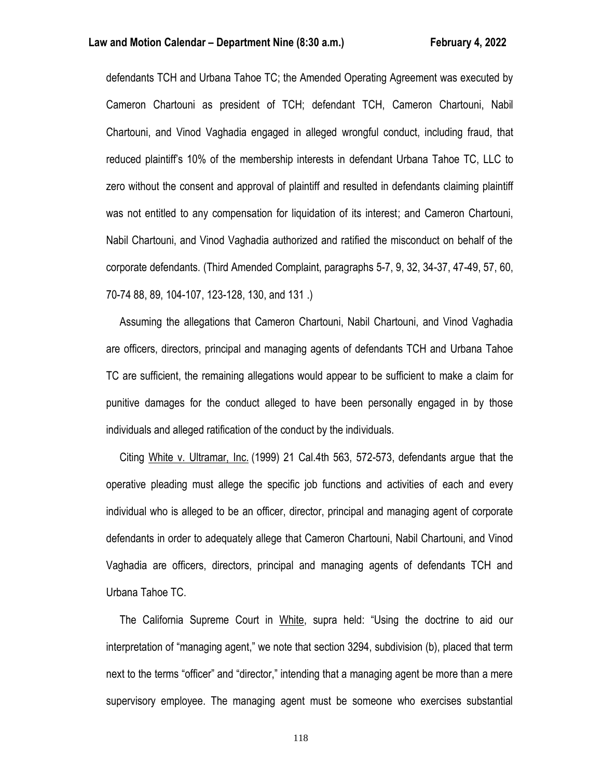defendants TCH and Urbana Tahoe TC; the Amended Operating Agreement was executed by Cameron Chartouni as president of TCH; defendant TCH, Cameron Chartouni, Nabil Chartouni, and Vinod Vaghadia engaged in alleged wrongful conduct, including fraud, that reduced plaintiff's 10% of the membership interests in defendant Urbana Tahoe TC, LLC to zero without the consent and approval of plaintiff and resulted in defendants claiming plaintiff was not entitled to any compensation for liquidation of its interest; and Cameron Chartouni, Nabil Chartouni, and Vinod Vaghadia authorized and ratified the misconduct on behalf of the corporate defendants. (Third Amended Complaint, paragraphs 5-7, 9, 32, 34-37, 47-49, 57, 60, 70-74 88, 89, 104-107, 123-128, 130, and 131 .)

 Assuming the allegations that Cameron Chartouni, Nabil Chartouni, and Vinod Vaghadia are officers, directors, principal and managing agents of defendants TCH and Urbana Tahoe TC are sufficient, the remaining allegations would appear to be sufficient to make a claim for punitive damages for the conduct alleged to have been personally engaged in by those individuals and alleged ratification of the conduct by the individuals.

 Citing White v. Ultramar, Inc. (1999) 21 Cal.4th 563, 572-573, defendants argue that the operative pleading must allege the specific job functions and activities of each and every individual who is alleged to be an officer, director, principal and managing agent of corporate defendants in order to adequately allege that Cameron Chartouni, Nabil Chartouni, and Vinod Vaghadia are officers, directors, principal and managing agents of defendants TCH and Urbana Tahoe TC.

 The California Supreme Court in White, supra held: "Using the doctrine to aid our interpretation of "managing agent," we note that section 3294, subdivision (b), placed that term next to the terms "officer" and "director," intending that a managing agent be more than a mere supervisory employee. The managing agent must be someone who exercises substantial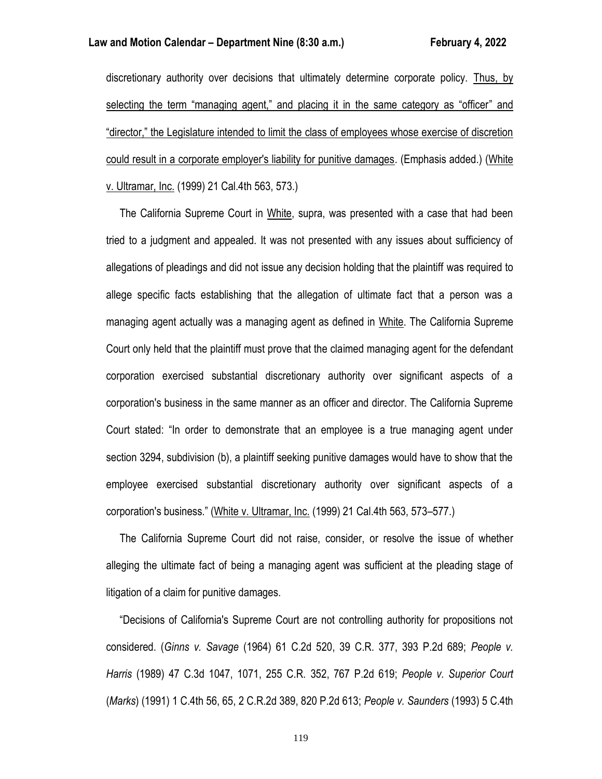discretionary authority over decisions that ultimately determine corporate policy. Thus, by selecting the term "managing agent," and placing it in the same category as "officer" and "director," the Legislature intended to limit the class of employees whose exercise of discretion could result in a corporate employer's liability for punitive damages. (Emphasis added.) (White v. Ultramar, Inc. (1999) 21 Cal.4th 563, 573.)

 The California Supreme Court in White, supra, was presented with a case that had been tried to a judgment and appealed. It was not presented with any issues about sufficiency of allegations of pleadings and did not issue any decision holding that the plaintiff was required to allege specific facts establishing that the allegation of ultimate fact that a person was a managing agent actually was a managing agent as defined in White. The California Supreme Court only held that the plaintiff must prove that the claimed managing agent for the defendant corporation exercised substantial discretionary authority over significant aspects of a corporation's business in the same manner as an officer and director. The California Supreme Court stated: "In order to demonstrate that an employee is a true managing agent under section 3294, subdivision (b), a plaintiff seeking punitive damages would have to show that the employee exercised substantial discretionary authority over significant aspects of a corporation's business." (White v. Ultramar, Inc. (1999) 21 Cal.4th 563, 573–577.)

 The California Supreme Court did not raise, consider, or resolve the issue of whether alleging the ultimate fact of being a managing agent was sufficient at the pleading stage of litigation of a claim for punitive damages.

 "Decisions of California's Supreme Court are not controlling authority for propositions not considered. (*Ginns v. Savage* (1964) 61 C.2d 520, 39 C.R. 377, 393 P.2d 689; *People v. Harris* (1989) 47 C.3d 1047, 1071, 255 C.R. 352, 767 P.2d 619; *People v. Superior Court* (*Marks*) (1991) 1 C.4th 56, 65, 2 C.R.2d 389, 820 P.2d 613; *People v. Saunders* (1993) 5 C.4th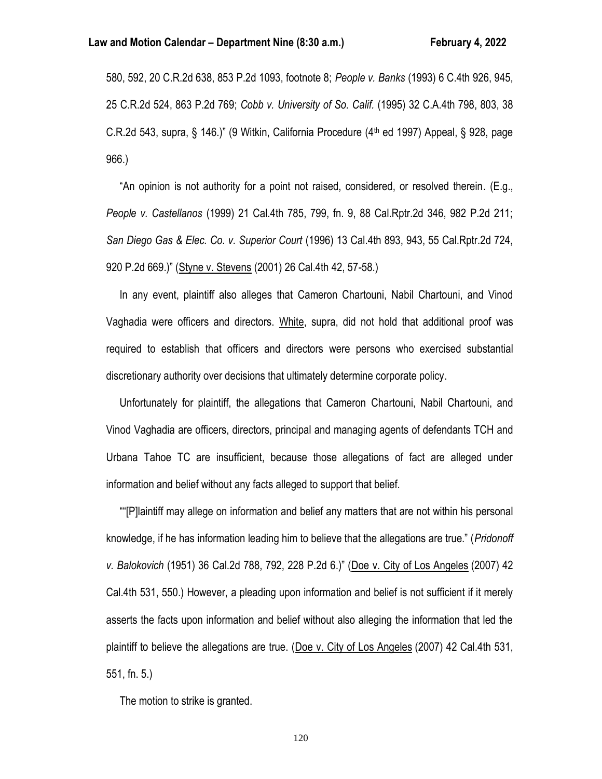580, 592, 20 C.R.2d 638, 853 P.2d 1093, footnote 8; *People v. Banks* (1993) 6 C.4th 926, 945, 25 C.R.2d 524, 863 P.2d 769; *Cobb v. University of So. Calif.* (1995) 32 C.A.4th 798, 803, 38 C.R.2d 543, supra, § 146.)" (9 Witkin, California Procedure ( $4<sup>th</sup>$  ed 1997) Appeal, § 928, page 966.)

 "An opinion is not authority for a point not raised, considered, or resolved therein. (E.g., *People v. Castellanos* (1999) 21 Cal.4th 785, 799, fn. 9, 88 Cal.Rptr.2d 346, 982 P.2d 211; *San Diego Gas & Elec. Co. v. Superior Court* (1996) 13 Cal.4th 893, 943, 55 Cal.Rptr.2d 724, 920 P.2d 669.)" (Styne v. Stevens (2001) 26 Cal.4th 42, 57-58.)

 In any event, plaintiff also alleges that Cameron Chartouni, Nabil Chartouni, and Vinod Vaghadia were officers and directors. White, supra, did not hold that additional proof was required to establish that officers and directors were persons who exercised substantial discretionary authority over decisions that ultimately determine corporate policy.

 Unfortunately for plaintiff, the allegations that Cameron Chartouni, Nabil Chartouni, and Vinod Vaghadia are officers, directors, principal and managing agents of defendants TCH and Urbana Tahoe TC are insufficient, because those allegations of fact are alleged under information and belief without any facts alleged to support that belief.

 ""[P]laintiff may allege on information and belief any matters that are not within his personal knowledge, if he has information leading him to believe that the allegations are true." (*Pridonoff v. Balokovich* (1951) 36 Cal.2d 788, 792, 228 P.2d 6.)" (Doe v. City of Los Angeles (2007) 42 Cal.4th 531, 550.) However, a pleading upon information and belief is not sufficient if it merely asserts the facts upon information and belief without also alleging the information that led the plaintiff to believe the allegations are true. (Doe v. City of Los Angeles (2007) 42 Cal.4th 531, 551, fn. 5.)

The motion to strike is granted.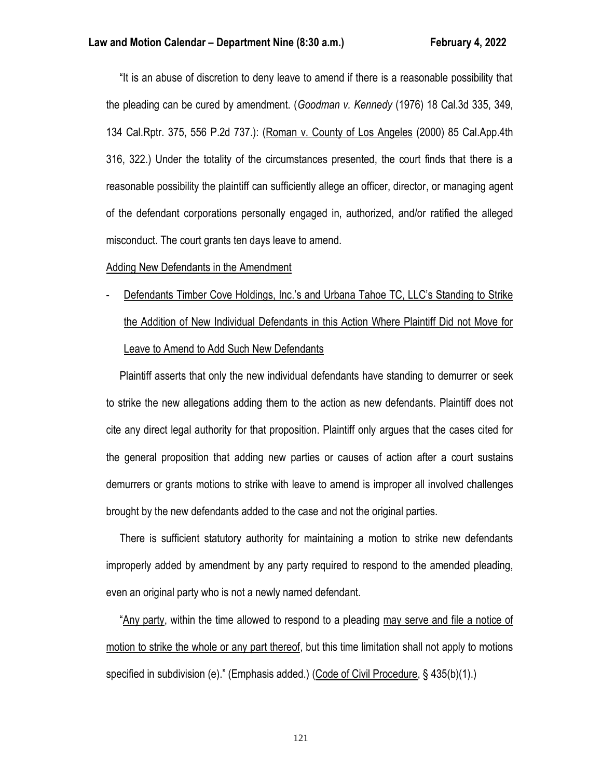"It is an abuse of discretion to deny leave to amend if there is a reasonable possibility that the pleading can be cured by amendment. (*Goodman v. Kennedy* (1976) 18 Cal.3d 335, 349, 134 Cal.Rptr. 375, 556 P.2d 737.): (Roman v. County of Los Angeles (2000) 85 Cal.App.4th 316, 322.) Under the totality of the circumstances presented, the court finds that there is a reasonable possibility the plaintiff can sufficiently allege an officer, director, or managing agent of the defendant corporations personally engaged in, authorized, and/or ratified the alleged misconduct. The court grants ten days leave to amend.

# Adding New Defendants in the Amendment

# Defendants Timber Cove Holdings, Inc.'s and Urbana Tahoe TC, LLC's Standing to Strike the Addition of New Individual Defendants in this Action Where Plaintiff Did not Move for Leave to Amend to Add Such New Defendants

 Plaintiff asserts that only the new individual defendants have standing to demurrer or seek to strike the new allegations adding them to the action as new defendants. Plaintiff does not cite any direct legal authority for that proposition. Plaintiff only argues that the cases cited for the general proposition that adding new parties or causes of action after a court sustains demurrers or grants motions to strike with leave to amend is improper all involved challenges brought by the new defendants added to the case and not the original parties.

 There is sufficient statutory authority for maintaining a motion to strike new defendants improperly added by amendment by any party required to respond to the amended pleading, even an original party who is not a newly named defendant.

 "Any party, within the time allowed to respond to a pleading may serve and file a notice of motion to strike the whole or any part thereof, but this time limitation shall not apply to motions specified in subdivision (e)." (Emphasis added.) (Code of Civil Procedure, § 435(b)(1).)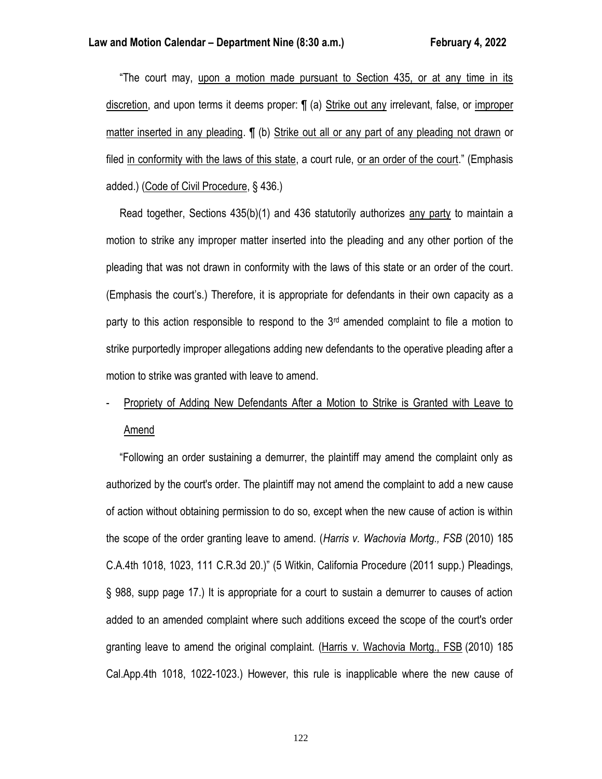"The court may, upon a motion made pursuant to Section 435, or at any time in its discretion, and upon terms it deems proper: ¶ (a) Strike out any irrelevant, false, or improper matter inserted in any pleading. ¶ (b) Strike out all or any part of any pleading not drawn or filed in conformity with the laws of this state, a court rule, or an order of the court." (Emphasis added.) (Code of Civil Procedure, § 436.)

 Read together, Sections 435(b)(1) and 436 statutorily authorizes any party to maintain a motion to strike any improper matter inserted into the pleading and any other portion of the pleading that was not drawn in conformity with the laws of this state or an order of the court. (Emphasis the court's.) Therefore, it is appropriate for defendants in their own capacity as a party to this action responsible to respond to the  $3<sup>rd</sup>$  amended complaint to file a motion to strike purportedly improper allegations adding new defendants to the operative pleading after a motion to strike was granted with leave to amend.

# Propriety of Adding New Defendants After a Motion to Strike is Granted with Leave to Amend

 "Following an order sustaining a demurrer, the plaintiff may amend the complaint only as authorized by the court's order. The plaintiff may not amend the complaint to add a new cause of action without obtaining permission to do so, except when the new cause of action is within the scope of the order granting leave to amend. (*Harris v. Wachovia Mortg., FSB* (2010) 185 C.A.4th 1018, 1023, 111 C.R.3d 20.)" (5 Witkin, California Procedure (2011 supp.) Pleadings, § 988, supp page 17.) It is appropriate for a court to sustain a demurrer to causes of action added to an amended complaint where such additions exceed the scope of the court's order granting leave to amend the original complaint. (Harris v. Wachovia Mortg., FSB (2010) 185 Cal.App.4th 1018, 1022-1023.) However, this rule is inapplicable where the new cause of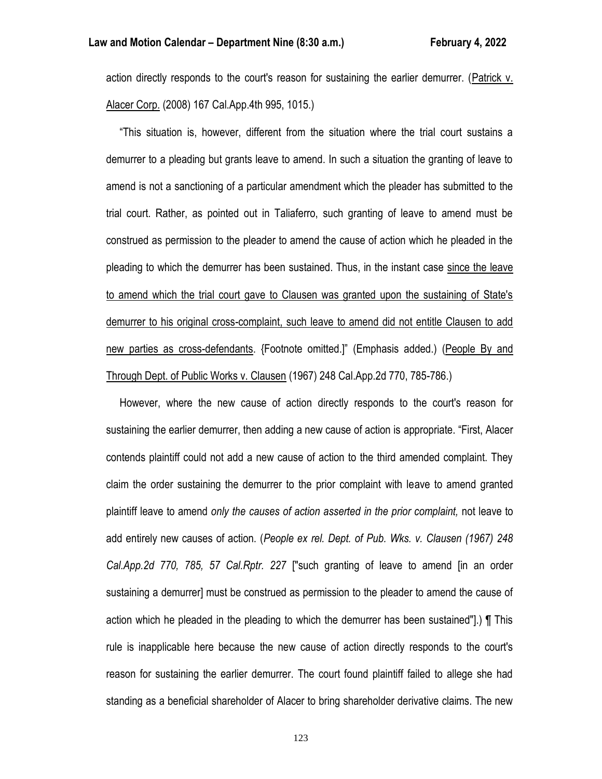action directly responds to the court's reason for sustaining the earlier demurrer. (Patrick v. Alacer Corp. (2008) 167 Cal.App.4th 995, 1015.)

 "This situation is, however, different from the situation where the trial court sustains a demurrer to a pleading but grants leave to amend. In such a situation the granting of leave to amend is not a sanctioning of a particular amendment which the pleader has submitted to the trial court. Rather, as pointed out in Taliaferro, such granting of leave to amend must be construed as permission to the pleader to amend the cause of action which he pleaded in the pleading to which the demurrer has been sustained. Thus, in the instant case since the leave to amend which the trial court gave to Clausen was granted upon the sustaining of State's demurrer to his original cross-complaint, such leave to amend did not entitle Clausen to add new parties as cross-defendants. {Footnote omitted.]" (Emphasis added.) (People By and Through Dept. of Public Works v. Clausen (1967) 248 Cal.App.2d 770, 785-786.)

 However, where the new cause of action directly responds to the court's reason for sustaining the earlier demurrer, then adding a new cause of action is appropriate. "First, Alacer contends plaintiff could not add a new cause of action to the third amended complaint. They claim the order sustaining the demurrer to the prior complaint with leave to amend granted plaintiff leave to amend *only the causes of action asserted in the prior complaint,* not leave to add entirely new causes of action. (*People ex rel. Dept. of Pub. Wks. v. Clausen (1967) 248 Cal.App.2d 770, 785, 57 Cal.Rptr. 227* ["such granting of leave to amend [in an order sustaining a demurrer] must be construed as permission to the pleader to amend the cause of action which he pleaded in the pleading to which the demurrer has been sustained"].) ¶ This rule is inapplicable here because the new cause of action directly responds to the court's reason for sustaining the earlier demurrer. The court found plaintiff failed to allege she had standing as a beneficial shareholder of Alacer to bring shareholder derivative claims. The new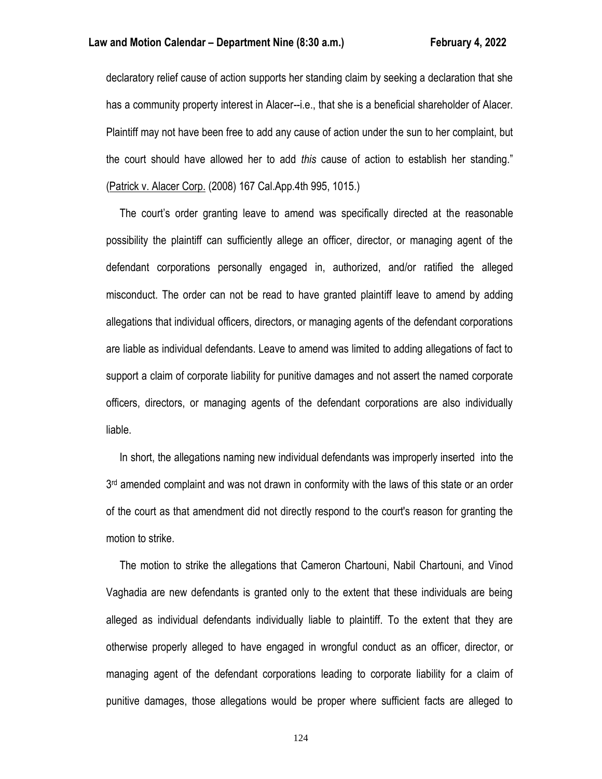declaratory relief cause of action supports her standing claim by seeking a declaration that she has a community property interest in Alacer--i.e., that she is a beneficial shareholder of Alacer. Plaintiff may not have been free to add any cause of action under the sun to her complaint, but the court should have allowed her to add *this* cause of action to establish her standing." (Patrick v. Alacer Corp. (2008) 167 Cal.App.4th 995, 1015.)

 The court's order granting leave to amend was specifically directed at the reasonable possibility the plaintiff can sufficiently allege an officer, director, or managing agent of the defendant corporations personally engaged in, authorized, and/or ratified the alleged misconduct. The order can not be read to have granted plaintiff leave to amend by adding allegations that individual officers, directors, or managing agents of the defendant corporations are liable as individual defendants. Leave to amend was limited to adding allegations of fact to support a claim of corporate liability for punitive damages and not assert the named corporate officers, directors, or managing agents of the defendant corporations are also individually liable.

 In short, the allegations naming new individual defendants was improperly inserted into the 3<sup>rd</sup> amended complaint and was not drawn in conformity with the laws of this state or an order of the court as that amendment did not directly respond to the court's reason for granting the motion to strike.

 The motion to strike the allegations that Cameron Chartouni, Nabil Chartouni, and Vinod Vaghadia are new defendants is granted only to the extent that these individuals are being alleged as individual defendants individually liable to plaintiff. To the extent that they are otherwise properly alleged to have engaged in wrongful conduct as an officer, director, or managing agent of the defendant corporations leading to corporate liability for a claim of punitive damages, those allegations would be proper where sufficient facts are alleged to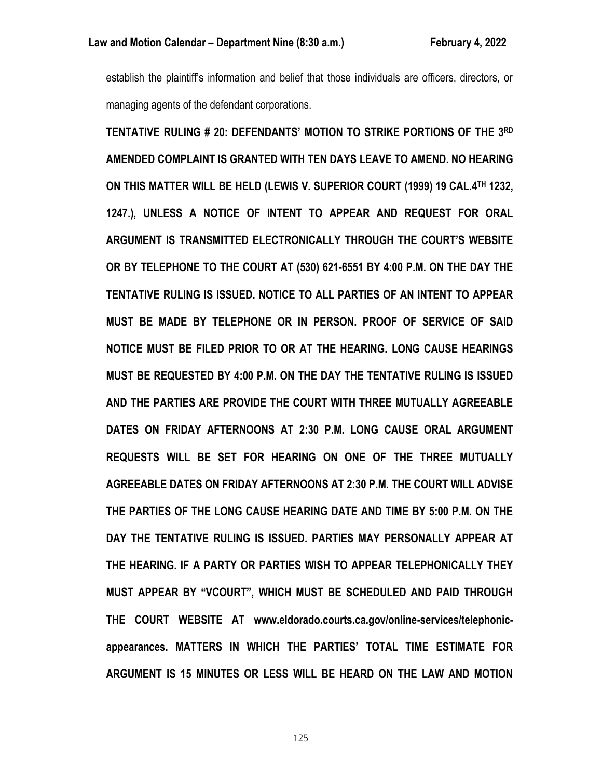establish the plaintiff's information and belief that those individuals are officers, directors, or managing agents of the defendant corporations.

**TENTATIVE RULING # 20: DEFENDANTS' MOTION TO STRIKE PORTIONS OF THE 3RD AMENDED COMPLAINT IS GRANTED WITH TEN DAYS LEAVE TO AMEND. NO HEARING ON THIS MATTER WILL BE HELD (LEWIS V. SUPERIOR COURT (1999) 19 CAL.4TH 1232, 1247.), UNLESS A NOTICE OF INTENT TO APPEAR AND REQUEST FOR ORAL ARGUMENT IS TRANSMITTED ELECTRONICALLY THROUGH THE COURT'S WEBSITE OR BY TELEPHONE TO THE COURT AT (530) 621-6551 BY 4:00 P.M. ON THE DAY THE TENTATIVE RULING IS ISSUED. NOTICE TO ALL PARTIES OF AN INTENT TO APPEAR MUST BE MADE BY TELEPHONE OR IN PERSON. PROOF OF SERVICE OF SAID NOTICE MUST BE FILED PRIOR TO OR AT THE HEARING. LONG CAUSE HEARINGS MUST BE REQUESTED BY 4:00 P.M. ON THE DAY THE TENTATIVE RULING IS ISSUED AND THE PARTIES ARE PROVIDE THE COURT WITH THREE MUTUALLY AGREEABLE DATES ON FRIDAY AFTERNOONS AT 2:30 P.M. LONG CAUSE ORAL ARGUMENT REQUESTS WILL BE SET FOR HEARING ON ONE OF THE THREE MUTUALLY AGREEABLE DATES ON FRIDAY AFTERNOONS AT 2:30 P.M. THE COURT WILL ADVISE THE PARTIES OF THE LONG CAUSE HEARING DATE AND TIME BY 5:00 P.M. ON THE DAY THE TENTATIVE RULING IS ISSUED. PARTIES MAY PERSONALLY APPEAR AT THE HEARING. IF A PARTY OR PARTIES WISH TO APPEAR TELEPHONICALLY THEY MUST APPEAR BY "VCOURT", WHICH MUST BE SCHEDULED AND PAID THROUGH THE COURT WEBSITE AT www.eldorado.courts.ca.gov/online-services/telephonicappearances. MATTERS IN WHICH THE PARTIES' TOTAL TIME ESTIMATE FOR ARGUMENT IS 15 MINUTES OR LESS WILL BE HEARD ON THE LAW AND MOTION**